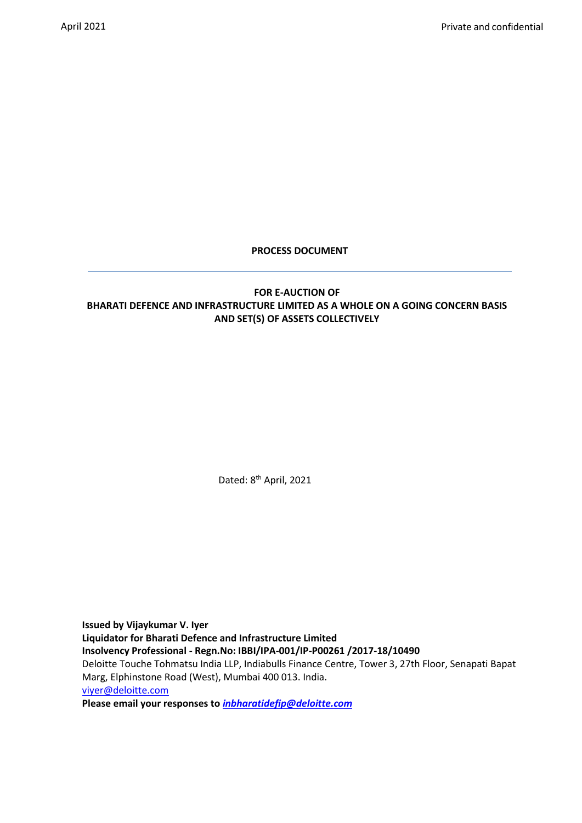## **PROCESS DOCUMENT**

# **FOR E-AUCTION OF BHARATI DEFENCE AND INFRASTRUCTURE LIMITED AS A WHOLE ON A GOING CONCERN BASIS AND SET(S) OF ASSETS COLLECTIVELY**

Dated: 8<sup>th</sup> April, 2021

**Issued by Vijaykumar V. Iyer Liquidator for Bharati Defence and Infrastructure Limited Insolvency Professional - Regn.No: IBBI/IPA-001/IP-P00261 /2017-18/10490** Deloitte Touche Tohmatsu India LLP, Indiabulls Finance Centre, Tower 3, 27th Floor, Senapati Bapat Marg, Elphinstone Road (West), Mumbai 400 013. India. [viyer@deloitte.com](mailto:viyer@deloitte.com) **Please email your responses to** *[inbharatidefip@deloitte.com](mailto:inbharatidefip@deloitte.com)*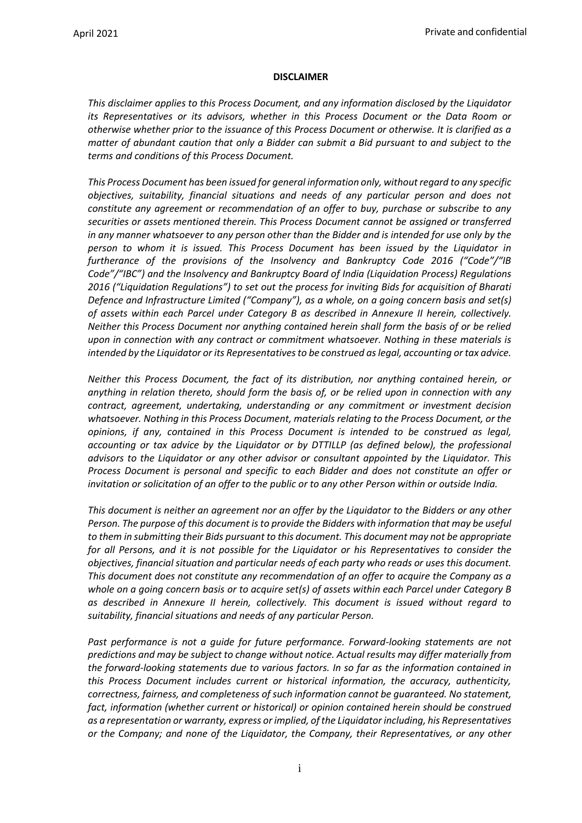#### <span id="page-1-0"></span>**DISCLAIMER**

*This disclaimer applies to this Process Document, and any information disclosed by the Liquidator its Representatives or its advisors, whether in this Process Document or the Data Room or otherwise whether prior to the issuance of this Process Document or otherwise. It is clarified as a matter of abundant caution that only a Bidder can submit a Bid pursuant to and subject to the terms and conditions of this Process Document.* 

*This Process Document has been issued for general information only, without regard to any specific objectives, suitability, financial situations and needs of any particular person and does not constitute any agreement or recommendation of an offer to buy, purchase or subscribe to any securities or assets mentioned therein. This Process Document cannot be assigned or transferred in any manner whatsoever to any person other than the Bidder and is intended for use only by the person to whom it is issued. This Process Document has been issued by the Liquidator in furtherance of the provisions of the Insolvency and Bankruptcy Code 2016 ("Code"/"IB Code"/"IBC") and the Insolvency and Bankruptcy Board of India (Liquidation Process) Regulations 2016 ("Liquidation Regulations") to set out the process for inviting Bids for acquisition of Bharati Defence and Infrastructure Limited ("Company"), as a whole, on a going concern basis and set(s) of assets within each Parcel under Category B as described in Annexure II herein, collectively. Neither this Process Document nor anything contained herein shall form the basis of or be relied upon in connection with any contract or commitment whatsoever. Nothing in these materials is intended by the Liquidator or its Representatives to be construed as legal, accounting or tax advice.*

*Neither this Process Document, the fact of its distribution, nor anything contained herein, or anything in relation thereto, should form the basis of, or be relied upon in connection with any contract, agreement, undertaking, understanding or any commitment or investment decision whatsoever. Nothing in this Process Document, materials relating to the Process Document, or the opinions, if any, contained in this Process Document is intended to be construed as legal, accounting or tax advice by the Liquidator or by DTTILLP (as defined below), the professional advisors to the Liquidator or any other advisor or consultant appointed by the Liquidator. This Process Document is personal and specific to each Bidder and does not constitute an offer or invitation or solicitation of an offer to the public or to any other Person within or outside India.*

*This document is neither an agreement nor an offer by the Liquidator to the Bidders or any other Person. The purpose of this document is to provide the Bidders with information that may be useful to them in submitting their Bids pursuant to this document. This document may not be appropriate for all Persons, and it is not possible for the Liquidator or his Representatives to consider the objectives, financial situation and particular needs of each party who reads or uses this document. This document does not constitute any recommendation of an offer to acquire the Company as a whole on a going concern basis or to acquire set(s) of assets within each Parcel under Category B as described in Annexure II herein, collectively. This document is issued without regard to suitability, financial situations and needs of any particular Person.*

Past performance is not a guide for future performance. Forward-looking statements are not *predictions and may be subject to change without notice. Actual results may differ materially from the forward-looking statements due to various factors. In so far as the information contained in this Process Document includes current or historical information, the accuracy, authenticity, correctness, fairness, and completeness of such information cannot be guaranteed. No statement,*  fact, information (whether current or historical) or opinion contained herein should be construed *as a representation or warranty, express or implied, of the Liquidator including, his Representatives or the Company; and none of the Liquidator, the Company, their Representatives, or any other*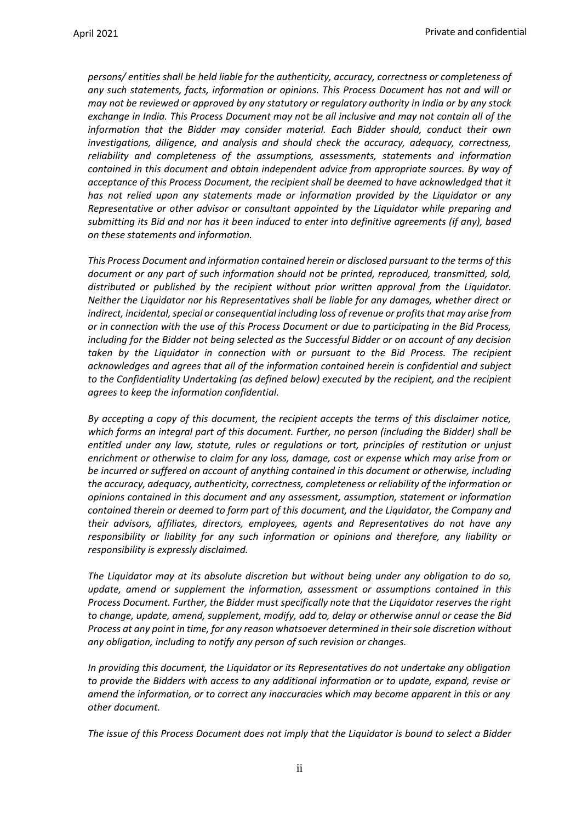*persons/ entities shall be held liable for the authenticity, accuracy, correctness or completeness of any such statements, facts, information or opinions. This Process Document has not and will or may not be reviewed or approved by any statutory or regulatory authority in India or by any stock exchange in India. This Process Document may not be all inclusive and may not contain all of the information that the Bidder may consider material. Each Bidder should, conduct their own investigations, diligence, and analysis and should check the accuracy, adequacy, correctness, reliability and completeness of the assumptions, assessments, statements and information contained in this document and obtain independent advice from appropriate sources. By way of acceptance of this Process Document, the recipient shall be deemed to have acknowledged that it has not relied upon any statements made or information provided by the Liquidator or any Representative or other advisor or consultant appointed by the Liquidator while preparing and submitting its Bid and nor has it been induced to enter into definitive agreements (if any), based on these statements and information.*

*This Process Document and information contained herein or disclosed pursuant to the terms of this document or any part of such information should not be printed, reproduced, transmitted, sold, distributed or published by the recipient without prior written approval from the Liquidator. Neither the Liquidator nor his Representatives shall be liable for any damages, whether direct or indirect, incidental, special or consequential including loss of revenue or profits that may arise from or in connection with the use of this Process Document or due to participating in the Bid Process, including for the Bidder not being selected as the Successful Bidder or on account of any decision taken by the Liquidator in connection with or pursuant to the Bid Process. The recipient acknowledges and agrees that all of the information contained herein is confidential and subject to the Confidentiality Undertaking (as defined below) executed by the recipient, and the recipient agrees to keep the information confidential.*

*By accepting a copy of this document, the recipient accepts the terms of this disclaimer notice, which forms an integral part of this document. Further, no person (including the Bidder) shall be entitled under any law, statute, rules or regulations or tort, principles of restitution or unjust enrichment or otherwise to claim for any loss, damage, cost or expense which may arise from or be incurred or suffered on account of anything contained in this document or otherwise, including the accuracy, adequacy, authenticity, correctness, completeness or reliability of the information or opinions contained in this document and any assessment, assumption, statement or information contained therein or deemed to form part of this document, and the Liquidator, the Company and their advisors, affiliates, directors, employees, agents and Representatives do not have any responsibility or liability for any such information or opinions and therefore, any liability or responsibility is expressly disclaimed.*

*The Liquidator may at its absolute discretion but without being under any obligation to do so, update, amend or supplement the information, assessment or assumptions contained in this Process Document. Further, the Bidder must specifically note that the Liquidator reserves the right to change, update, amend, supplement, modify, add to, delay or otherwise annul or cease the Bid Process at any point in time, for any reason whatsoever determined in their sole discretion without any obligation, including to notify any person of such revision or changes.*

*In providing this document, the Liquidator or its Representatives do not undertake any obligation to provide the Bidders with access to any additional information or to update, expand, revise or amend the information, or to correct any inaccuracies which may become apparent in this or any other document.* 

*The issue of this Process Document does not imply that the Liquidator is bound to select a Bidder*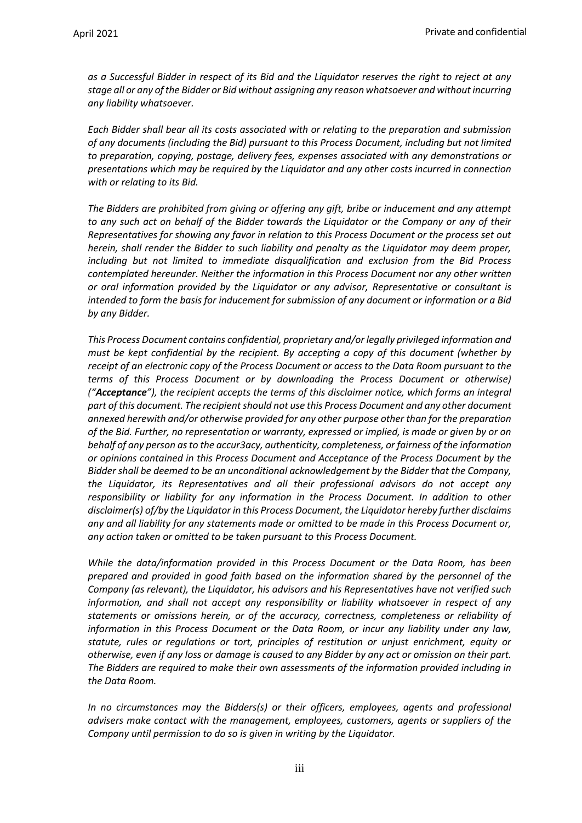*as a Successful Bidder in respect of its Bid and the Liquidator reserves the right to reject at any stage all or any of the Bidder or Bid without assigning any reason whatsoever and without incurring any liability whatsoever.*

*Each Bidder shall bear all its costs associated with or relating to the preparation and submission of any documents (including the Bid) pursuant to this Process Document, including but not limited to preparation, copying, postage, delivery fees, expenses associated with any demonstrations or presentations which may be required by the Liquidator and any other costs incurred in connection with or relating to its Bid.* 

*The Bidders are prohibited from giving or offering any gift, bribe or inducement and any attempt to any such act on behalf of the Bidder towards the Liquidator or the Company or any of their Representatives for showing any favor in relation to this Process Document or the process set out herein, shall render the Bidder to such liability and penalty as the Liquidator may deem proper, including but not limited to immediate disqualification and exclusion from the Bid Process contemplated hereunder. Neither the information in this Process Document nor any other written or oral information provided by the Liquidator or any advisor, Representative or consultant is intended to form the basis for inducement for submission of any document or information or a Bid by any Bidder.*

*This Process Document contains confidential, proprietary and/or legally privileged information and must be kept confidential by the recipient. By accepting a copy of this document (whether by receipt of an electronic copy of the Process Document or access to the Data Room pursuant to the terms of this Process Document or by downloading the Process Document or otherwise) ("Acceptance"), the recipient accepts the terms of this disclaimer notice, which forms an integral part of this document. The recipient should not use this Process Document and any other document annexed herewith and/or otherwise provided for any other purpose other than for the preparation of the Bid. Further, no representation or warranty, expressed or implied, is made or given by or on behalf of any person as to the accur3acy, authenticity, completeness, or fairness of the information or opinions contained in this Process Document and Acceptance of the Process Document by the Bidder shall be deemed to be an unconditional acknowledgement by the Bidder that the Company, the Liquidator, its Representatives and all their professional advisors do not accept any responsibility or liability for any information in the Process Document. In addition to other disclaimer(s) of/by the Liquidator in this Process Document, the Liquidator hereby further disclaims any and all liability for any statements made or omitted to be made in this Process Document or, any action taken or omitted to be taken pursuant to this Process Document.* 

*While the data/information provided in this Process Document or the Data Room, has been prepared and provided in good faith based on the information shared by the personnel of the Company (as relevant), the Liquidator, his advisors and his Representatives have not verified such information, and shall not accept any responsibility or liability whatsoever in respect of any statements or omissions herein, or of the accuracy, correctness, completeness or reliability of information in this Process Document or the Data Room, or incur any liability under any law, statute, rules or regulations or tort, principles of restitution or unjust enrichment, equity or otherwise, even if any loss or damage is caused to any Bidder by any act or omission on their part. The Bidders are required to make their own assessments of the information provided including in the Data Room.*

*In no circumstances may the Bidders(s) or their officers, employees, agents and professional advisers make contact with the management, employees, customers, agents or suppliers of the Company until permission to do so is given in writing by the Liquidator.*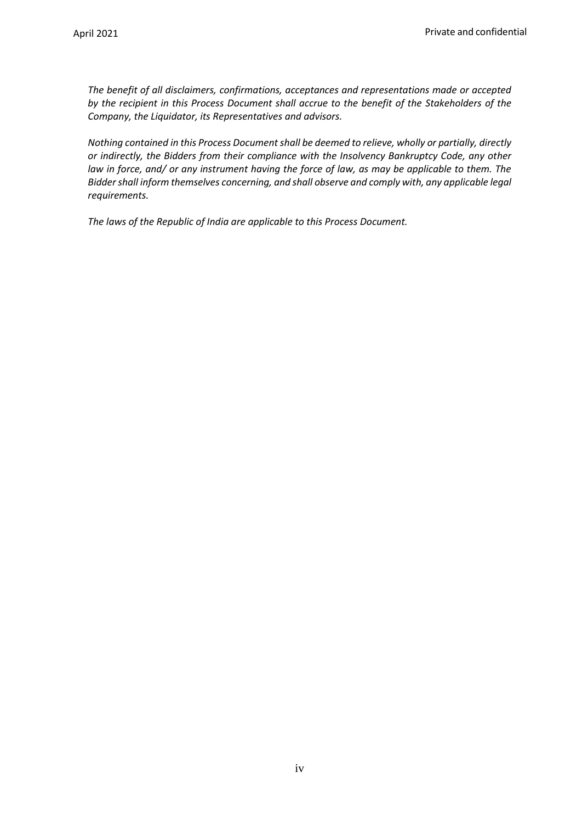*The benefit of all disclaimers, confirmations, acceptances and representations made or accepted by the recipient in this Process Document shall accrue to the benefit of the Stakeholders of the Company, the Liquidator, its Representatives and advisors.*

*Nothing contained in this Process Document shall be deemed to relieve, wholly or partially, directly or indirectly, the Bidders from their compliance with the Insolvency Bankruptcy Code, any other law in force, and/ or any instrument having the force of law, as may be applicable to them. The Bidder shall inform themselves concerning, and shall observe and comply with, any applicable legal requirements.*

*The laws of the Republic of India are applicable to this Process Document.*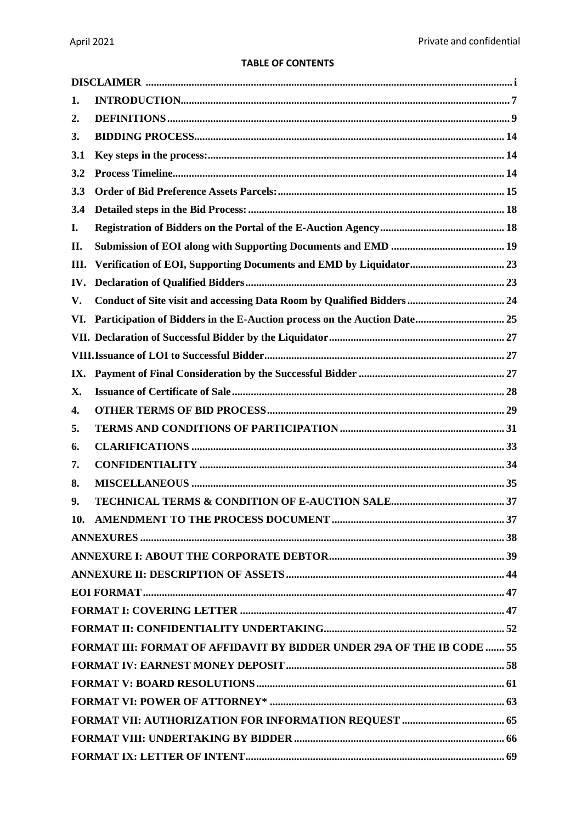# **TABLE OF CONTENTS**

| 1.             |                                                                               |  |
|----------------|-------------------------------------------------------------------------------|--|
| $\mathbf{2}$ . |                                                                               |  |
| 3.             |                                                                               |  |
| 3.1            |                                                                               |  |
| 3.2            |                                                                               |  |
| 3.3            |                                                                               |  |
| 3.4            |                                                                               |  |
| I.             |                                                                               |  |
| П.             |                                                                               |  |
| Ш.             |                                                                               |  |
| IV.            |                                                                               |  |
| V.             |                                                                               |  |
| VI.            |                                                                               |  |
|                |                                                                               |  |
|                |                                                                               |  |
| IX.            |                                                                               |  |
| Х.             |                                                                               |  |
| 4.             |                                                                               |  |
| 5.             |                                                                               |  |
| 6.             |                                                                               |  |
| 7.             |                                                                               |  |
| 8.             |                                                                               |  |
| 9.             |                                                                               |  |
|                |                                                                               |  |
|                |                                                                               |  |
|                |                                                                               |  |
|                |                                                                               |  |
|                |                                                                               |  |
|                |                                                                               |  |
|                |                                                                               |  |
|                | <b>FORMAT III: FORMAT OF AFFIDAVIT BY BIDDER UNDER 29A OF THE IB CODE  55</b> |  |
|                |                                                                               |  |
|                |                                                                               |  |
|                |                                                                               |  |
|                |                                                                               |  |
|                |                                                                               |  |
|                |                                                                               |  |
|                |                                                                               |  |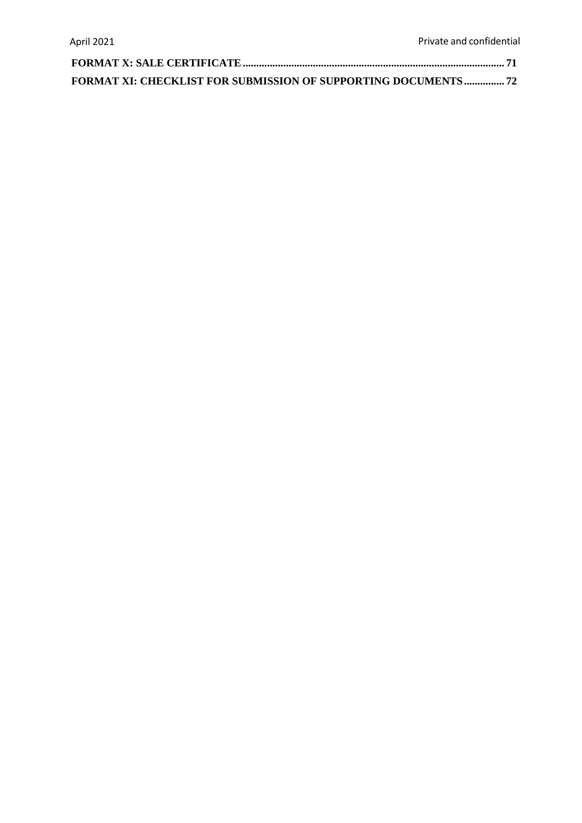| <b>FORMAT XI: CHECKLIST FOR SUBMISSION OF SUPPORTING DOCUMENTS 72</b> |  |
|-----------------------------------------------------------------------|--|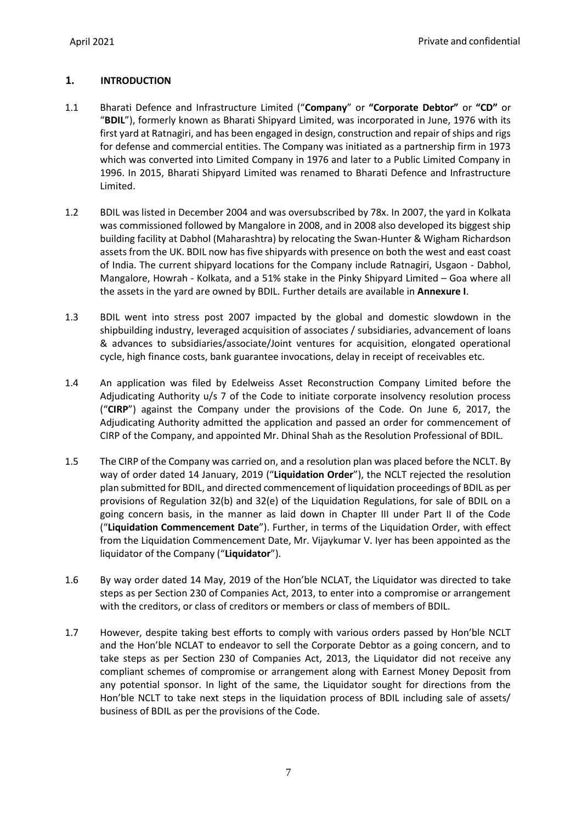# <span id="page-7-0"></span>**1. INTRODUCTION**

- <span id="page-7-1"></span>1.1 Bharati Defence and Infrastructure Limited ("**Company**" or **"Corporate Debtor"** or **"CD"** or "**BDIL**"), formerly known as Bharati Shipyard Limited, was incorporated in June, 1976 with its first yard at Ratnagiri, and has been engaged in design, construction and repair of ships and rigs for defense and commercial entities. The Company was initiated as a partnership firm in 1973 which was converted into Limited Company in 1976 and later to a Public Limited Company in 1996. In 2015, Bharati Shipyard Limited was renamed to Bharati Defence and Infrastructure Limited.
- 1.2 BDIL was listed in December 2004 and was oversubscribed by 78x. In 2007, the yard in Kolkata was commissioned followed by Mangalore in 2008, and in 2008 also developed its biggest ship building facility at Dabhol (Maharashtra) by relocating the Swan-Hunter & Wigham Richardson assets from the UK. BDIL now has five shipyards with presence on both the west and east coast of India. The current shipyard locations for the Company include Ratnagiri, Usgaon - Dabhol, Mangalore, Howrah - Kolkata, and a 51% stake in the Pinky Shipyard Limited – Goa where all the assets in the yard are owned by BDIL. Further details are available in **Annexure I**.
- 1.3 BDIL went into stress post 2007 impacted by the global and domestic slowdown in the shipbuilding industry, leveraged acquisition of associates / subsidiaries, advancement of loans & advances to subsidiaries/associate/Joint ventures for acquisition, elongated operational cycle, high finance costs, bank guarantee invocations, delay in receipt of receivables etc.
- 1.4 An application was filed by Edelweiss Asset Reconstruction Company Limited before the Adjudicating Authority u/s 7 of the Code to initiate corporate insolvency resolution process ("**CIRP**") against the Company under the provisions of the Code. On June 6, 2017, the Adjudicating Authority admitted the application and passed an order for commencement of CIRP of the Company, and appointed Mr. Dhinal Shah as the Resolution Professional of BDIL.
- 1.5 The CIRP of the Company was carried on, and a resolution plan was placed before the NCLT. By way of order dated 14 January, 2019 ("**Liquidation Order**"), the NCLT rejected the resolution plan submitted for BDIL, and directed commencement of liquidation proceedings of BDIL as per provisions of Regulation 32(b) and 32(e) of the Liquidation Regulations, for sale of BDIL on a going concern basis, in the manner as laid down in Chapter III under Part II of the Code ("**Liquidation Commencement Date**"). Further, in terms of the Liquidation Order, with effect from the Liquidation Commencement Date, Mr. Vijaykumar V. Iyer has been appointed as the liquidator of the Company ("**Liquidator**").
- 1.6 By way order dated 14 May, 2019 of the Hon'ble NCLAT, the Liquidator was directed to take steps as per Section 230 of Companies Act, 2013, to enter into a compromise or arrangement with the creditors, or class of creditors or members or class of members of BDIL.
- 1.7 However, despite taking best efforts to comply with various orders passed by Hon'ble NCLT and the Hon'ble NCLAT to endeavor to sell the Corporate Debtor as a going concern, and to take steps as per Section 230 of Companies Act, 2013, the Liquidator did not receive any compliant schemes of compromise or arrangement along with Earnest Money Deposit from any potential sponsor. In light of the same, the Liquidator sought for directions from the Hon'ble NCLT to take next steps in the liquidation process of BDIL including sale of assets/ business of BDIL as per the provisions of the Code.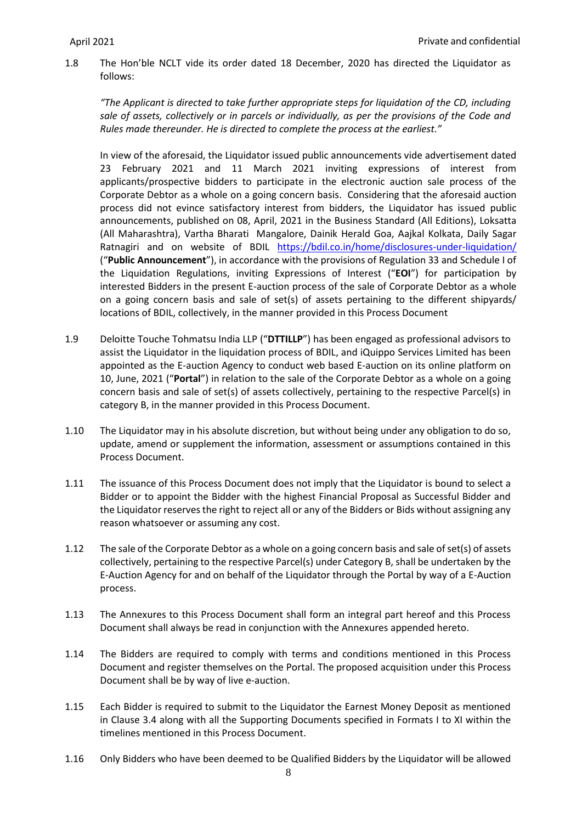1.8 The Hon'ble NCLT vide its order dated 18 December, 2020 has directed the Liquidator as follows:

*"The Applicant is directed to take further appropriate steps for liquidation of the CD, including sale of assets, collectively or in parcels or individually, as per the provisions of the Code and Rules made thereunder. He is directed to complete the process at the earliest."*

In view of the aforesaid, the Liquidator issued public announcements vide advertisement dated 23 February 2021 and 11 March 2021 inviting expressions of interest from applicants/prospective bidders to participate in the electronic auction sale process of the Corporate Debtor as a whole on a going concern basis. Considering that the aforesaid auction process did not evince satisfactory interest from bidders, the Liquidator has issued public announcements, published on 08, April, 2021 in the Business Standard (All Editions), Loksatta (All Maharashtra), Vartha Bharati Mangalore, Dainik Herald Goa, Aajkal Kolkata, Daily Sagar Ratnagiri and on website of BDIL <https://bdil.co.in/home/disclosures-under-liquidation/> ("**Public Announcement**"), in accordance with the provisions of Regulation 33 and Schedule I of the Liquidation Regulations, inviting Expressions of Interest ("**EOI**") for participation by interested Bidders in the present E-auction process of the sale of Corporate Debtor as a whole on a going concern basis and sale of set(s) of assets pertaining to the different shipyards/ locations of BDIL, collectively, in the manner provided in this Process Document

- <span id="page-8-0"></span>1.9 Deloitte Touche Tohmatsu India LLP ("**DTTILLP**") has been engaged as professional advisors to assist the Liquidator in the liquidation process of BDIL, and iQuippo Services Limited has been appointed as the E-auction Agency to conduct web based E-auction on its online platform on 10, June, 2021 ("**Portal**") in relation to the sale of the Corporate Debtor as a whole on a going concern basis and sale of set(s) of assets collectively, pertaining to the respective Parcel(s) in category B, in the manner provided in this Process Document.
- 1.10 The Liquidator may in his absolute discretion, but without being under any obligation to do so, update, amend or supplement the information, assessment or assumptions contained in this Process Document.
- 1.11 The issuance of this Process Document does not imply that the Liquidator is bound to select a Bidder or to appoint the Bidder with the highest Financial Proposal as Successful Bidder and the Liquidator reserves the right to reject all or any of the Bidders or Bids without assigning any reason whatsoever or assuming any cost.
- 1.12 The sale of the Corporate Debtor as a whole on a going concern basis and sale of set(s) of assets collectively, pertaining to the respective Parcel(s) under Category B, shall be undertaken by the E-Auction Agency for and on behalf of the Liquidator through the Portal by way of a E-Auction process.
- 1.13 The Annexures to this Process Document shall form an integral part hereof and this Process Document shall always be read in conjunction with the Annexures appended hereto.
- 1.14 The Bidders are required to comply with terms and conditions mentioned in this Process Document and register themselves on the Portal. The proposed acquisition under this Process Document shall be by way of live e-auction.
- 1.15 Each Bidder is required to submit to the Liquidator the Earnest Money Deposit as mentioned in Clause [3.4](#page-18-0) along with all the Supporting Documents specified in Formats I to XI within the timelines mentioned in this Process Document.
- 1.16 Only Bidders who have been deemed to be Qualified Bidders by the Liquidator will be allowed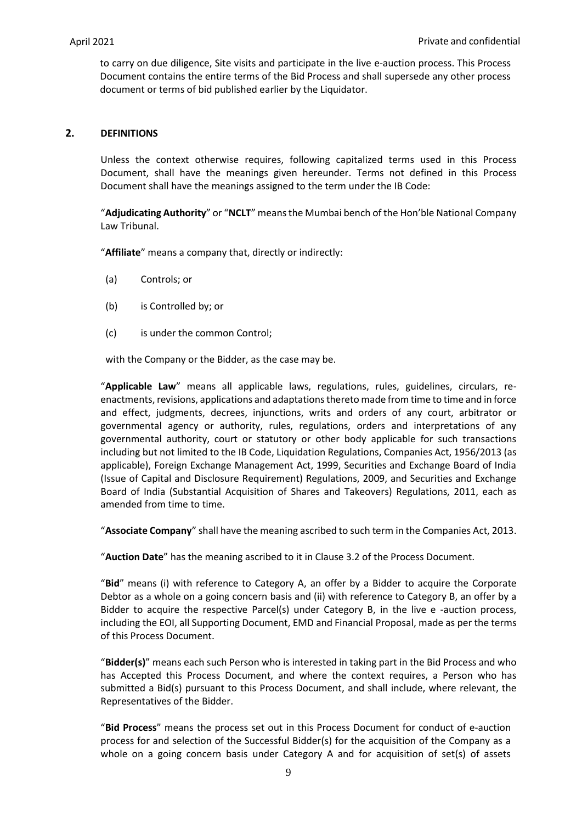to carry on due diligence, Site visits and participate in the live e-auction process. This Process Document contains the entire terms of the Bid Process and shall supersede any other process document or terms of bid published earlier by the Liquidator.

## <span id="page-9-0"></span>**2. DEFINITIONS**

Unless the context otherwise requires, following capitalized terms used in this Process Document, shall have the meanings given hereunder. Terms not defined in this Process Document shall have the meanings assigned to the term under the IB Code:

"**Adjudicating Authority**" or "**NCLT**" meansthe Mumbai bench of the Hon'ble National Company Law Tribunal.

"**Affiliate**" means a company that, directly or indirectly:

- (a) Controls; or
- (b) is Controlled by; or
- (c) is under the common Control;

with the Company or the Bidder, as the case may be.

"**Applicable Law**" means all applicable laws, regulations, rules, guidelines, circulars, reenactments, revisions, applications and adaptations thereto made from time to time and in force and effect, judgments, decrees, injunctions, writs and orders of any court, arbitrator or governmental agency or authority, rules, regulations, orders and interpretations of any governmental authority, court or statutory or other body applicable for such transactions including but not limited to the IB Code, Liquidation Regulations, Companies Act, 1956/2013 (as applicable), Foreign Exchange Management Act, 1999, Securities and Exchange Board of India (Issue of Capital and Disclosure Requirement) Regulations, 2009, and Securities and Exchange Board of India (Substantial Acquisition of Shares and Takeovers) Regulations, 2011, each as amended from time to time.

"**Associate Company**" shall have the meaning ascribed to such term in the Companies Act, 2013.

"**Auction Date**" has the meaning ascribed to it in Clause [3.2](#page-14-2) of the Process Document.

"**Bid**" means (i) with reference to Category A, an offer by a Bidder to acquire the Corporate Debtor as a whole on a going concern basis and (ii) with reference to Category B, an offer by a Bidder to acquire the respective Parcel(s) under Category B, in the live e -auction process, including the EOI, all Supporting Document, EMD and Financial Proposal, made as per the terms of this Process Document.

"**Bidder(s)**" means each such Person who is interested in taking part in the Bid Process and who has Accepted this Process Document, and where the context requires, a Person who has submitted a Bid(s) pursuant to this Process Document, and shall include, where relevant, the Representatives of the Bidder.

"**Bid Process**" means the process set out in this Process Document for conduct of e-auction process for and selection of the Successful Bidder(s) for the acquisition of the Company as a whole on a going concern basis under Category A and for acquisition of set(s) of assets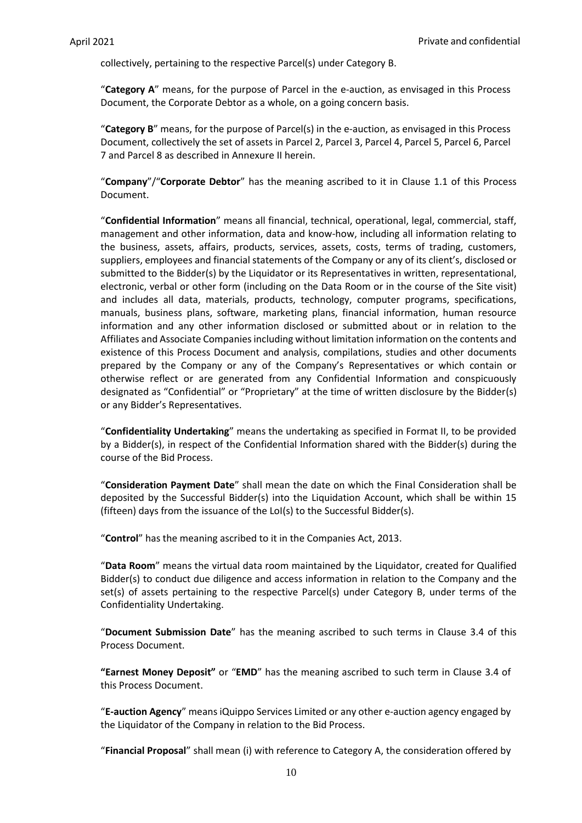collectively, pertaining to the respective Parcel(s) under Category B.

"**Category A**" means, for the purpose of Parcel in the e-auction, as envisaged in this Process Document, the Corporate Debtor as a whole, on a going concern basis.

"**Category B**" means, for the purpose of Parcel(s) in the e-auction, as envisaged in this Process Document, collectively the set of assets in Parcel 2, Parcel 3, Parcel 4, Parcel 5, Parcel 6, Parcel 7 and Parcel 8 as described in Annexure II herein.

"**Company**"/"**Corporate Debtor**" has the meaning ascribed to it in Clause [1.1](#page-7-1) of this Process Document.

"**Confidential Information**" means all financial, technical, operational, legal, commercial, staff, management and other information, data and know-how, including all information relating to the business, assets, affairs, products, services, assets, costs, terms of trading, customers, suppliers, employees and financial statements of the Company or any of its client's, disclosed or submitted to the Bidder(s) by the Liquidator or its Representatives in written, representational, electronic, verbal or other form (including on the Data Room or in the course of the Site visit) and includes all data, materials, products, technology, computer programs, specifications, manuals, business plans, software, marketing plans, financial information, human resource information and any other information disclosed or submitted about or in relation to the Affiliates and Associate Companies including without limitation information on the contents and existence of this Process Document and analysis, compilations, studies and other documents prepared by the Company or any of the Company's Representatives or which contain or otherwise reflect or are generated from any Confidential Information and conspicuously designated as "Confidential" or "Proprietary" at the time of written disclosure by the Bidder(s) or any Bidder's Representatives.

"**Confidentiality Undertaking**" means the undertaking as specified in Format II, to be provided by a Bidder(s), in respect of the Confidential Information shared with the Bidder(s) during the course of the Bid Process.

"**Consideration Payment Date**" shall mean the date on which the Final Consideration shall be deposited by the Successful Bidder(s) into the Liquidation Account, which shall be within 15 (fifteen) days from the issuance of the LoI(s) to the Successful Bidder(s).

"**Control**" has the meaning ascribed to it in the Companies Act, 2013.

"**Data Room**" means the virtual data room maintained by the Liquidator, created for Qualified Bidder(s) to conduct due diligence and access information in relation to the Company and the set(s) of assets pertaining to the respective Parcel(s) under Category B, under terms of the Confidentiality Undertaking.

"**Document Submission Date**" has the meaning ascribed to such terms in Clause [3.4](#page-18-0) of this Process Document.

**"Earnest Money Deposit"** or "**EMD**" has the meaning ascribed to such term in Clause [3.4](#page-18-0) of this Process Document.

"**E-auction Agency**" means iQuippo Services Limited or any other e-auction agency engaged by the Liquidator of the Company in relation to the Bid Process.

"**Financial Proposal**" shall mean (i) with reference to Category A, the consideration offered by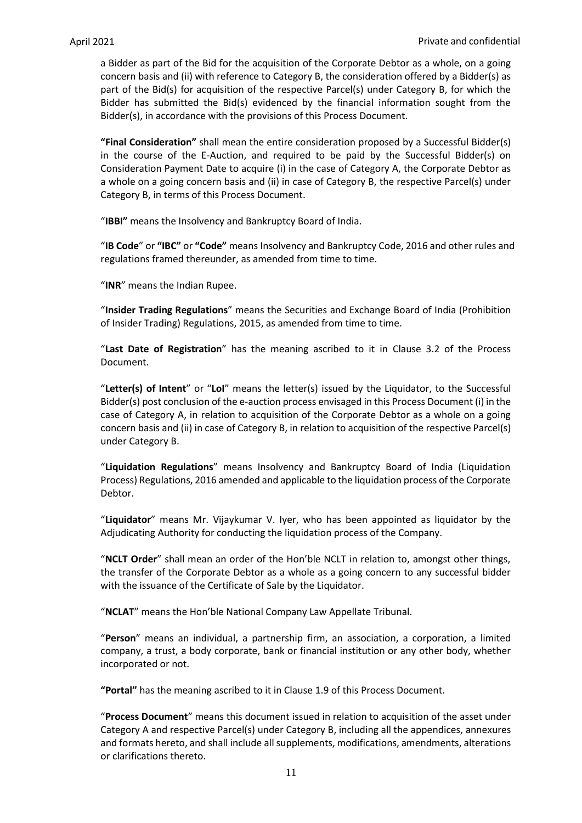a Bidder as part of the Bid for the acquisition of the Corporate Debtor as a whole, on a going concern basis and (ii) with reference to Category B, the consideration offered by a Bidder(s) as part of the Bid(s) for acquisition of the respective Parcel(s) under Category B, for which the Bidder has submitted the Bid(s) evidenced by the financial information sought from the Bidder(s), in accordance with the provisions of this Process Document.

**"Final Consideration"** shall mean the entire consideration proposed by a Successful Bidder(s) in the course of the E-Auction, and required to be paid by the Successful Bidder(s) on Consideration Payment Date to acquire (i) in the case of Category A, the Corporate Debtor as a whole on a going concern basis and (ii) in case of Category B, the respective Parcel(s) under Category B, in terms of this Process Document.

"**IBBI"** means the Insolvency and Bankruptcy Board of India.

"**IB Code**" or **"IBC"** or **"Code"** means Insolvency and Bankruptcy Code, 2016 and other rules and regulations framed thereunder, as amended from time to time.

"**INR**" means the Indian Rupee.

"**Insider Trading Regulations**" means the Securities and Exchange Board of India (Prohibition of Insider Trading) Regulations, 2015, as amended from time to time.

"**Last Date of Registration**" has the meaning ascribed to it in Clause [3.2](#page-14-2) of the Process Document.

"**Letter(s) of Intent**" or "**LoI**" means the letter(s) issued by the Liquidator, to the Successful Bidder(s) post conclusion of the e-auction process envisaged in this Process Document (i) in the case of Category A, in relation to acquisition of the Corporate Debtor as a whole on a going concern basis and (ii) in case of Category B, in relation to acquisition of the respective Parcel(s) under Category B.

"**Liquidation Regulations**" means Insolvency and Bankruptcy Board of India (Liquidation Process) Regulations, 2016 amended and applicable to the liquidation process of the Corporate Debtor.

"**Liquidator**" means Mr. Vijaykumar V. Iyer, who has been appointed as liquidator by the Adjudicating Authority for conducting the liquidation process of the Company.

"**NCLT Order**" shall mean an order of the Hon'ble NCLT in relation to, amongst other things, the transfer of the Corporate Debtor as a whole as a going concern to any successful bidder with the issuance of the Certificate of Sale by the Liquidator.

"**NCLAT**" means the Hon'ble National Company Law Appellate Tribunal.

"**Person**" means an individual, a partnership firm, an association, a corporation, a limited company, a trust, a body corporate, bank or financial institution or any other body, whether incorporated or not.

**"Portal"** has the meaning ascribed to it in Claus[e 1.9](#page-8-0) of this Process Document.

"**Process Document**" means this document issued in relation to acquisition of the asset under Category A and respective Parcel(s) under Category B, including all the appendices, annexures and formats hereto, and shall include all supplements, modifications, amendments, alterations or clarifications thereto.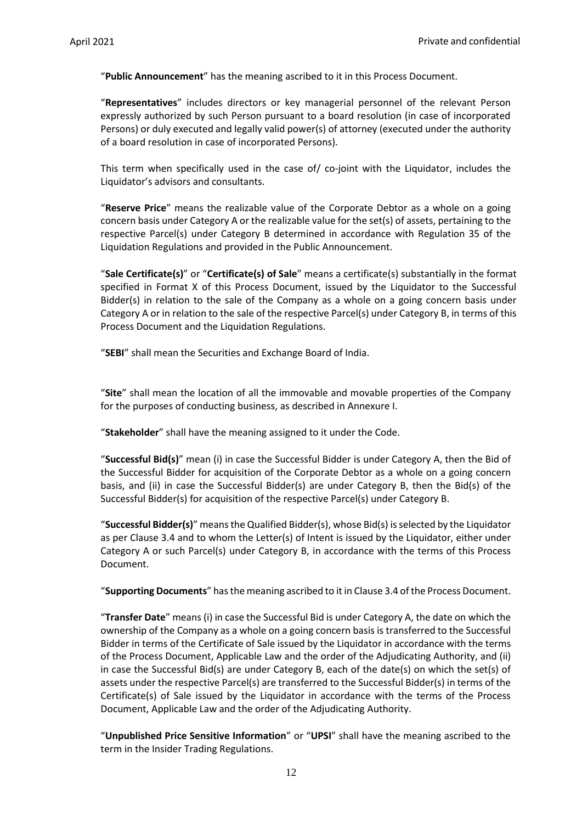"**Public Announcement**" has the meaning ascribed to it in this Process Document.

"**Representatives**" includes directors or key managerial personnel of the relevant Person expressly authorized by such Person pursuant to a board resolution (in case of incorporated Persons) or duly executed and legally valid power(s) of attorney (executed under the authority of a board resolution in case of incorporated Persons).

This term when specifically used in the case of/ co-joint with the Liquidator, includes the Liquidator's advisors and consultants.

"**Reserve Price**" means the realizable value of the Corporate Debtor as a whole on a going concern basis under Category A or the realizable value for the set(s) of assets, pertaining to the respective Parcel(s) under Category B determined in accordance with Regulation 35 of the Liquidation Regulations and provided in the Public Announcement.

"**Sale Certificate(s)**" or "**Certificate(s) of Sale**" means a certificate(s) substantially in the format specified in Format X of this Process Document, issued by the Liquidator to the Successful Bidder(s) in relation to the sale of the Company as a whole on a going concern basis under Category A or in relation to the sale of the respective Parcel(s) under Category B, in terms of this Process Document and the Liquidation Regulations.

"**SEBI**" shall mean the Securities and Exchange Board of India.

"**Site**" shall mean the location of all the immovable and movable properties of the Company for the purposes of conducting business, as described in Annexure I.

"**Stakeholder**" shall have the meaning assigned to it under the Code.

"**Successful Bid(s)**" mean (i) in case the Successful Bidder is under Category A, then the Bid of the Successful Bidder for acquisition of the Corporate Debtor as a whole on a going concern basis, and (ii) in case the Successful Bidder(s) are under Category B, then the Bid(s) of the Successful Bidder(s) for acquisition of the respective Parcel(s) under Category B.

"**Successful Bidder(s)**" meansthe Qualified Bidder(s), whose Bid(s) is selected by the Liquidator as per Clause [3.4](#page-18-0) and to whom the Letter(s) of Intent is issued by the Liquidator, either under Category A or such Parcel(s) under Category B, in accordance with the terms of this Process Document.

"**Supporting Documents**" has the meaning ascribed to it in Claus[e 3.4](#page-18-0) of the Process Document.

"**Transfer Date**" means (i) in case the Successful Bid is under Category A, the date on which the ownership of the Company as a whole on a going concern basis is transferred to the Successful Bidder in terms of the Certificate of Sale issued by the Liquidator in accordance with the terms of the Process Document, Applicable Law and the order of the Adjudicating Authority, and (ii) in case the Successful Bid(s) are under Category B, each of the date(s) on which the set(s) of assets under the respective Parcel(s) are transferred to the Successful Bidder(s) in terms of the Certificate(s) of Sale issued by the Liquidator in accordance with the terms of the Process Document, Applicable Law and the order of the Adjudicating Authority.

"**Unpublished Price Sensitive Information**" or "**UPSI**" shall have the meaning ascribed to the term in the Insider Trading Regulations.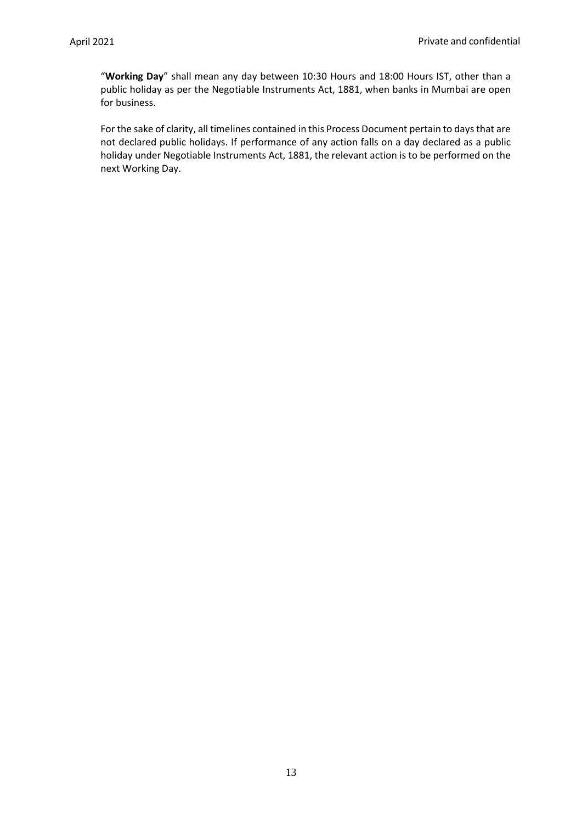"**Working Day**" shall mean any day between 10:30 Hours and 18:00 Hours IST, other than a public holiday as per the Negotiable Instruments Act, 1881, when banks in Mumbai are open for business.

For the sake of clarity, all timelines contained in this Process Document pertain to days that are not declared public holidays. If performance of any action falls on a day declared as a public holiday under Negotiable Instruments Act, 1881, the relevant action is to be performed on the next Working Day.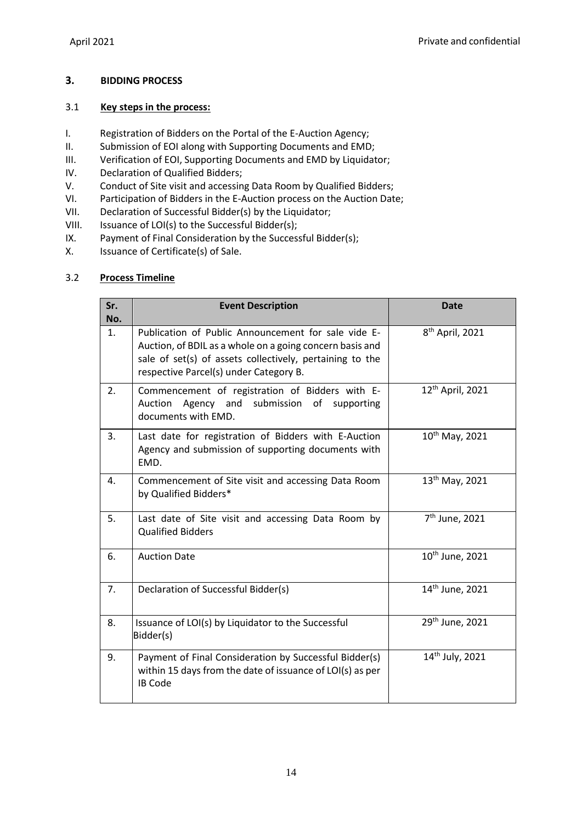# <span id="page-14-0"></span>**3. BIDDING PROCESS**

## <span id="page-14-1"></span>3.1 **Key steps in the process:**

- I. Registration of Bidders on the Portal of the E-Auction Agency;
- II. Submission of EOI along with Supporting Documents and EMD;
- III. Verification of EOI, Supporting Documents and EMD by Liquidator;
- IV. Declaration of Qualified Bidders;
- V. Conduct of Site visit and accessing Data Room by Qualified Bidders;
- VI. Participation of Bidders in the E-Auction process on the Auction Date;
- VII. Declaration of Successful Bidder(s) by the Liquidator;
- VIII. Issuance of LOI(s) to the Successful Bidder(s);
- IX. Payment of Final Consideration by the Successful Bidder(s);<br>X. Issuance of Certificate(s) of Sale.
- Issuance of Certificate(s) of Sale.

## <span id="page-14-2"></span>3.2 **Process Timeline**

| Sr.<br>No. | <b>Event Description</b>                                                                                                                                                                                                                             | <b>Date</b>                 |  |  |  |  |
|------------|------------------------------------------------------------------------------------------------------------------------------------------------------------------------------------------------------------------------------------------------------|-----------------------------|--|--|--|--|
| 1.         | 8 <sup>th</sup> April, 2021<br>Publication of Public Announcement for sale vide E-<br>Auction, of BDIL as a whole on a going concern basis and<br>sale of set(s) of assets collectively, pertaining to the<br>respective Parcel(s) under Category B. |                             |  |  |  |  |
| 2.         | 12 <sup>th</sup> April, 2021<br>Commencement of registration of Bidders with E-<br>Auction Agency and submission of supporting<br>documents with EMD.                                                                                                |                             |  |  |  |  |
| 3.         | $10^{th}$ May, 2021<br>Last date for registration of Bidders with E-Auction<br>Agency and submission of supporting documents with<br>EMD.                                                                                                            |                             |  |  |  |  |
| 4.         | 13 <sup>th</sup> May, 2021<br>Commencement of Site visit and accessing Data Room<br>by Qualified Bidders*                                                                                                                                            |                             |  |  |  |  |
| 5.         | 7 <sup>th</sup> June, 2021<br>Last date of Site visit and accessing Data Room by<br><b>Qualified Bidders</b>                                                                                                                                         |                             |  |  |  |  |
| 6.         | <b>Auction Date</b>                                                                                                                                                                                                                                  | 10 <sup>th</sup> June, 2021 |  |  |  |  |
| 7.         | Declaration of Successful Bidder(s)                                                                                                                                                                                                                  | 14 <sup>th</sup> June, 2021 |  |  |  |  |
| 8.         | Issuance of LOI(s) by Liquidator to the Successful<br>Bidder(s)                                                                                                                                                                                      | 29 <sup>th</sup> June, 2021 |  |  |  |  |
| 9.         | Payment of Final Consideration by Successful Bidder(s)<br>within 15 days from the date of issuance of LOI(s) as per<br><b>IB Code</b>                                                                                                                | 14 <sup>th</sup> July, 2021 |  |  |  |  |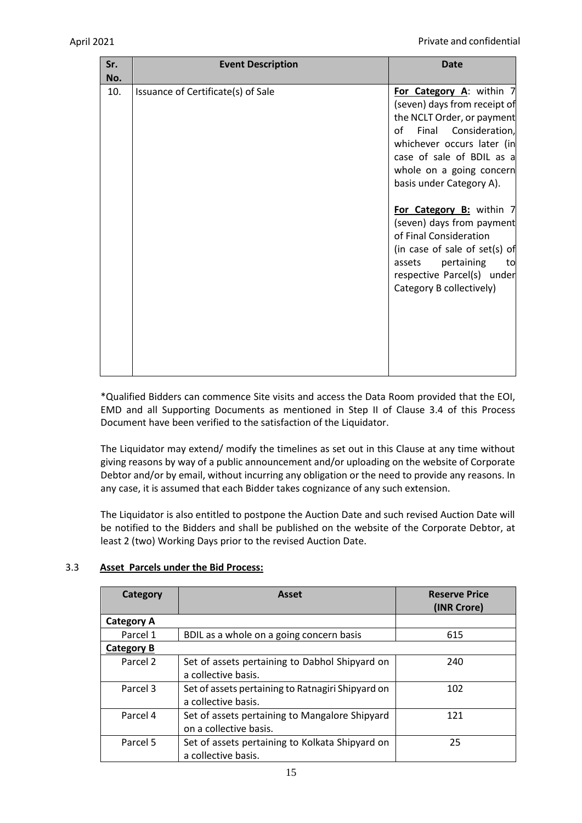| Sr.<br>No. | <b>Event Description</b>           | <b>Date</b>                                                                                                                                                                                                                                                                                                                                                                                                                                         |
|------------|------------------------------------|-----------------------------------------------------------------------------------------------------------------------------------------------------------------------------------------------------------------------------------------------------------------------------------------------------------------------------------------------------------------------------------------------------------------------------------------------------|
| 10.        | Issuance of Certificate(s) of Sale | For Category A: within 7<br>(seven) days from receipt of<br>the NCLT Order, or payment<br>Final Consideration,<br>of<br>whichever occurs later (in<br>case of sale of BDIL as a<br>whole on a going concern<br>basis under Category A).<br>For Category B: within 7<br>(seven) days from payment<br>of Final Consideration<br>(in case of sale of set(s) of<br>pertaining<br>assets<br>to<br>respective Parcel(s) under<br>Category B collectively) |
|            |                                    |                                                                                                                                                                                                                                                                                                                                                                                                                                                     |

\*Qualified Bidders can commence Site visits and access the Data Room provided that the EOI, EMD and all Supporting Documents as mentioned in Step II of Clause [3.4](#page-18-0) of this Process Document have been verified to the satisfaction of the Liquidator.

The Liquidator may extend/ modify the timelines as set out in this Clause at any time without giving reasons by way of a public announcement and/or uploading on the website of Corporate Debtor and/or by email, without incurring any obligation or the need to provide any reasons. In any case, it is assumed that each Bidder takes cognizance of any such extension.

The Liquidator is also entitled to postpone the Auction Date and such revised Auction Date will be notified to the Bidders and shall be published on the website of the Corporate Debtor, at least 2 (two) Working Days prior to the revised Auction Date.

# <span id="page-15-0"></span>3.3 **Asset Parcels under the Bid Process:**

| Category          | <b>Asset</b>                                      | <b>Reserve Price</b><br>(INR Crore) |  |  |
|-------------------|---------------------------------------------------|-------------------------------------|--|--|
| <b>Category A</b> |                                                   |                                     |  |  |
| Parcel 1          | BDIL as a whole on a going concern basis          | 615                                 |  |  |
| Category B        |                                                   |                                     |  |  |
| Parcel 2          | Set of assets pertaining to Dabhol Shipyard on    | 240                                 |  |  |
|                   | a collective basis.                               |                                     |  |  |
| Parcel 3          | Set of assets pertaining to Ratnagiri Shipyard on | 102                                 |  |  |
|                   | a collective basis.                               |                                     |  |  |
| Parcel 4          | Set of assets pertaining to Mangalore Shipyard    | 121                                 |  |  |
|                   | on a collective basis.                            |                                     |  |  |
| Parcel 5          | Set of assets pertaining to Kolkata Shipyard on   | 25                                  |  |  |
|                   | a collective basis.                               |                                     |  |  |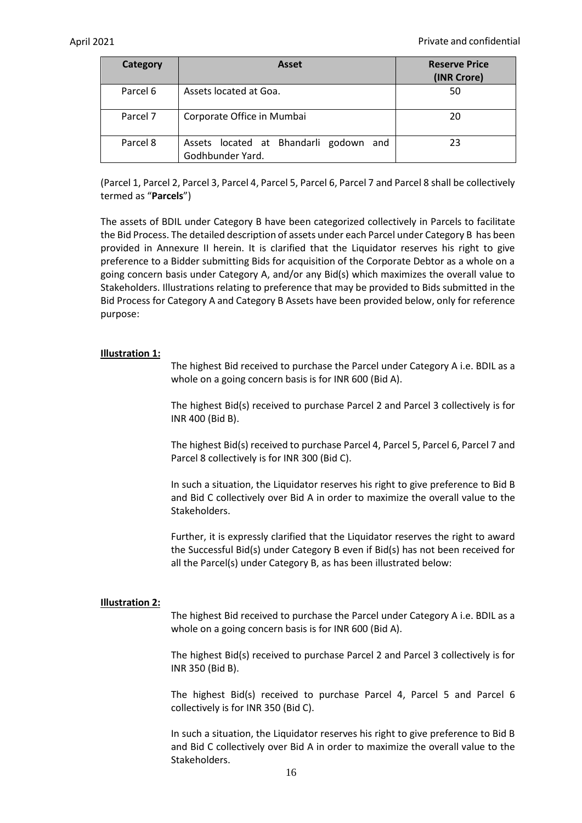| Category | Asset                                                      | <b>Reserve Price</b><br>(INR Crore) |
|----------|------------------------------------------------------------|-------------------------------------|
| Parcel 6 | Assets located at Goa.                                     | 50                                  |
| Parcel 7 | Corporate Office in Mumbai                                 | 20                                  |
| Parcel 8 | Assets located at Bhandarli godown and<br>Godhbunder Yard. | 23                                  |

(Parcel 1, Parcel 2, Parcel 3, Parcel 4, Parcel 5, Parcel 6, Parcel 7 and Parcel 8 shall be collectively termed as "**Parcels**")

The assets of BDIL under Category B have been categorized collectively in Parcels to facilitate the Bid Process. The detailed description of assets under each Parcel under Category B has been provided in Annexure II herein. It is clarified that the Liquidator reserves his right to give preference to a Bidder submitting Bids for acquisition of the Corporate Debtor as a whole on a going concern basis under Category A, and/or any Bid(s) which maximizes the overall value to Stakeholders. Illustrations relating to preference that may be provided to Bids submitted in the Bid Process for Category A and Category B Assets have been provided below, only for reference purpose:

### **Illustration 1:**

The highest Bid received to purchase the Parcel under Category A i.e. BDIL as a whole on a going concern basis is for INR 600 (Bid A).

The highest Bid(s) received to purchase Parcel 2 and Parcel 3 collectively is for INR 400 (Bid B).

The highest Bid(s) received to purchase Parcel 4, Parcel 5, Parcel 6, Parcel 7 and Parcel 8 collectively is for INR 300 (Bid C).

In such a situation, the Liquidator reserves his right to give preference to Bid B and Bid C collectively over Bid A in order to maximize the overall value to the Stakeholders.

Further, it is expressly clarified that the Liquidator reserves the right to award the Successful Bid(s) under Category B even if Bid(s) has not been received for all the Parcel(s) under Category B, as has been illustrated below:

### **Illustration 2:**

The highest Bid received to purchase the Parcel under Category A i.e. BDIL as a whole on a going concern basis is for INR 600 (Bid A).

The highest Bid(s) received to purchase Parcel 2 and Parcel 3 collectively is for INR 350 (Bid B).

The highest Bid(s) received to purchase Parcel 4, Parcel 5 and Parcel 6 collectively is for INR 350 (Bid C).

In such a situation, the Liquidator reserves his right to give preference to Bid B and Bid C collectively over Bid A in order to maximize the overall value to the Stakeholders.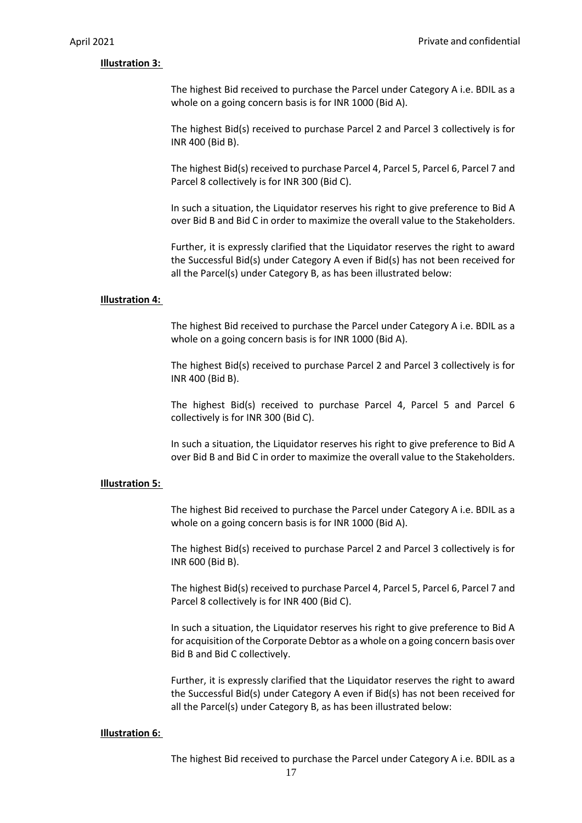#### **Illustration 3:**

The highest Bid received to purchase the Parcel under Category A i.e. BDIL as a whole on a going concern basis is for INR 1000 (Bid A).

The highest Bid(s) received to purchase Parcel 2 and Parcel 3 collectively is for INR 400 (Bid B).

The highest Bid(s) received to purchase Parcel 4, Parcel 5, Parcel 6, Parcel 7 and Parcel 8 collectively is for INR 300 (Bid C).

In such a situation, the Liquidator reserves his right to give preference to Bid A over Bid B and Bid C in order to maximize the overall value to the Stakeholders.

Further, it is expressly clarified that the Liquidator reserves the right to award the Successful Bid(s) under Category A even if Bid(s) has not been received for all the Parcel(s) under Category B, as has been illustrated below:

#### **Illustration 4:**

The highest Bid received to purchase the Parcel under Category A i.e. BDIL as a whole on a going concern basis is for INR 1000 (Bid A).

The highest Bid(s) received to purchase Parcel 2 and Parcel 3 collectively is for INR 400 (Bid B).

The highest Bid(s) received to purchase Parcel 4, Parcel 5 and Parcel 6 collectively is for INR 300 (Bid C).

In such a situation, the Liquidator reserves his right to give preference to Bid A over Bid B and Bid C in order to maximize the overall value to the Stakeholders.

#### **Illustration 5:**

The highest Bid received to purchase the Parcel under Category A i.e. BDIL as a whole on a going concern basis is for INR 1000 (Bid A).

The highest Bid(s) received to purchase Parcel 2 and Parcel 3 collectively is for INR 600 (Bid B).

The highest Bid(s) received to purchase Parcel 4, Parcel 5, Parcel 6, Parcel 7 and Parcel 8 collectively is for INR 400 (Bid C).

In such a situation, the Liquidator reserves his right to give preference to Bid A for acquisition of the Corporate Debtor as a whole on a going concern basis over Bid B and Bid C collectively.

Further, it is expressly clarified that the Liquidator reserves the right to award the Successful Bid(s) under Category A even if Bid(s) has not been received for all the Parcel(s) under Category B, as has been illustrated below:

#### **Illustration 6:**

The highest Bid received to purchase the Parcel under Category A i.e. BDIL as a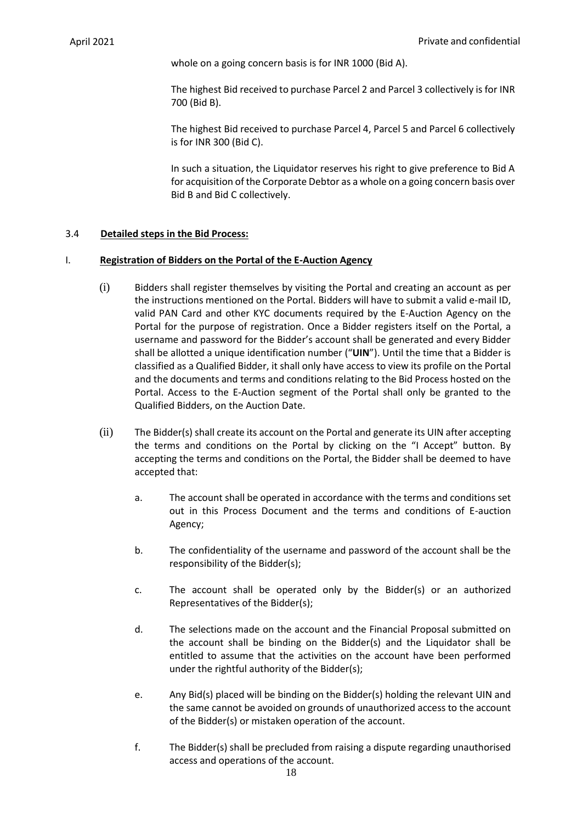whole on a going concern basis is for INR 1000 (Bid A).

The highest Bid received to purchase Parcel 2 and Parcel 3 collectively is for INR 700 (Bid B).

The highest Bid received to purchase Parcel 4, Parcel 5 and Parcel 6 collectively is for INR 300 (Bid C).

In such a situation, the Liquidator reserves his right to give preference to Bid A for acquisition of the Corporate Debtor as a whole on a going concern basis over Bid B and Bid C collectively.

# <span id="page-18-0"></span>3.4 **Detailed steps in the Bid Process:**

# <span id="page-18-1"></span>I. **Registration of Bidders on the Portal of the E-Auction Agency**

- (i) Bidders shall register themselves by visiting the Portal and creating an account as per the instructions mentioned on the Portal. Bidders will have to submit a valid e-mail ID, valid PAN Card and other KYC documents required by the E-Auction Agency on the Portal for the purpose of registration. Once a Bidder registers itself on the Portal, a username and password for the Bidder's account shall be generated and every Bidder shall be allotted a unique identification number ("**UIN**"). Until the time that a Bidder is classified as a Qualified Bidder, it shall only have access to view its profile on the Portal and the documents and terms and conditions relating to the Bid Process hosted on the Portal. Access to the E-Auction segment of the Portal shall only be granted to the Qualified Bidders, on the Auction Date.
- (ii) The Bidder(s) shall create its account on the Portal and generate its UIN after accepting the terms and conditions on the Portal by clicking on the "I Accept" button. By accepting the terms and conditions on the Portal, the Bidder shall be deemed to have accepted that:
	- a. The account shall be operated in accordance with the terms and conditions set out in this Process Document and the terms and conditions of E-auction Agency;
	- b. The confidentiality of the username and password of the account shall be the responsibility of the Bidder(s);
	- c. The account shall be operated only by the Bidder(s) or an authorized Representatives of the Bidder(s);
	- d. The selections made on the account and the Financial Proposal submitted on the account shall be binding on the Bidder(s) and the Liquidator shall be entitled to assume that the activities on the account have been performed under the rightful authority of the Bidder(s);
	- e. Any Bid(s) placed will be binding on the Bidder(s) holding the relevant UIN and the same cannot be avoided on grounds of unauthorized access to the account of the Bidder(s) or mistaken operation of the account.
	- f. The Bidder(s) shall be precluded from raising a dispute regarding unauthorised access and operations of the account.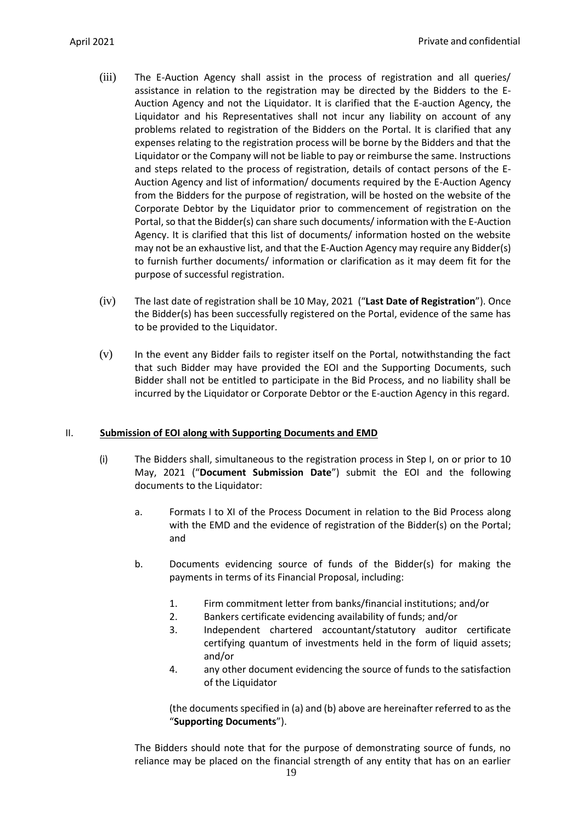- (iii) The E-Auction Agency shall assist in the process of registration and all queries/ assistance in relation to the registration may be directed by the Bidders to the E-Auction Agency and not the Liquidator. It is clarified that the E-auction Agency, the Liquidator and his Representatives shall not incur any liability on account of any problems related to registration of the Bidders on the Portal. It is clarified that any expenses relating to the registration process will be borne by the Bidders and that the Liquidator or the Company will not be liable to pay or reimburse the same. Instructions and steps related to the process of registration, details of contact persons of the E-Auction Agency and list of information/ documents required by the E-Auction Agency from the Bidders for the purpose of registration, will be hosted on the website of the Corporate Debtor by the Liquidator prior to commencement of registration on the Portal, so that the Bidder(s) can share such documents/ information with the E-Auction Agency. It is clarified that this list of documents/ information hosted on the website may not be an exhaustive list, and that the E-Auction Agency may require any Bidder(s) to furnish further documents/ information or clarification as it may deem fit for the purpose of successful registration.
- (iv) The last date of registration shall be 10 May, 2021 ("**Last Date of Registration**"). Once the Bidder(s) has been successfully registered on the Portal, evidence of the same has to be provided to the Liquidator.
- (v) In the event any Bidder fails to register itself on the Portal, notwithstanding the fact that such Bidder may have provided the EOI and the Supporting Documents, such Bidder shall not be entitled to participate in the Bid Process, and no liability shall be incurred by the Liquidator or Corporate Debtor or the E-auction Agency in this regard.

### <span id="page-19-0"></span>II. **Submission of EOI along with Supporting Documents and EMD**

- (i) The Bidders shall, simultaneous to the registration process in Step I, on or prior to 10 May, 2021 ("**Document Submission Date**") submit the EOI and the following documents to the Liquidator:
	- a. Formats I to XI of the Process Document in relation to the Bid Process along with the EMD and the evidence of registration of the Bidder(s) on the Portal; and
	- b. Documents evidencing source of funds of the Bidder(s) for making the payments in terms of its Financial Proposal, including:
		- 1. Firm commitment letter from banks/financial institutions; and/or
		- 2. Bankers certificate evidencing availability of funds; and/or
		- 3. Independent chartered accountant/statutory auditor certificate certifying quantum of investments held in the form of liquid assets; and/or
		- 4. any other document evidencing the source of funds to the satisfaction of the Liquidator

(the documents specified in (a) and (b) above are hereinafter referred to as the "**Supporting Documents**").

The Bidders should note that for the purpose of demonstrating source of funds, no reliance may be placed on the financial strength of any entity that has on an earlier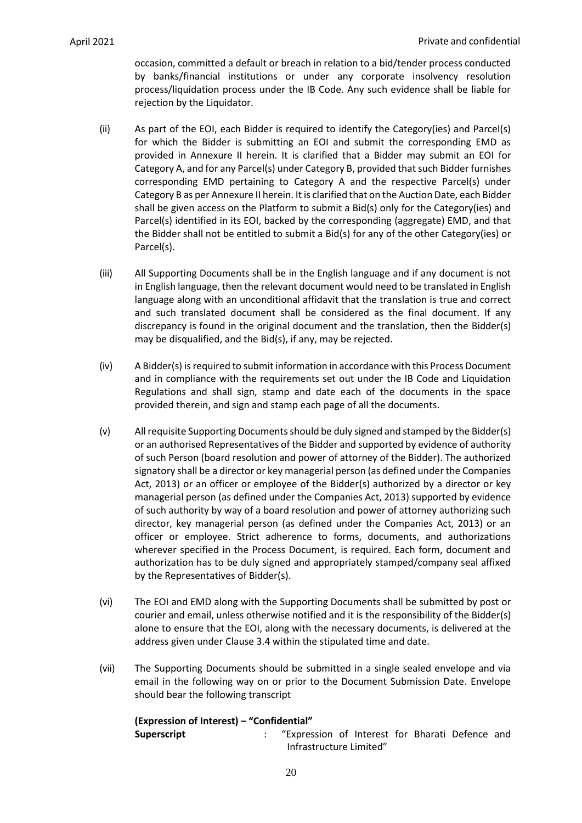occasion, committed a default or breach in relation to a bid/tender process conducted by banks/financial institutions or under any corporate insolvency resolution process/liquidation process under the IB Code. Any such evidence shall be liable for rejection by the Liquidator.

- (ii) As part of the EOI, each Bidder is required to identify the Category(ies) and Parcel(s) for which the Bidder is submitting an EOI and submit the corresponding EMD as provided in Annexure II herein. It is clarified that a Bidder may submit an EOI for Category A, and for any Parcel(s) under Category B, provided that such Bidder furnishes corresponding EMD pertaining to Category A and the respective Parcel(s) under Category B as per Annexure II herein. It is clarified that on the Auction Date, each Bidder shall be given access on the Platform to submit a Bid(s) only for the Category(ies) and Parcel(s) identified in its EOI, backed by the corresponding (aggregate) EMD, and that the Bidder shall not be entitled to submit a Bid(s) for any of the other Category(ies) or Parcel(s).
- (iii) All Supporting Documents shall be in the English language and if any document is not in English language, then the relevant document would need to be translated in English language along with an unconditional affidavit that the translation is true and correct and such translated document shall be considered as the final document. If any discrepancy is found in the original document and the translation, then the Bidder(s) may be disqualified, and the Bid(s), if any, may be rejected.
- (iv) A Bidder(s) is required to submit information in accordance with this Process Document and in compliance with the requirements set out under the IB Code and Liquidation Regulations and shall sign, stamp and date each of the documents in the space provided therein, and sign and stamp each page of all the documents.
- (v) All requisite Supporting Documents should be duly signed and stamped by the Bidder(s) or an authorised Representatives of the Bidder and supported by evidence of authority of such Person (board resolution and power of attorney of the Bidder). The authorized signatory shall be a director or key managerial person (as defined under the Companies Act, 2013) or an officer or employee of the Bidder(s) authorized by a director or key managerial person (as defined under the Companies Act, 2013) supported by evidence of such authority by way of a board resolution and power of attorney authorizing such director, key managerial person (as defined under the Companies Act, 2013) or an officer or employee. Strict adherence to forms, documents, and authorizations wherever specified in the Process Document, is required. Each form, document and authorization has to be duly signed and appropriately stamped/company seal affixed by the Representatives of Bidder(s).
- (vi) The EOI and EMD along with the Supporting Documents shall be submitted by post or courier and email, unless otherwise notified and it is the responsibility of the Bidder(s) alone to ensure that the EOI, along with the necessary documents, is delivered at the address given under Claus[e 3.4](#page-18-0) within the stipulated time and date.
- (vii) The Supporting Documents should be submitted in a single sealed envelope and via email in the following way on or prior to the Document Submission Date. Envelope should bear the following transcript

| (Expression of Interest) – "Confidential" |                         |                                                 |  |  |  |  |  |  |
|-------------------------------------------|-------------------------|-------------------------------------------------|--|--|--|--|--|--|
| <b>Superscript</b>                        |                         | "Expression of Interest for Bharati Defence and |  |  |  |  |  |  |
|                                           | Infrastructure Limited" |                                                 |  |  |  |  |  |  |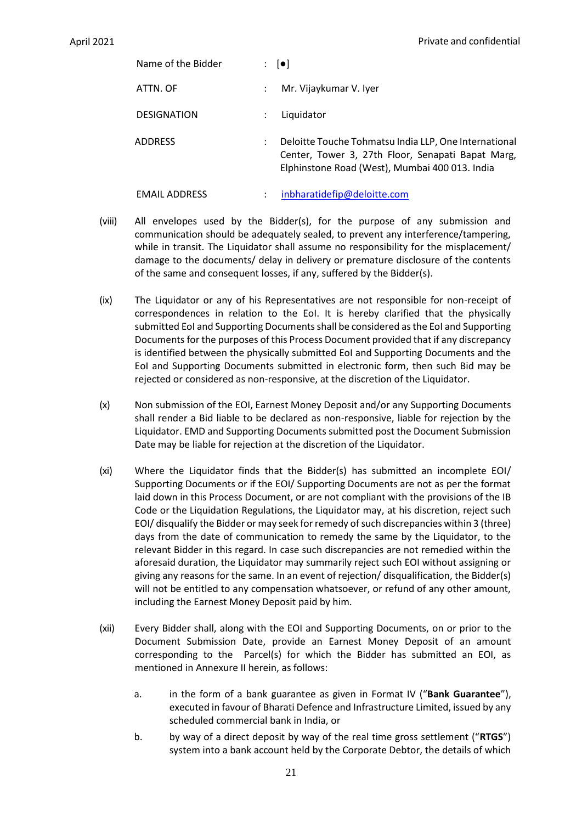| Name of the Bidder   | $\mathbf{E} \left[ \bullet \right]$ |                                                                                                                                                              |
|----------------------|-------------------------------------|--------------------------------------------------------------------------------------------------------------------------------------------------------------|
| ATTN. OF             | $\ddot{\phantom{0}}$                | Mr. Vijaykumar V. Iyer                                                                                                                                       |
| <b>DESIGNATION</b>   | ÷                                   | Liquidator                                                                                                                                                   |
| <b>ADDRESS</b>       | :                                   | Deloitte Touche Tohmatsu India LLP, One International<br>Center, Tower 3, 27th Floor, Senapati Bapat Marg,<br>Elphinstone Road (West), Mumbai 400 013. India |
| <b>EMAIL ADDRESS</b> |                                     | inbharatidefip@deloitte.com                                                                                                                                  |

- (viii) All envelopes used by the Bidder(s), for the purpose of any submission and communication should be adequately sealed, to prevent any interference/tampering, while in transit. The Liquidator shall assume no responsibility for the misplacement/ damage to the documents/ delay in delivery or premature disclosure of the contents of the same and consequent losses, if any, suffered by the Bidder(s).
- (ix) The Liquidator or any of his Representatives are not responsible for non-receipt of correspondences in relation to the EoI. It is hereby clarified that the physically submitted EoI and Supporting Documents shall be considered as the EoI and Supporting Documents for the purposes of this Process Document provided that if any discrepancy is identified between the physically submitted EoI and Supporting Documents and the EoI and Supporting Documents submitted in electronic form, then such Bid may be rejected or considered as non-responsive, at the discretion of the Liquidator.
- (x) Non submission of the EOI, Earnest Money Deposit and/or any Supporting Documents shall render a Bid liable to be declared as non-responsive, liable for rejection by the Liquidator. EMD and Supporting Documents submitted post the Document Submission Date may be liable for rejection at the discretion of the Liquidator.
- (xi) Where the Liquidator finds that the Bidder(s) has submitted an incomplete EOI/ Supporting Documents or if the EOI/ Supporting Documents are not as per the format laid down in this Process Document, or are not compliant with the provisions of the IB Code or the Liquidation Regulations, the Liquidator may, at his discretion, reject such EOI/ disqualify the Bidder or may seek for remedy of such discrepancies within 3 (three) days from the date of communication to remedy the same by the Liquidator, to the relevant Bidder in this regard. In case such discrepancies are not remedied within the aforesaid duration, the Liquidator may summarily reject such EOI without assigning or giving any reasons for the same. In an event of rejection/ disqualification, the Bidder(s) will not be entitled to any compensation whatsoever, or refund of any other amount, including the Earnest Money Deposit paid by him.
- (xii) Every Bidder shall, along with the EOI and Supporting Documents, on or prior to the Document Submission Date, provide an Earnest Money Deposit of an amount corresponding to the Parcel(s) for which the Bidder has submitted an EOI, as mentioned in Annexure II herein, as follows:
	- a. in the form of a bank guarantee as given in Format IV ("**Bank Guarantee**"), executed in favour of Bharati Defence and Infrastructure Limited, issued by any scheduled commercial bank in India, or
	- b. by way of a direct deposit by way of the real time gross settlement ("**RTGS**") system into a bank account held by the Corporate Debtor, the details of which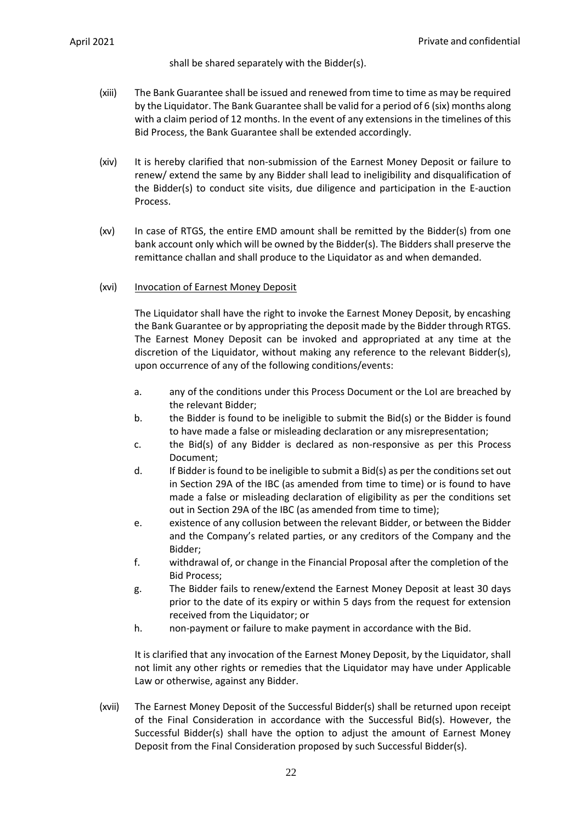shall be shared separately with the Bidder(s).

- (xiii) The Bank Guarantee shall be issued and renewed from time to time as may be required by the Liquidator. The Bank Guarantee shall be valid for a period of 6 (six) months along with a claim period of 12 months. In the event of any extensions in the timelines of this Bid Process, the Bank Guarantee shall be extended accordingly.
- (xiv) It is hereby clarified that non-submission of the Earnest Money Deposit or failure to renew/ extend the same by any Bidder shall lead to ineligibility and disqualification of the Bidder(s) to conduct site visits, due diligence and participation in the E-auction Process.
- (xv) In case of RTGS, the entire EMD amount shall be remitted by the Bidder(s) from one bank account only which will be owned by the Bidder(s). The Bidders shall preserve the remittance challan and shall produce to the Liquidator as and when demanded.

## (xvi) Invocation of Earnest Money Deposit

The Liquidator shall have the right to invoke the Earnest Money Deposit, by encashing the Bank Guarantee or by appropriating the deposit made by the Bidder through RTGS. The Earnest Money Deposit can be invoked and appropriated at any time at the discretion of the Liquidator, without making any reference to the relevant Bidder(s), upon occurrence of any of the following conditions/events:

- a. any of the conditions under this Process Document or the LoI are breached by the relevant Bidder;
- b. the Bidder is found to be ineligible to submit the Bid(s) or the Bidder is found to have made a false or misleading declaration or any misrepresentation;
- c. the Bid(s) of any Bidder is declared as non-responsive as per this Process Document;
- d. If Bidder is found to be ineligible to submit a Bid(s) as per the conditions set out in Section 29A of the IBC (as amended from time to time) or is found to have made a false or misleading declaration of eligibility as per the conditions set out in Section 29A of the IBC (as amended from time to time);
- e. existence of any collusion between the relevant Bidder, or between the Bidder and the Company's related parties, or any creditors of the Company and the Bidder;
- f. withdrawal of, or change in the Financial Proposal after the completion of the Bid Process;
- g. The Bidder fails to renew/extend the Earnest Money Deposit at least 30 days prior to the date of its expiry or within 5 days from the request for extension received from the Liquidator; or
- h. non-payment or failure to make payment in accordance with the Bid.

It is clarified that any invocation of the Earnest Money Deposit, by the Liquidator, shall not limit any other rights or remedies that the Liquidator may have under Applicable Law or otherwise, against any Bidder.

(xvii) The Earnest Money Deposit of the Successful Bidder(s) shall be returned upon receipt of the Final Consideration in accordance with the Successful Bid(s). However, the Successful Bidder(s) shall have the option to adjust the amount of Earnest Money Deposit from the Final Consideration proposed by such Successful Bidder(s).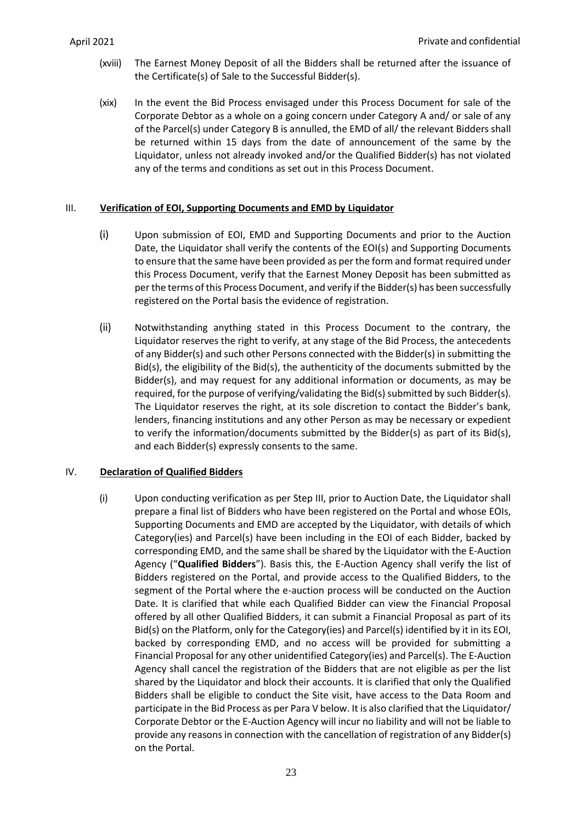- (xviii) The Earnest Money Deposit of all the Bidders shall be returned after the issuance of the Certificate(s) of Sale to the Successful Bidder(s).
- (xix) In the event the Bid Process envisaged under this Process Document for sale of the Corporate Debtor as a whole on a going concern under Category A and/ or sale of any of the Parcel(s) under Category B is annulled, the EMD of all/ the relevant Bidders shall be returned within 15 days from the date of announcement of the same by the Liquidator, unless not already invoked and/or the Qualified Bidder(s) has not violated any of the terms and conditions as set out in this Process Document.

# <span id="page-23-0"></span>III. **Verification of EOI, Supporting Documents and EMD by Liquidator**

- (i) Upon submission of EOI, EMD and Supporting Documents and prior to the Auction Date, the Liquidator shall verify the contents of the EOI(s) and Supporting Documents to ensure that the same have been provided as per the form and format required under this Process Document, verify that the Earnest Money Deposit has been submitted as per the terms of this Process Document, and verify if the Bidder(s) has been successfully registered on the Portal basis the evidence of registration.
- (ii) Notwithstanding anything stated in this Process Document to the contrary, the Liquidator reserves the right to verify, at any stage of the Bid Process, the antecedents of any Bidder(s) and such other Persons connected with the Bidder(s) in submitting the Bid(s), the eligibility of the Bid(s), the authenticity of the documents submitted by the Bidder(s), and may request for any additional information or documents, as may be required, for the purpose of verifying/validating the Bid(s) submitted by such Bidder(s). The Liquidator reserves the right, at its sole discretion to contact the Bidder's bank, lenders, financing institutions and any other Person as may be necessary or expedient to verify the information/documents submitted by the Bidder(s) as part of its Bid(s), and each Bidder(s) expressly consents to the same.

# <span id="page-23-1"></span>IV. **Declaration of Qualified Bidders**

(i) Upon conducting verification as per Step III, prior to Auction Date, the Liquidator shall prepare a final list of Bidders who have been registered on the Portal and whose EOIs, Supporting Documents and EMD are accepted by the Liquidator, with details of which Category(ies) and Parcel(s) have been including in the EOI of each Bidder, backed by corresponding EMD, and the same shall be shared by the Liquidator with the E-Auction Agency ("**Qualified Bidders**"). Basis this, the E-Auction Agency shall verify the list of Bidders registered on the Portal, and provide access to the Qualified Bidders, to the segment of the Portal where the e-auction process will be conducted on the Auction Date. It is clarified that while each Qualified Bidder can view the Financial Proposal offered by all other Qualified Bidders, it can submit a Financial Proposal as part of its Bid(s) on the Platform, only for the Category(ies) and Parcel(s) identified by it in its EOI, backed by corresponding EMD, and no access will be provided for submitting a Financial Proposal for any other unidentified Category(ies) and Parcel(s). The E-Auction Agency shall cancel the registration of the Bidders that are not eligible as per the list shared by the Liquidator and block their accounts. It is clarified that only the Qualified Bidders shall be eligible to conduct the Site visit, have access to the Data Room and participate in the Bid Process as per Para V below. It is also clarified that the Liquidator/ Corporate Debtor or the E-Auction Agency will incur no liability and will not be liable to provide any reasons in connection with the cancellation of registration of any Bidder(s) on the Portal.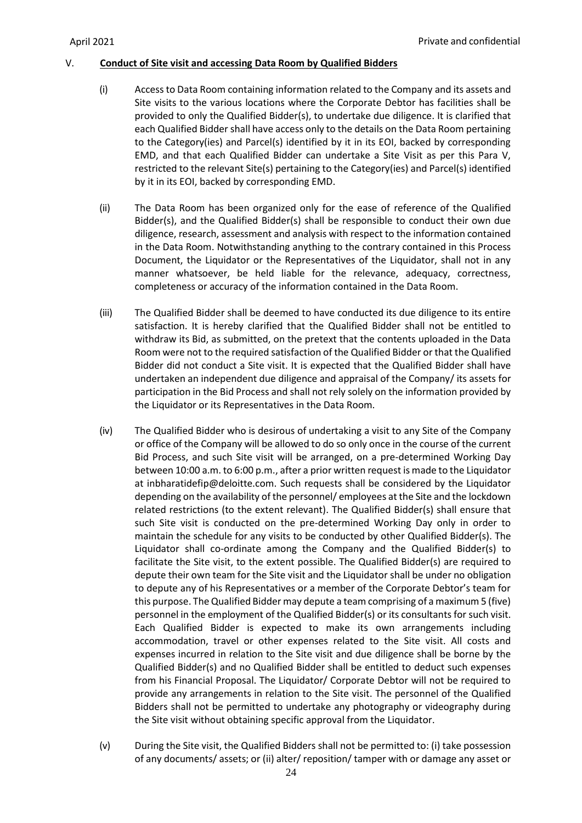## <span id="page-24-0"></span>V. **Conduct of Site visit and accessing Data Room by Qualified Bidders**

- (i) Access to Data Room containing information related to the Company and its assets and Site visits to the various locations where the Corporate Debtor has facilities shall be provided to only the Qualified Bidder(s), to undertake due diligence. It is clarified that each Qualified Bidder shall have access only to the details on the Data Room pertaining to the Category(ies) and Parcel(s) identified by it in its EOI, backed by corresponding EMD, and that each Qualified Bidder can undertake a Site Visit as per this Para V, restricted to the relevant Site(s) pertaining to the Category(ies) and Parcel(s) identified by it in its EOI, backed by corresponding EMD.
- (ii) The Data Room has been organized only for the ease of reference of the Qualified Bidder(s), and the Qualified Bidder(s) shall be responsible to conduct their own due diligence, research, assessment and analysis with respect to the information contained in the Data Room. Notwithstanding anything to the contrary contained in this Process Document, the Liquidator or the Representatives of the Liquidator, shall not in any manner whatsoever, be held liable for the relevance, adequacy, correctness, completeness or accuracy of the information contained in the Data Room.
- (iii) The Qualified Bidder shall be deemed to have conducted its due diligence to its entire satisfaction. It is hereby clarified that the Qualified Bidder shall not be entitled to withdraw its Bid, as submitted, on the pretext that the contents uploaded in the Data Room were not to the required satisfaction of the Qualified Bidder or that the Qualified Bidder did not conduct a Site visit. It is expected that the Qualified Bidder shall have undertaken an independent due diligence and appraisal of the Company/ its assets for participation in the Bid Process and shall not rely solely on the information provided by the Liquidator or its Representatives in the Data Room.
- (iv) The Qualified Bidder who is desirous of undertaking a visit to any Site of the Company or office of the Company will be allowed to do so only once in the course of the current Bid Process, and such Site visit will be arranged, on a pre-determined Working Day between 10:00 a.m. to 6:00 p.m., after a prior written request is made to the Liquidator at inbharatidefip@deloitte.com. Such requests shall be considered by the Liquidator depending on the availability of the personnel/ employees at the Site and the lockdown related restrictions (to the extent relevant). The Qualified Bidder(s) shall ensure that such Site visit is conducted on the pre-determined Working Day only in order to maintain the schedule for any visits to be conducted by other Qualified Bidder(s). The Liquidator shall co-ordinate among the Company and the Qualified Bidder(s) to facilitate the Site visit, to the extent possible. The Qualified Bidder(s) are required to depute their own team for the Site visit and the Liquidator shall be under no obligation to depute any of his Representatives or a member of the Corporate Debtor's team for this purpose. The Qualified Bidder may depute a team comprising of a maximum 5 (five) personnel in the employment of the Qualified Bidder(s) or its consultants for such visit. Each Qualified Bidder is expected to make its own arrangements including accommodation, travel or other expenses related to the Site visit. All costs and expenses incurred in relation to the Site visit and due diligence shall be borne by the Qualified Bidder(s) and no Qualified Bidder shall be entitled to deduct such expenses from his Financial Proposal. The Liquidator/ Corporate Debtor will not be required to provide any arrangements in relation to the Site visit. The personnel of the Qualified Bidders shall not be permitted to undertake any photography or videography during the Site visit without obtaining specific approval from the Liquidator.
- (v) During the Site visit, the Qualified Bidders shall not be permitted to: (i) take possession of any documents/ assets; or (ii) alter/ reposition/ tamper with or damage any asset or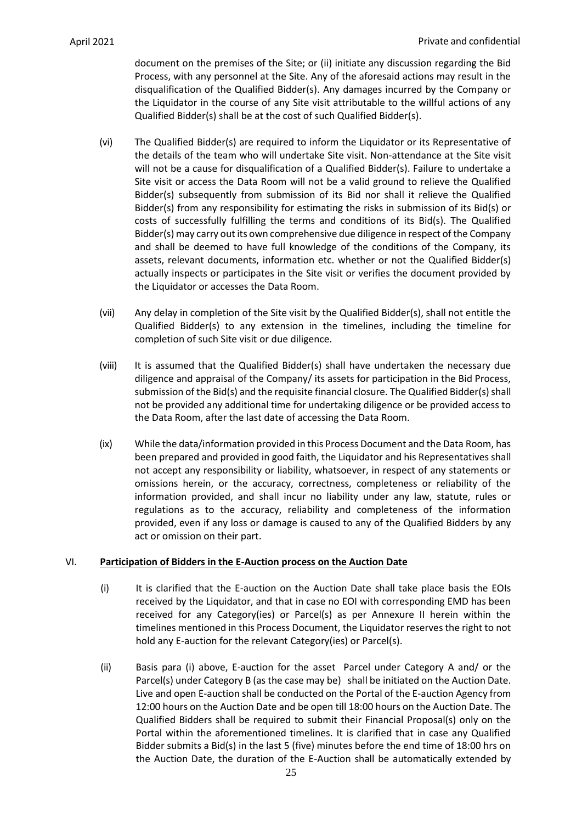document on the premises of the Site; or (ii) initiate any discussion regarding the Bid Process, with any personnel at the Site. Any of the aforesaid actions may result in the disqualification of the Qualified Bidder(s). Any damages incurred by the Company or the Liquidator in the course of any Site visit attributable to the willful actions of any Qualified Bidder(s) shall be at the cost of such Qualified Bidder(s).

- (vi) The Qualified Bidder(s) are required to inform the Liquidator or its Representative of the details of the team who will undertake Site visit. Non-attendance at the Site visit will not be a cause for disqualification of a Qualified Bidder(s). Failure to undertake a Site visit or access the Data Room will not be a valid ground to relieve the Qualified Bidder(s) subsequently from submission of its Bid nor shall it relieve the Qualified Bidder(s) from any responsibility for estimating the risks in submission of its Bid(s) or costs of successfully fulfilling the terms and conditions of its Bid(s). The Qualified Bidder(s) may carry out its own comprehensive due diligence in respect of the Company and shall be deemed to have full knowledge of the conditions of the Company, its assets, relevant documents, information etc. whether or not the Qualified Bidder(s) actually inspects or participates in the Site visit or verifies the document provided by the Liquidator or accesses the Data Room.
- (vii) Any delay in completion of the Site visit by the Qualified Bidder(s), shall not entitle the Qualified Bidder(s) to any extension in the timelines, including the timeline for completion of such Site visit or due diligence.
- (viii) It is assumed that the Qualified Bidder(s) shall have undertaken the necessary due diligence and appraisal of the Company/ its assets for participation in the Bid Process, submission of the Bid(s) and the requisite financial closure. The Qualified Bidder(s) shall not be provided any additional time for undertaking diligence or be provided access to the Data Room, after the last date of accessing the Data Room.
- (ix) While the data/information provided in this Process Document and the Data Room, has been prepared and provided in good faith, the Liquidator and his Representatives shall not accept any responsibility or liability, whatsoever, in respect of any statements or omissions herein, or the accuracy, correctness, completeness or reliability of the information provided, and shall incur no liability under any law, statute, rules or regulations as to the accuracy, reliability and completeness of the information provided, even if any loss or damage is caused to any of the Qualified Bidders by any act or omission on their part.

# <span id="page-25-0"></span>VI. **Participation of Bidders in the E-Auction process on the Auction Date**

- (i) It is clarified that the E-auction on the Auction Date shall take place basis the EOIs received by the Liquidator, and that in case no EOI with corresponding EMD has been received for any Category(ies) or Parcel(s) as per Annexure II herein within the timelines mentioned in this Process Document, the Liquidator reserves the right to not hold any E-auction for the relevant Category(ies) or Parcel(s).
- (ii) Basis para (i) above, E-auction for the asset Parcel under Category A and/ or the Parcel(s) under Category B (as the case may be) shall be initiated on the Auction Date. Live and open E-auction shall be conducted on the Portal of the E-auction Agency from 12:00 hours on the Auction Date and be open till 18:00 hours on the Auction Date. The Qualified Bidders shall be required to submit their Financial Proposal(s) only on the Portal within the aforementioned timelines. It is clarified that in case any Qualified Bidder submits a Bid(s) in the last 5 (five) minutes before the end time of 18:00 hrs on the Auction Date, the duration of the E-Auction shall be automatically extended by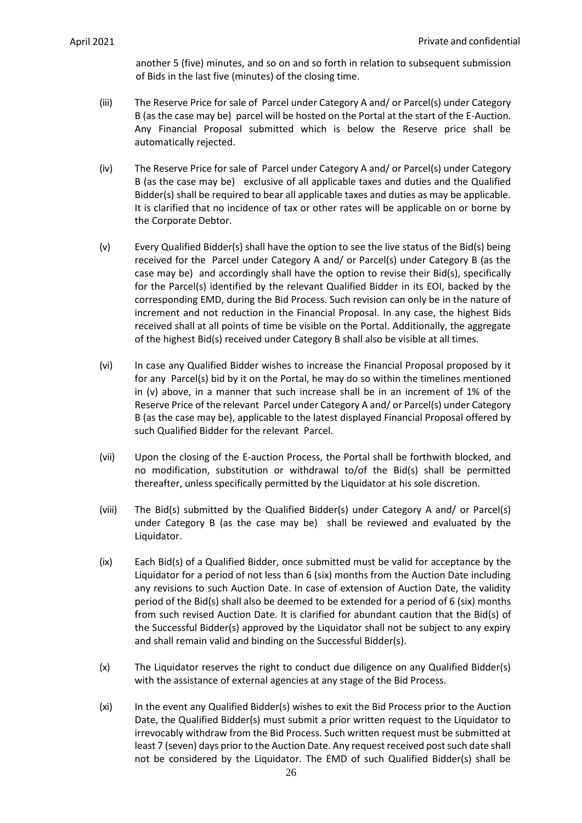another 5 (five) minutes, and so on and so forth in relation to subsequent submission of Bids in the last five (minutes) of the closing time.

- (iii) The Reserve Price for sale of Parcel under Category A and/ or Parcel(s) under Category B (as the case may be) parcel will be hosted on the Portal at the start of the E-Auction. Any Financial Proposal submitted which is below the Reserve price shall be automatically rejected.
- (iv) The Reserve Price for sale of Parcel under Category A and/ or Parcel(s) under Category B (as the case may be) exclusive of all applicable taxes and duties and the Qualified Bidder(s) shall be required to bear all applicable taxes and duties as may be applicable. It is clarified that no incidence of tax or other rates will be applicable on or borne by the Corporate Debtor.
- (v) Every Qualified Bidder(s) shall have the option to see the live status of the Bid(s) being received for the Parcel under Category A and/ or Parcel(s) under Category B (as the case may be) and accordingly shall have the option to revise their Bid(s), specifically for the Parcel(s) identified by the relevant Qualified Bidder in its EOI, backed by the corresponding EMD, during the Bid Process. Such revision can only be in the nature of increment and not reduction in the Financial Proposal. In any case, the highest Bids received shall at all points of time be visible on the Portal. Additionally, the aggregate of the highest Bid(s) received under Category B shall also be visible at all times.
- (vi) In case any Qualified Bidder wishes to increase the Financial Proposal proposed by it for any Parcel(s) bid by it on the Portal, he may do so within the timelines mentioned in (v) above, in a manner that such increase shall be in an increment of 1% of the Reserve Price of the relevant Parcel under Category A and/ or Parcel(s) under Category B (as the case may be), applicable to the latest displayed Financial Proposal offered by such Qualified Bidder for the relevant Parcel.
- (vii) Upon the closing of the E-auction Process, the Portal shall be forthwith blocked, and no modification, substitution or withdrawal to/of the Bid(s) shall be permitted thereafter, unless specifically permitted by the Liquidator at his sole discretion.
- (viii) The Bid(s) submitted by the Qualified Bidder(s) under Category A and/ or Parcel(s) under Category B (as the case may be) shall be reviewed and evaluated by the Liquidator.
- (ix) Each Bid(s) of a Qualified Bidder, once submitted must be valid for acceptance by the Liquidator for a period of not less than 6 (six) months from the Auction Date including any revisions to such Auction Date. In case of extension of Auction Date, the validity period of the Bid(s) shall also be deemed to be extended for a period of 6 (six) months from such revised Auction Date. It is clarified for abundant caution that the Bid(s) of the Successful Bidder(s) approved by the Liquidator shall not be subject to any expiry and shall remain valid and binding on the Successful Bidder(s).
- (x) The Liquidator reserves the right to conduct due diligence on any Qualified Bidder(s) with the assistance of external agencies at any stage of the Bid Process.
- (xi) In the event any Qualified Bidder(s) wishes to exit the Bid Process prior to the Auction Date, the Qualified Bidder(s) must submit a prior written request to the Liquidator to irrevocably withdraw from the Bid Process. Such written request must be submitted at least 7 (seven) days prior to the Auction Date. Any request received post such date shall not be considered by the Liquidator. The EMD of such Qualified Bidder(s) shall be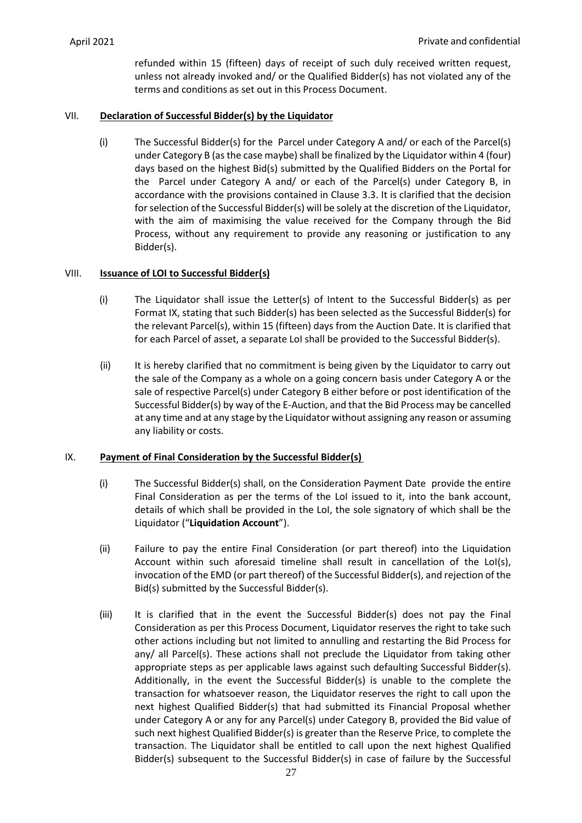refunded within 15 (fifteen) days of receipt of such duly received written request, unless not already invoked and/ or the Qualified Bidder(s) has not violated any of the terms and conditions as set out in this Process Document.

## <span id="page-27-0"></span>VII. **Declaration of Successful Bidder(s) by the Liquidator**

(i) The Successful Bidder(s) for the Parcel under Category A and/ or each of the Parcel(s) under Category B (as the case maybe) shall be finalized by the Liquidator within 4 (four) days based on the highest Bid(s) submitted by the Qualified Bidders on the Portal for the Parcel under Category A and/ or each of the Parcel(s) under Category B, in accordance with the provisions contained in Clause [3.3.](#page-15-0) It is clarified that the decision for selection of the Successful Bidder(s) will be solely at the discretion of the Liquidator, with the aim of maximising the value received for the Company through the Bid Process, without any requirement to provide any reasoning or justification to any Bidder(s).

## <span id="page-27-1"></span>VIII. **Issuance of LOI to Successful Bidder(s)**

- (i) The Liquidator shall issue the Letter(s) of Intent to the Successful Bidder(s) as per Format IX, stating that such Bidder(s) has been selected as the Successful Bidder(s) for the relevant Parcel(s), within 15 (fifteen) days from the Auction Date. It is clarified that for each Parcel of asset, a separate LoI shall be provided to the Successful Bidder(s).
- (ii) It is hereby clarified that no commitment is being given by the Liquidator to carry out the sale of the Company as a whole on a going concern basis under Category A or the sale of respective Parcel(s) under Category B either before or post identification of the Successful Bidder(s) by way of the E-Auction, and that the Bid Process may be cancelled at any time and at any stage by the Liquidator without assigning any reason or assuming any liability or costs.

### <span id="page-27-2"></span>IX. **Payment of Final Consideration by the Successful Bidder(s)**

- (i) The Successful Bidder(s) shall, on the Consideration Payment Date provide the entire Final Consideration as per the terms of the LoI issued to it, into the bank account, details of which shall be provided in the LoI, the sole signatory of which shall be the Liquidator ("**Liquidation Account**").
- (ii) Failure to pay the entire Final Consideration (or part thereof) into the Liquidation Account within such aforesaid timeline shall result in cancellation of the LoI(s), invocation of the EMD (or part thereof) of the Successful Bidder(s), and rejection of the Bid(s) submitted by the Successful Bidder(s).
- (iii) It is clarified that in the event the Successful Bidder(s) does not pay the Final Consideration as per this Process Document, Liquidator reserves the right to take such other actions including but not limited to annulling and restarting the Bid Process for any/ all Parcel(s). These actions shall not preclude the Liquidator from taking other appropriate steps as per applicable laws against such defaulting Successful Bidder(s). Additionally, in the event the Successful Bidder(s) is unable to the complete the transaction for whatsoever reason, the Liquidator reserves the right to call upon the next highest Qualified Bidder(s) that had submitted its Financial Proposal whether under Category A or any for any Parcel(s) under Category B, provided the Bid value of such next highest Qualified Bidder(s) is greater than the Reserve Price, to complete the transaction. The Liquidator shall be entitled to call upon the next highest Qualified Bidder(s) subsequent to the Successful Bidder(s) in case of failure by the Successful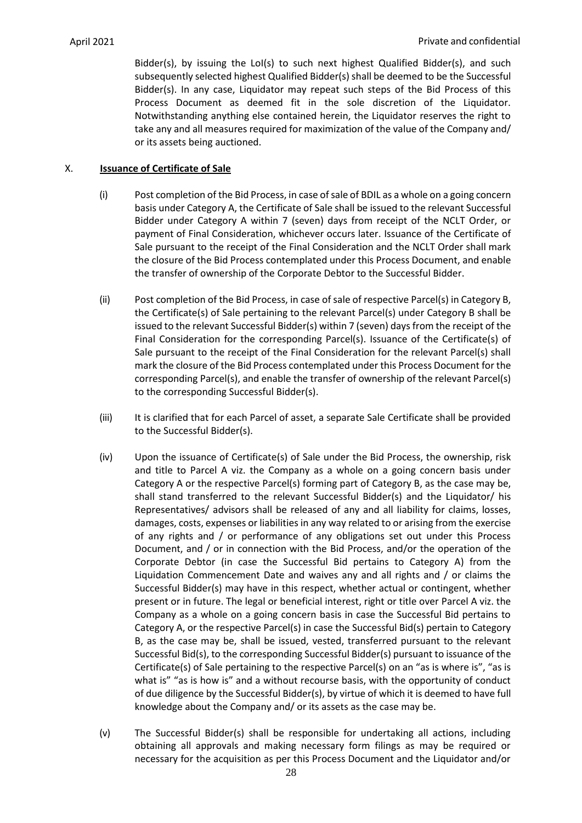Bidder(s), by issuing the LoI(s) to such next highest Qualified Bidder(s), and such subsequently selected highest Qualified Bidder(s) shall be deemed to be the Successful Bidder(s). In any case, Liquidator may repeat such steps of the Bid Process of this Process Document as deemed fit in the sole discretion of the Liquidator. Notwithstanding anything else contained herein, the Liquidator reserves the right to take any and all measures required for maximization of the value of the Company and/ or its assets being auctioned.

## <span id="page-28-0"></span>X. **Issuance of Certificate of Sale**

- (i) Post completion of the Bid Process, in case of sale of BDIL as a whole on a going concern basis under Category A, the Certificate of Sale shall be issued to the relevant Successful Bidder under Category A within 7 (seven) days from receipt of the NCLT Order, or payment of Final Consideration, whichever occurs later. Issuance of the Certificate of Sale pursuant to the receipt of the Final Consideration and the NCLT Order shall mark the closure of the Bid Process contemplated under this Process Document, and enable the transfer of ownership of the Corporate Debtor to the Successful Bidder.
- (ii) Post completion of the Bid Process, in case of sale of respective Parcel(s) in Category B, the Certificate(s) of Sale pertaining to the relevant Parcel(s) under Category B shall be issued to the relevant Successful Bidder(s) within 7 (seven) days from the receipt of the Final Consideration for the corresponding Parcel(s). Issuance of the Certificate(s) of Sale pursuant to the receipt of the Final Consideration for the relevant Parcel(s) shall mark the closure of the Bid Process contemplated under this Process Document for the corresponding Parcel(s), and enable the transfer of ownership of the relevant Parcel(s) to the corresponding Successful Bidder(s).
- (iii) It is clarified that for each Parcel of asset, a separate Sale Certificate shall be provided to the Successful Bidder(s).
- (iv) Upon the issuance of Certificate(s) of Sale under the Bid Process, the ownership, risk and title to Parcel A viz. the Company as a whole on a going concern basis under Category A or the respective Parcel(s) forming part of Category B, as the case may be, shall stand transferred to the relevant Successful Bidder(s) and the Liquidator/ his Representatives/ advisors shall be released of any and all liability for claims, losses, damages, costs, expenses or liabilities in any way related to or arising from the exercise of any rights and / or performance of any obligations set out under this Process Document, and / or in connection with the Bid Process, and/or the operation of the Corporate Debtor (in case the Successful Bid pertains to Category A) from the Liquidation Commencement Date and waives any and all rights and / or claims the Successful Bidder(s) may have in this respect, whether actual or contingent, whether present or in future. The legal or beneficial interest, right or title over Parcel A viz. the Company as a whole on a going concern basis in case the Successful Bid pertains to Category A, or the respective Parcel(s) in case the Successful Bid(s) pertain to Category B, as the case may be, shall be issued, vested, transferred pursuant to the relevant Successful Bid(s), to the corresponding Successful Bidder(s) pursuant to issuance of the Certificate(s) of Sale pertaining to the respective Parcel(s) on an "as is where is", "as is what is" "as is how is" and a without recourse basis, with the opportunity of conduct of due diligence by the Successful Bidder(s), by virtue of which it is deemed to have full knowledge about the Company and/ or its assets as the case may be.
- (v) The Successful Bidder(s) shall be responsible for undertaking all actions, including obtaining all approvals and making necessary form filings as may be required or necessary for the acquisition as per this Process Document and the Liquidator and/or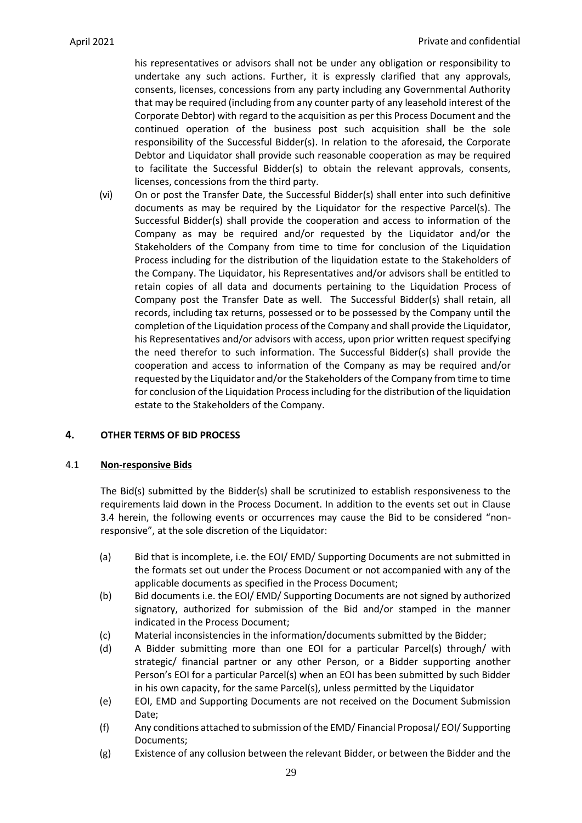his representatives or advisors shall not be under any obligation or responsibility to undertake any such actions. Further, it is expressly clarified that any approvals, consents, licenses, concessions from any party including any Governmental Authority that may be required (including from any counter party of any leasehold interest of the Corporate Debtor) with regard to the acquisition as per this Process Document and the continued operation of the business post such acquisition shall be the sole responsibility of the Successful Bidder(s). In relation to the aforesaid, the Corporate Debtor and Liquidator shall provide such reasonable cooperation as may be required to facilitate the Successful Bidder(s) to obtain the relevant approvals, consents, licenses, concessions from the third party.

(vi) On or post the Transfer Date, the Successful Bidder(s) shall enter into such definitive documents as may be required by the Liquidator for the respective Parcel(s). The Successful Bidder(s) shall provide the cooperation and access to information of the Company as may be required and/or requested by the Liquidator and/or the Stakeholders of the Company from time to time for conclusion of the Liquidation Process including for the distribution of the liquidation estate to the Stakeholders of the Company. The Liquidator, his Representatives and/or advisors shall be entitled to retain copies of all data and documents pertaining to the Liquidation Process of Company post the Transfer Date as well. The Successful Bidder(s) shall retain, all records, including tax returns, possessed or to be possessed by the Company until the completion of the Liquidation process of the Company and shall provide the Liquidator, his Representatives and/or advisors with access, upon prior written request specifying the need therefor to such information. The Successful Bidder(s) shall provide the cooperation and access to information of the Company as may be required and/or requested by the Liquidator and/or the Stakeholders of the Company from time to time for conclusion of the Liquidation Processincluding for the distribution of the liquidation estate to the Stakeholders of the Company.

# <span id="page-29-0"></span>**4. OTHER TERMS OF BID PROCESS**

## 4.1 **Non-responsive Bids**

The Bid(s) submitted by the Bidder(s) shall be scrutinized to establish responsiveness to the requirements laid down in the Process Document. In addition to the events set out in Clause [3.4](#page-18-0) herein, the following events or occurrences may cause the Bid to be considered "nonresponsive", at the sole discretion of the Liquidator:

- (a) Bid that is incomplete, i.e. the EOI/ EMD/ Supporting Documents are not submitted in the formats set out under the Process Document or not accompanied with any of the applicable documents as specified in the Process Document;
- (b) Bid documents i.e. the EOI/ EMD/ Supporting Documents are not signed by authorized signatory, authorized for submission of the Bid and/or stamped in the manner indicated in the Process Document;
- (c) Material inconsistencies in the information/documents submitted by the Bidder;
- (d) A Bidder submitting more than one EOI for a particular Parcel(s) through/ with strategic/ financial partner or any other Person, or a Bidder supporting another Person's EOI for a particular Parcel(s) when an EOI has been submitted by such Bidder in his own capacity, for the same Parcel(s), unless permitted by the Liquidator
- (e) EOI, EMD and Supporting Documents are not received on the Document Submission Date;
- (f) Any conditions attached to submission of the EMD/ Financial Proposal/ EOI/ Supporting Documents;
- (g) Existence of any collusion between the relevant Bidder, or between the Bidder and the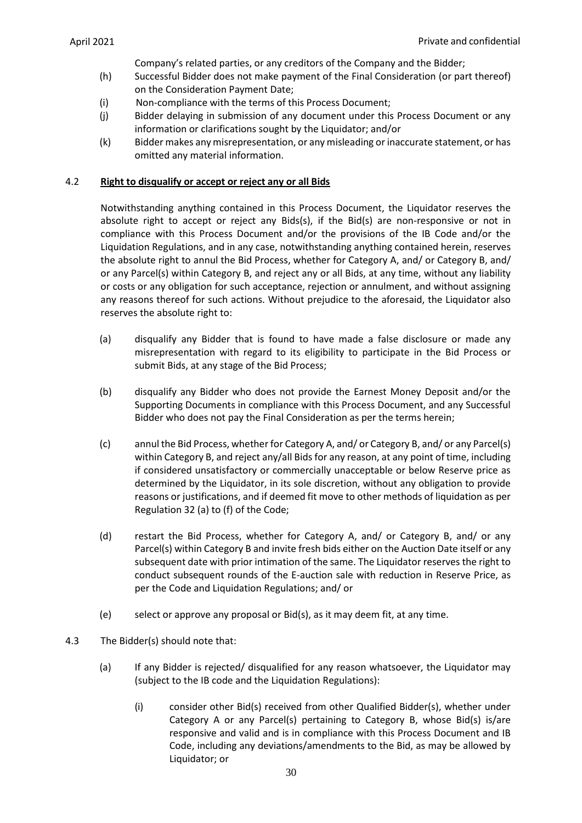Company's related parties, or any creditors of the Company and the Bidder;

- (h) Successful Bidder does not make payment of the Final Consideration (or part thereof) on the Consideration Payment Date;
- (i) Non-compliance with the terms of this Process Document;
- (j) Bidder delaying in submission of any document under this Process Document or any information or clarifications sought by the Liquidator; and/or
- (k) Bidder makes any misrepresentation, or any misleading or inaccurate statement, or has omitted any material information.

## 4.2 **Right to disqualify or accept or reject any or all Bids**

Notwithstanding anything contained in this Process Document, the Liquidator reserves the absolute right to accept or reject any Bids(s), if the Bid(s) are non-responsive or not in compliance with this Process Document and/or the provisions of the IB Code and/or the Liquidation Regulations, and in any case, notwithstanding anything contained herein, reserves the absolute right to annul the Bid Process, whether for Category A, and/ or Category B, and/ or any Parcel(s) within Category B, and reject any or all Bids, at any time, without any liability or costs or any obligation for such acceptance, rejection or annulment, and without assigning any reasons thereof for such actions. Without prejudice to the aforesaid, the Liquidator also reserves the absolute right to:

- (a) disqualify any Bidder that is found to have made a false disclosure or made any misrepresentation with regard to its eligibility to participate in the Bid Process or submit Bids, at any stage of the Bid Process;
- (b) disqualify any Bidder who does not provide the Earnest Money Deposit and/or the Supporting Documents in compliance with this Process Document, and any Successful Bidder who does not pay the Final Consideration as per the terms herein;
- (c) annul the Bid Process, whether for Category A, and/ or Category B, and/ or any Parcel(s) within Category B, and reject any/all Bids for any reason, at any point of time, including if considered unsatisfactory or commercially unacceptable or below Reserve price as determined by the Liquidator, in its sole discretion, without any obligation to provide reasons or justifications, and if deemed fit move to other methods of liquidation as per Regulation 32 (a) to (f) of the Code;
- (d) restart the Bid Process, whether for Category A, and/ or Category B, and/ or any Parcel(s) within Category B and invite fresh bids either on the Auction Date itself or any subsequent date with prior intimation of the same. The Liquidator reserves the right to conduct subsequent rounds of the E-auction sale with reduction in Reserve Price, as per the Code and Liquidation Regulations; and/ or
- (e) select or approve any proposal or Bid(s), as it may deem fit, at any time.
- 4.3 The Bidder(s) should note that:
	- (a) If any Bidder is rejected/ disqualified for any reason whatsoever, the Liquidator may (subject to the IB code and the Liquidation Regulations):
		- (i) consider other Bid(s) received from other Qualified Bidder(s), whether under Category A or any Parcel(s) pertaining to Category B, whose Bid(s) is/are responsive and valid and is in compliance with this Process Document and IB Code, including any deviations/amendments to the Bid, as may be allowed by Liquidator; or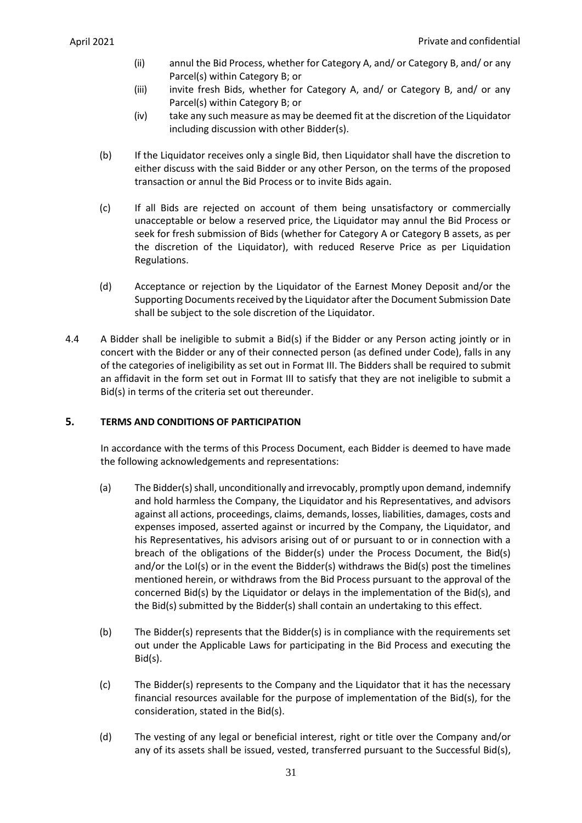- (ii) annul the Bid Process, whether for Category A, and/ or Category B, and/ or any Parcel(s) within Category B; or
- (iii) invite fresh Bids, whether for Category A, and/ or Category B, and/ or any Parcel(s) within Category B; or
- (iv) take any such measure as may be deemed fit at the discretion of the Liquidator including discussion with other Bidder(s).
- (b) If the Liquidator receives only a single Bid, then Liquidator shall have the discretion to either discuss with the said Bidder or any other Person, on the terms of the proposed transaction or annul the Bid Process or to invite Bids again.
- (c) If all Bids are rejected on account of them being unsatisfactory or commercially unacceptable or below a reserved price, the Liquidator may annul the Bid Process or seek for fresh submission of Bids (whether for Category A or Category B assets, as per the discretion of the Liquidator), with reduced Reserve Price as per Liquidation Regulations.
- (d) Acceptance or rejection by the Liquidator of the Earnest Money Deposit and/or the Supporting Documents received by the Liquidator after the Document Submission Date shall be subject to the sole discretion of the Liquidator.
- 4.4 A Bidder shall be ineligible to submit a Bid(s) if the Bidder or any Person acting jointly or in concert with the Bidder or any of their connected person (as defined under Code), falls in any of the categories of ineligibility as set out in Format III. The Bidders shall be required to submit an affidavit in the form set out in Format III to satisfy that they are not ineligible to submit a Bid(s) in terms of the criteria set out thereunder.

# <span id="page-31-0"></span>**5. TERMS AND CONDITIONS OF PARTICIPATION**

In accordance with the terms of this Process Document, each Bidder is deemed to have made the following acknowledgements and representations:

- (a) The Bidder(s) shall, unconditionally and irrevocably, promptly upon demand, indemnify and hold harmless the Company, the Liquidator and his Representatives, and advisors against all actions, proceedings, claims, demands, losses, liabilities, damages, costs and expenses imposed, asserted against or incurred by the Company, the Liquidator, and his Representatives, his advisors arising out of or pursuant to or in connection with a breach of the obligations of the Bidder(s) under the Process Document, the Bid(s) and/or the LoI(s) or in the event the Bidder(s) withdraws the Bid(s) post the timelines mentioned herein, or withdraws from the Bid Process pursuant to the approval of the concerned Bid(s) by the Liquidator or delays in the implementation of the Bid(s), and the Bid(s) submitted by the Bidder(s) shall contain an undertaking to this effect.
- (b) The Bidder(s) represents that the Bidder(s) is in compliance with the requirements set out under the Applicable Laws for participating in the Bid Process and executing the Bid(s).
- (c) The Bidder(s) represents to the Company and the Liquidator that it has the necessary financial resources available for the purpose of implementation of the Bid(s), for the consideration, stated in the Bid(s).
- (d) The vesting of any legal or beneficial interest, right or title over the Company and/or any of its assets shall be issued, vested, transferred pursuant to the Successful Bid(s),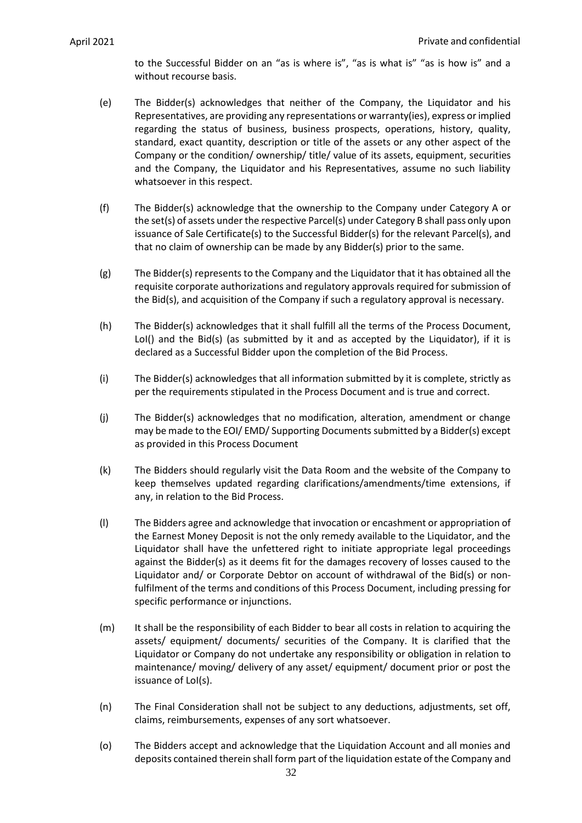to the Successful Bidder on an "as is where is", "as is what is" "as is how is" and a without recourse basis.

- (e) The Bidder(s) acknowledges that neither of the Company, the Liquidator and his Representatives, are providing any representations or warranty(ies), express or implied regarding the status of business, business prospects, operations, history, quality, standard, exact quantity, description or title of the assets or any other aspect of the Company or the condition/ ownership/ title/ value of its assets, equipment, securities and the Company, the Liquidator and his Representatives, assume no such liability whatsoever in this respect.
- (f) The Bidder(s) acknowledge that the ownership to the Company under Category A or the set(s) of assets under the respective Parcel(s) under Category B shall pass only upon issuance of Sale Certificate(s) to the Successful Bidder(s) for the relevant Parcel(s), and that no claim of ownership can be made by any Bidder(s) prior to the same.
- (g) The Bidder(s) represents to the Company and the Liquidator that it has obtained all the requisite corporate authorizations and regulatory approvals required for submission of the Bid(s), and acquisition of the Company if such a regulatory approval is necessary.
- (h) The Bidder(s) acknowledges that it shall fulfill all the terms of the Process Document, LoI() and the Bid(s) (as submitted by it and as accepted by the Liquidator), if it is declared as a Successful Bidder upon the completion of the Bid Process.
- (i) The Bidder(s) acknowledges that all information submitted by it is complete, strictly as per the requirements stipulated in the Process Document and is true and correct.
- (j) The Bidder(s) acknowledges that no modification, alteration, amendment or change may be made to the EOI/ EMD/ Supporting Documents submitted by a Bidder(s) except as provided in this Process Document
- (k) The Bidders should regularly visit the Data Room and the website of the Company to keep themselves updated regarding clarifications/amendments/time extensions, if any, in relation to the Bid Process.
- (l) The Bidders agree and acknowledge that invocation or encashment or appropriation of the Earnest Money Deposit is not the only remedy available to the Liquidator, and the Liquidator shall have the unfettered right to initiate appropriate legal proceedings against the Bidder(s) as it deems fit for the damages recovery of losses caused to the Liquidator and/ or Corporate Debtor on account of withdrawal of the Bid(s) or nonfulfilment of the terms and conditions of this Process Document, including pressing for specific performance or injunctions.
- (m) It shall be the responsibility of each Bidder to bear all costs in relation to acquiring the assets/ equipment/ documents/ securities of the Company. It is clarified that the Liquidator or Company do not undertake any responsibility or obligation in relation to maintenance/ moving/ delivery of any asset/ equipment/ document prior or post the issuance of LoI(s).
- (n) The Final Consideration shall not be subject to any deductions, adjustments, set off, claims, reimbursements, expenses of any sort whatsoever.
- (o) The Bidders accept and acknowledge that the Liquidation Account and all monies and deposits contained therein shall form part of the liquidation estate of the Company and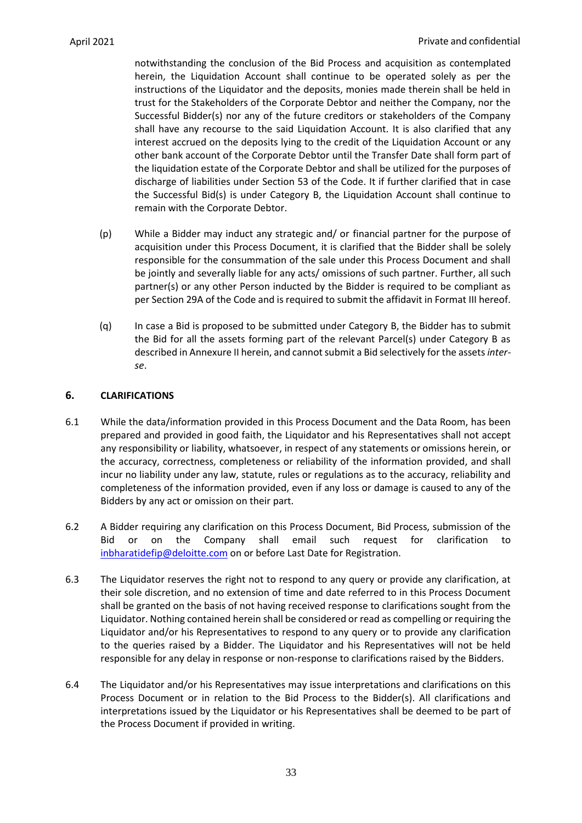notwithstanding the conclusion of the Bid Process and acquisition as contemplated herein, the Liquidation Account shall continue to be operated solely as per the instructions of the Liquidator and the deposits, monies made therein shall be held in trust for the Stakeholders of the Corporate Debtor and neither the Company, nor the Successful Bidder(s) nor any of the future creditors or stakeholders of the Company shall have any recourse to the said Liquidation Account. It is also clarified that any interest accrued on the deposits lying to the credit of the Liquidation Account or any other bank account of the Corporate Debtor until the Transfer Date shall form part of the liquidation estate of the Corporate Debtor and shall be utilized for the purposes of discharge of liabilities under Section 53 of the Code. It if further clarified that in case the Successful Bid(s) is under Category B, the Liquidation Account shall continue to remain with the Corporate Debtor.

- (p) While a Bidder may induct any strategic and/ or financial partner for the purpose of acquisition under this Process Document, it is clarified that the Bidder shall be solely responsible for the consummation of the sale under this Process Document and shall be jointly and severally liable for any acts/ omissions of such partner. Further, all such partner(s) or any other Person inducted by the Bidder is required to be compliant as per Section 29A of the Code and is required to submit the affidavit in Format III hereof.
- (q) In case a Bid is proposed to be submitted under Category B, the Bidder has to submit the Bid for all the assets forming part of the relevant Parcel(s) under Category B as described in Annexure II herein, and cannot submit a Bid selectively for the assets *interse*.

# <span id="page-33-0"></span>**6. CLARIFICATIONS**

- 6.1 While the data/information provided in this Process Document and the Data Room, has been prepared and provided in good faith, the Liquidator and his Representatives shall not accept any responsibility or liability, whatsoever, in respect of any statements or omissions herein, or the accuracy, correctness, completeness or reliability of the information provided, and shall incur no liability under any law, statute, rules or regulations as to the accuracy, reliability and completeness of the information provided, even if any loss or damage is caused to any of the Bidders by any act or omission on their part.
- 6.2 A Bidder requiring any clarification on this Process Document, Bid Process, submission of the Bid or on the Company shall email such request for clarification to [inbharatidefip@deloitte.com](mailto:inbharatidefip@deloitte.com) on or before Last Date for Registration.
- 6.3 The Liquidator reserves the right not to respond to any query or provide any clarification, at their sole discretion, and no extension of time and date referred to in this Process Document shall be granted on the basis of not having received response to clarifications sought from the Liquidator. Nothing contained herein shall be considered or read as compelling or requiring the Liquidator and/or his Representatives to respond to any query or to provide any clarification to the queries raised by a Bidder. The Liquidator and his Representatives will not be held responsible for any delay in response or non-response to clarifications raised by the Bidders.
- 6.4 The Liquidator and/or his Representatives may issue interpretations and clarifications on this Process Document or in relation to the Bid Process to the Bidder(s). All clarifications and interpretations issued by the Liquidator or his Representatives shall be deemed to be part of the Process Document if provided in writing.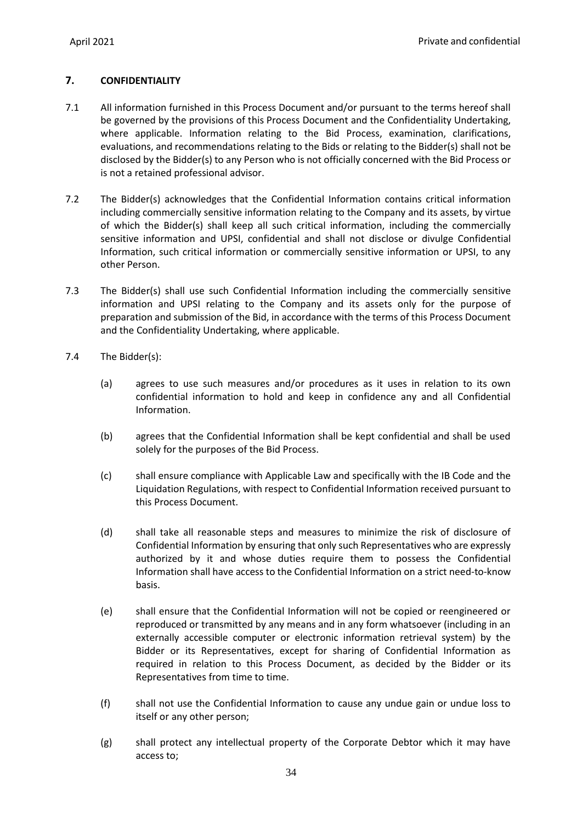# <span id="page-34-0"></span>**7. CONFIDENTIALITY**

- 7.1 All information furnished in this Process Document and/or pursuant to the terms hereof shall be governed by the provisions of this Process Document and the Confidentiality Undertaking, where applicable. Information relating to the Bid Process, examination, clarifications, evaluations, and recommendations relating to the Bids or relating to the Bidder(s) shall not be disclosed by the Bidder(s) to any Person who is not officially concerned with the Bid Process or is not a retained professional advisor.
- 7.2 The Bidder(s) acknowledges that the Confidential Information contains critical information including commercially sensitive information relating to the Company and its assets, by virtue of which the Bidder(s) shall keep all such critical information, including the commercially sensitive information and UPSI, confidential and shall not disclose or divulge Confidential Information, such critical information or commercially sensitive information or UPSI, to any other Person.
- 7.3 The Bidder(s) shall use such Confidential Information including the commercially sensitive information and UPSI relating to the Company and its assets only for the purpose of preparation and submission of the Bid, in accordance with the terms of this Process Document and the Confidentiality Undertaking, where applicable.
- 7.4 The Bidder(s):
	- (a) agrees to use such measures and/or procedures as it uses in relation to its own confidential information to hold and keep in confidence any and all Confidential Information.
	- (b) agrees that the Confidential Information shall be kept confidential and shall be used solely for the purposes of the Bid Process.
	- (c) shall ensure compliance with Applicable Law and specifically with the IB Code and the Liquidation Regulations, with respect to Confidential Information received pursuant to this Process Document.
	- (d) shall take all reasonable steps and measures to minimize the risk of disclosure of Confidential Information by ensuring that only such Representatives who are expressly authorized by it and whose duties require them to possess the Confidential Information shall have access to the Confidential Information on a strict need-to-know basis.
	- (e) shall ensure that the Confidential Information will not be copied or reengineered or reproduced or transmitted by any means and in any form whatsoever (including in an externally accessible computer or electronic information retrieval system) by the Bidder or its Representatives, except for sharing of Confidential Information as required in relation to this Process Document, as decided by the Bidder or its Representatives from time to time.
	- (f) shall not use the Confidential Information to cause any undue gain or undue loss to itself or any other person;
	- (g) shall protect any intellectual property of the Corporate Debtor which it may have access to;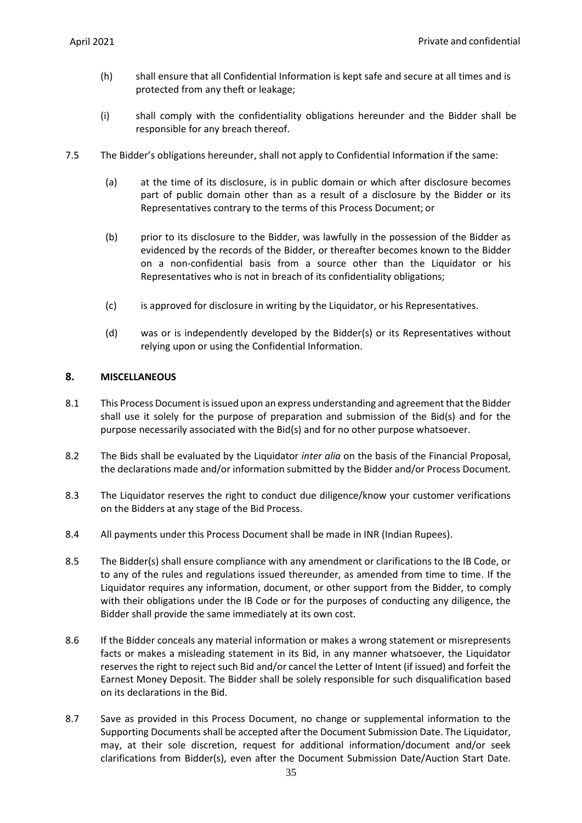- (h) shall ensure that all Confidential Information is kept safe and secure at all times and is protected from any theft or leakage;
- (i) shall comply with the confidentiality obligations hereunder and the Bidder shall be responsible for any breach thereof.
- 7.5 The Bidder's obligations hereunder, shall not apply to Confidential Information if the same:
	- (a) at the time of its disclosure, is in public domain or which after disclosure becomes part of public domain other than as a result of a disclosure by the Bidder or its Representatives contrary to the terms of this Process Document; or
	- (b) prior to its disclosure to the Bidder, was lawfully in the possession of the Bidder as evidenced by the records of the Bidder, or thereafter becomes known to the Bidder on a non-confidential basis from a source other than the Liquidator or his Representatives who is not in breach of its confidentiality obligations;
	- (c) is approved for disclosure in writing by the Liquidator, or his Representatives.
	- (d) was or is independently developed by the Bidder(s) or its Representatives without relying upon or using the Confidential Information.

### <span id="page-35-0"></span>**8. MISCELLANEOUS**

- 8.1 This Process Document is issued upon an express understanding and agreement that the Bidder shall use it solely for the purpose of preparation and submission of the Bid(s) and for the purpose necessarily associated with the Bid(s) and for no other purpose whatsoever.
- 8.2 The Bids shall be evaluated by the Liquidator *inter alia* on the basis of the Financial Proposal, the declarations made and/or information submitted by the Bidder and/or Process Document.
- 8.3 The Liquidator reserves the right to conduct due diligence/know your customer verifications on the Bidders at any stage of the Bid Process.
- 8.4 All payments under this Process Document shall be made in INR (Indian Rupees).
- 8.5 The Bidder(s) shall ensure compliance with any amendment or clarifications to the IB Code, or to any of the rules and regulations issued thereunder, as amended from time to time. If the Liquidator requires any information, document, or other support from the Bidder, to comply with their obligations under the IB Code or for the purposes of conducting any diligence, the Bidder shall provide the same immediately at its own cost.
- 8.6 If the Bidder conceals any material information or makes a wrong statement or misrepresents facts or makes a misleading statement in its Bid, in any manner whatsoever, the Liquidator reserves the right to reject such Bid and/or cancel the Letter of Intent (if issued) and forfeit the Earnest Money Deposit. The Bidder shall be solely responsible for such disqualification based on its declarations in the Bid.
- 8.7 Save as provided in this Process Document, no change or supplemental information to the Supporting Documents shall be accepted after the Document Submission Date. The Liquidator, may, at their sole discretion, request for additional information/document and/or seek clarifications from Bidder(s), even after the Document Submission Date/Auction Start Date.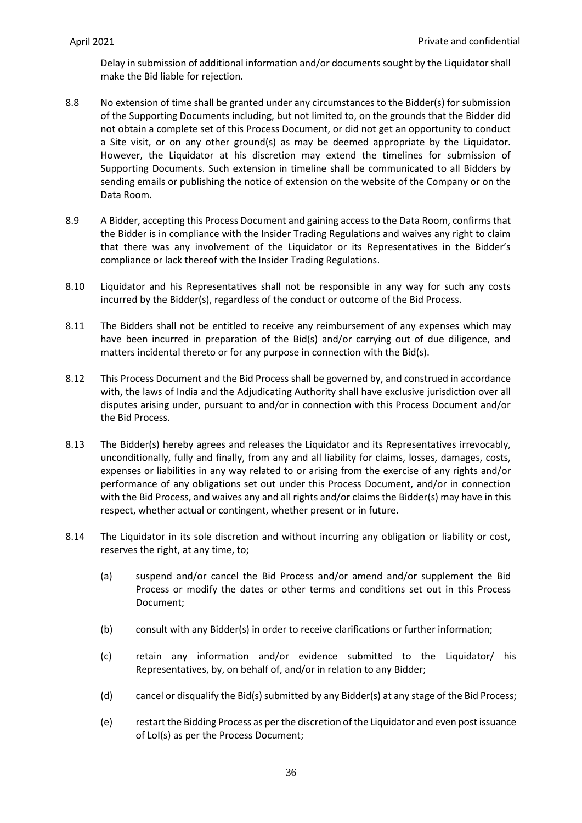Delay in submission of additional information and/or documents sought by the Liquidator shall make the Bid liable for rejection.

- 8.8 No extension of time shall be granted under any circumstances to the Bidder(s) for submission of the Supporting Documents including, but not limited to, on the grounds that the Bidder did not obtain a complete set of this Process Document, or did not get an opportunity to conduct a Site visit, or on any other ground(s) as may be deemed appropriate by the Liquidator. However, the Liquidator at his discretion may extend the timelines for submission of Supporting Documents. Such extension in timeline shall be communicated to all Bidders by sending emails or publishing the notice of extension on the website of the Company or on the Data Room.
- 8.9 A Bidder, accepting this Process Document and gaining access to the Data Room, confirms that the Bidder is in compliance with the Insider Trading Regulations and waives any right to claim that there was any involvement of the Liquidator or its Representatives in the Bidder's compliance or lack thereof with the Insider Trading Regulations.
- 8.10 Liquidator and his Representatives shall not be responsible in any way for such any costs incurred by the Bidder(s), regardless of the conduct or outcome of the Bid Process.
- 8.11 The Bidders shall not be entitled to receive any reimbursement of any expenses which may have been incurred in preparation of the Bid(s) and/or carrying out of due diligence, and matters incidental thereto or for any purpose in connection with the Bid(s).
- 8.12 This Process Document and the Bid Process shall be governed by, and construed in accordance with, the laws of India and the Adjudicating Authority shall have exclusive jurisdiction over all disputes arising under, pursuant to and/or in connection with this Process Document and/or the Bid Process.
- 8.13 The Bidder(s) hereby agrees and releases the Liquidator and its Representatives irrevocably, unconditionally, fully and finally, from any and all liability for claims, losses, damages, costs, expenses or liabilities in any way related to or arising from the exercise of any rights and/or performance of any obligations set out under this Process Document, and/or in connection with the Bid Process, and waives any and all rights and/or claims the Bidder(s) may have in this respect, whether actual or contingent, whether present or in future.
- 8.14 The Liquidator in its sole discretion and without incurring any obligation or liability or cost, reserves the right, at any time, to;
	- (a) suspend and/or cancel the Bid Process and/or amend and/or supplement the Bid Process or modify the dates or other terms and conditions set out in this Process Document;
	- (b) consult with any Bidder(s) in order to receive clarifications or further information;
	- (c) retain any information and/or evidence submitted to the Liquidator/ his Representatives, by, on behalf of, and/or in relation to any Bidder;
	- (d) cancel or disqualify the Bid(s) submitted by any Bidder(s) at any stage of the Bid Process;
	- (e) restart the Bidding Process as per the discretion of the Liquidator and even post issuance of LoI(s) as per the Process Document;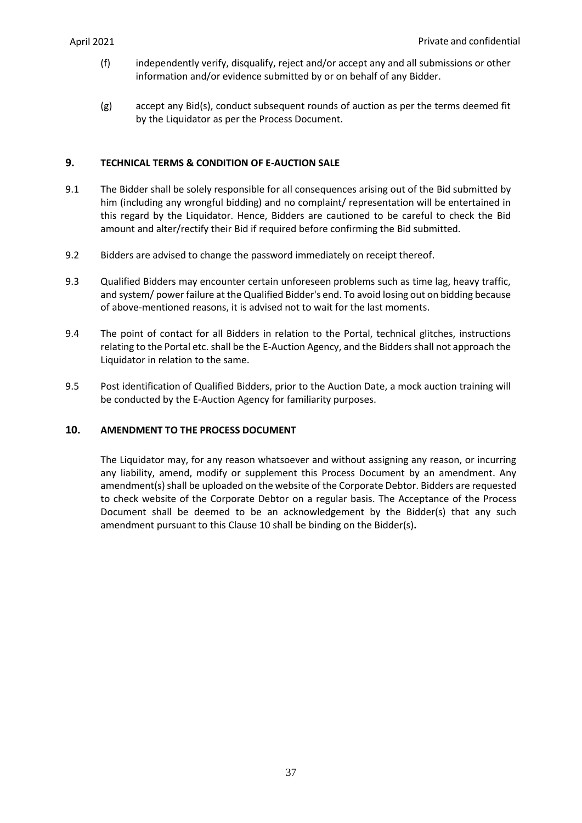- (f) independently verify, disqualify, reject and/or accept any and all submissions or other information and/or evidence submitted by or on behalf of any Bidder.
- (g) accept any Bid(s), conduct subsequent rounds of auction as per the terms deemed fit by the Liquidator as per the Process Document.

## **9. TECHNICAL TERMS & CONDITION OF E-AUCTION SALE**

- 9.1 The Bidder shall be solely responsible for all consequences arising out of the Bid submitted by him (including any wrongful bidding) and no complaint/ representation will be entertained in this regard by the Liquidator. Hence, Bidders are cautioned to be careful to check the Bid amount and alter/rectify their Bid if required before confirming the Bid submitted.
- 9.2 Bidders are advised to change the password immediately on receipt thereof.
- 9.3 Qualified Bidders may encounter certain unforeseen problems such as time lag, heavy traffic, and system/ power failure at the Qualified Bidder's end. To avoid losing out on bidding because of above-mentioned reasons, it is advised not to wait for the last moments.
- 9.4 The point of contact for all Bidders in relation to the Portal, technical glitches, instructions relating to the Portal etc. shall be the E-Auction Agency, and the Bidders shall not approach the Liquidator in relation to the same.
- 9.5 Post identification of Qualified Bidders, prior to the Auction Date, a mock auction training will be conducted by the E-Auction Agency for familiarity purposes.

## <span id="page-37-0"></span>**10. AMENDMENT TO THE PROCESS DOCUMENT**

The Liquidator may, for any reason whatsoever and without assigning any reason, or incurring any liability, amend, modify or supplement this Process Document by an amendment. Any amendment(s) shall be uploaded on the website of the Corporate Debtor. Bidders are requested to check website of the Corporate Debtor on a regular basis. The Acceptance of the Process Document shall be deemed to be an acknowledgement by the Bidder(s) that any such amendment pursuant to this Clause [10](#page-37-0) shall be binding on the Bidder(s)**.**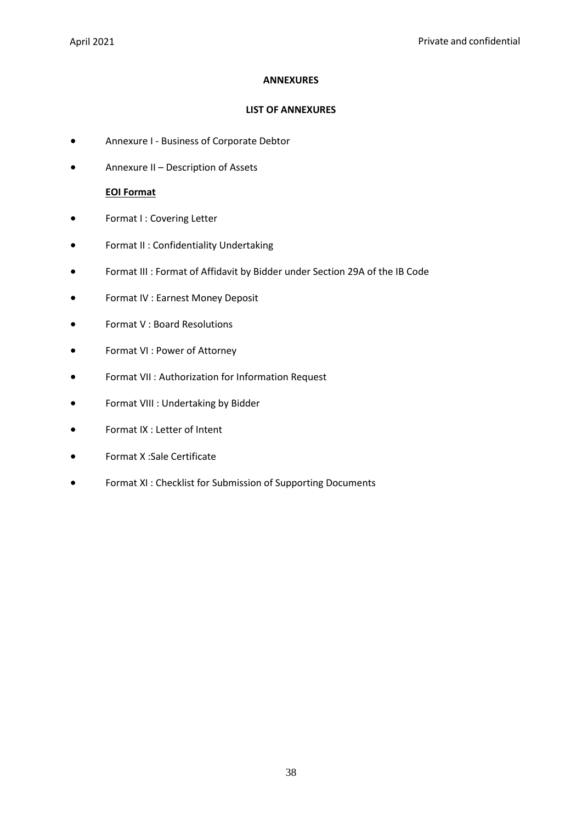## **ANNEXURES**

## **LIST OF ANNEXURES**

- Annexure I Business of Corporate Debtor
- Annexure II Description of Assets

## **EOI Format**

- Format I : Covering Letter
- Format II : Confidentiality Undertaking
- Format III : Format of Affidavit by Bidder under Section 29A of the IB Code
- Format IV : Earnest Money Deposit
- Format V : Board Resolutions
- Format VI : Power of Attorney
- Format VII : Authorization for Information Request
- Format VIII : Undertaking by Bidder
- Format IX : Letter of Intent
- Format X :Sale Certificate
- Format XI : Checklist for Submission of Supporting Documents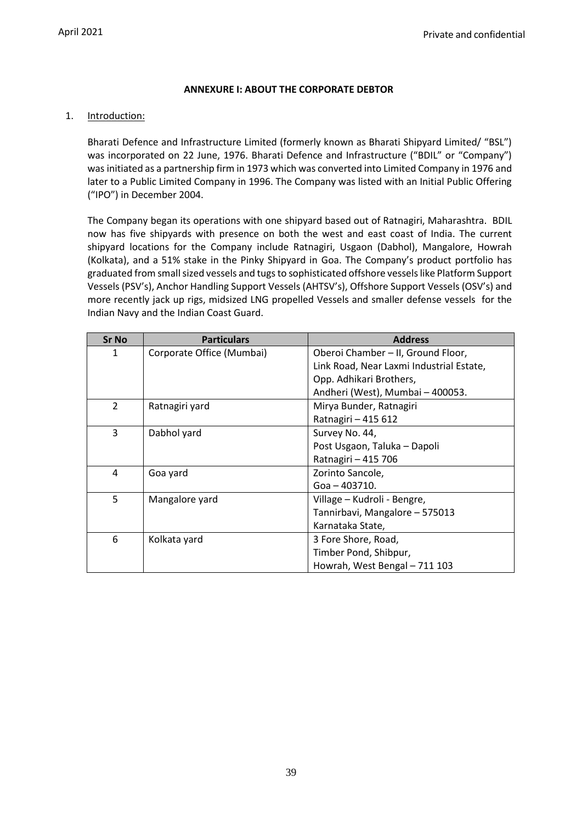## **ANNEXURE I: ABOUT THE CORPORATE DEBTOR**

#### 1. Introduction:

Bharati Defence and Infrastructure Limited (formerly known as Bharati Shipyard Limited/ "BSL") was incorporated on 22 June, 1976. Bharati Defence and Infrastructure ("BDIL" or "Company") was initiated as a partnership firm in 1973 which was converted into Limited Company in 1976 and later to a Public Limited Company in 1996. The Company was listed with an Initial Public Offering ("IPO") in December 2004.

The Company began its operations with one shipyard based out of Ratnagiri, Maharashtra. BDIL now has five shipyards with presence on both the west and east coast of India. The current shipyard locations for the Company include Ratnagiri, Usgaon (Dabhol), Mangalore, Howrah (Kolkata), and a 51% stake in the Pinky Shipyard in Goa. The Company's product portfolio has graduated from small sized vessels and tugs to sophisticated offshore vessels like Platform Support Vessels (PSV's), Anchor Handling Support Vessels (AHTSV's), Offshore Support Vessels (OSV's) and more recently jack up rigs, midsized LNG propelled Vessels and smaller defense vessels for the Indian Navy and the Indian Coast Guard.

| <b>Sr No</b>   | <b>Particulars</b>        | <b>Address</b>                           |
|----------------|---------------------------|------------------------------------------|
| 1              | Corporate Office (Mumbai) | Oberoi Chamber - II, Ground Floor,       |
|                |                           | Link Road, Near Laxmi Industrial Estate, |
|                |                           | Opp. Adhikari Brothers,                  |
|                |                           | Andheri (West), Mumbai - 400053.         |
| $\overline{2}$ | Ratnagiri yard            | Mirya Bunder, Ratnagiri                  |
|                |                           | Ratnagiri - 415 612                      |
| 3              | Dabhol yard               | Survey No. 44,                           |
|                |                           | Post Usgaon, Taluka - Dapoli             |
|                |                           | Ratnagiri - 415 706                      |
| 4              | Goa yard                  | Zorinto Sancole,                         |
|                |                           | Goa - 403710.                            |
| 5              | Mangalore yard            | Village - Kudroli - Bengre,              |
|                |                           | Tannirbavi, Mangalore - 575013           |
|                |                           | Karnataka State,                         |
| 6              | Kolkata yard              | 3 Fore Shore, Road,                      |
|                |                           | Timber Pond, Shibpur,                    |
|                |                           | Howrah, West Bengal - 711 103            |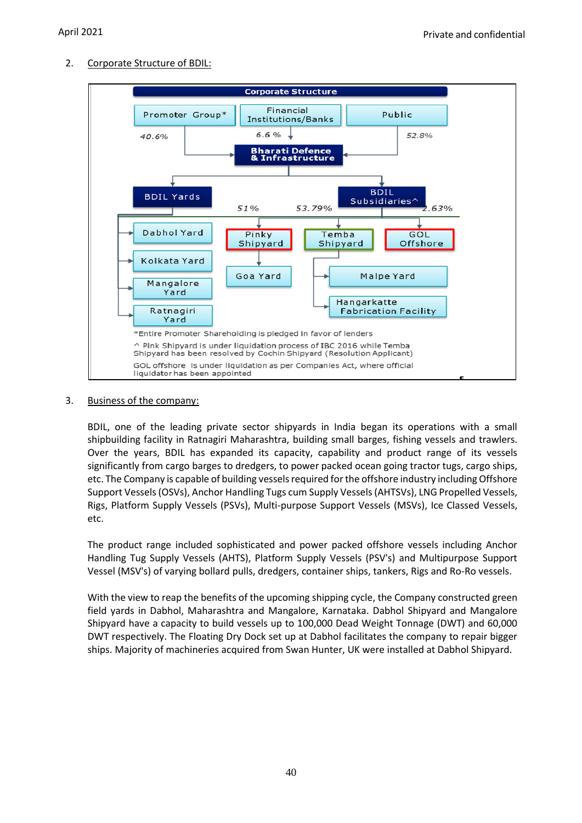2. Corporate Structure of BDIL:



## 3. Business of the company:

BDIL, one of the leading private sector shipyards in India began its operations with a small shipbuilding facility in Ratnagiri Maharashtra, building small barges, fishing vessels and trawlers. Over the years, BDIL has expanded its capacity, capability and product range of its vessels significantly from cargo barges to dredgers, to power packed ocean going tractor tugs, cargo ships, etc. The Company is capable of building vessels required for the offshore industry including Offshore Support Vessels (OSVs), Anchor Handling Tugs cum Supply Vessels (AHTSVs), LNG Propelled Vessels, Rigs, Platform Supply Vessels (PSVs), Multi-purpose Support Vessels (MSVs), Ice Classed Vessels, etc.

The product range included sophisticated and power packed offshore vessels including Anchor Handling Tug Supply Vessels (AHTS), Platform Supply Vessels (PSV's) and Multipurpose Support Vessel (MSV's) of varying bollard pulls, dredgers, container ships, tankers, Rigs and Ro-Ro vessels.

With the view to reap the benefits of the upcoming shipping cycle, the Company constructed green field yards in Dabhol, Maharashtra and Mangalore, Karnataka. Dabhol Shipyard and Mangalore Shipyard have a capacity to build vessels up to 100,000 Dead Weight Tonnage (DWT) and 60,000 DWT respectively. The Floating Dry Dock set up at Dabhol facilitates the company to repair bigger ships. Majority of machineries acquired from Swan Hunter, UK were installed at Dabhol Shipyard.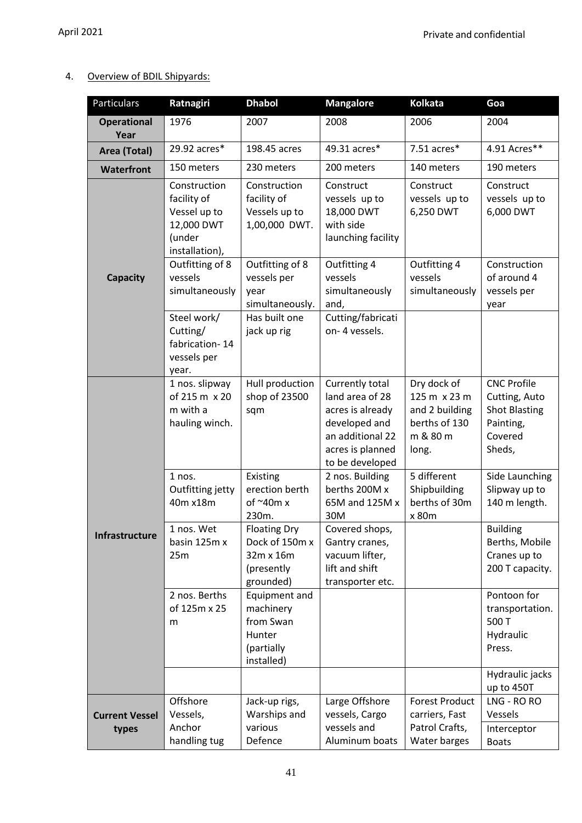## 4. Overview of BDIL Shipyards:

| Particulars                | Ratnagiri                                                                             | <b>Dhabol</b>                                                                 | <b>Mangalore</b>                                                                                                                   | <b>Kolkata</b>                                                                      | Goa                                                                                           |
|----------------------------|---------------------------------------------------------------------------------------|-------------------------------------------------------------------------------|------------------------------------------------------------------------------------------------------------------------------------|-------------------------------------------------------------------------------------|-----------------------------------------------------------------------------------------------|
| <b>Operational</b><br>Year | 1976                                                                                  | 2007                                                                          | 2008                                                                                                                               | 2006                                                                                | 2004                                                                                          |
| Area (Total)               | 29.92 acres*                                                                          | 198.45 acres                                                                  | 49.31 acres*                                                                                                                       | $7.51$ acres $*$                                                                    | 4.91 Acres**                                                                                  |
| <b>Waterfront</b>          | 150 meters                                                                            | 230 meters                                                                    | 200 meters                                                                                                                         | 140 meters                                                                          | 190 meters                                                                                    |
|                            | Construction<br>facility of<br>Vessel up to<br>12,000 DWT<br>(under<br>installation), | Construction<br>facility of<br>Vessels up to<br>1,00,000 DWT.                 | Construct<br>vessels up to<br>18,000 DWT<br>with side<br>launching facility                                                        | Construct<br>vessels up to<br>6,250 DWT                                             | Construct<br>vessels up to<br>6,000 DWT                                                       |
| <b>Capacity</b>            | Outfitting of 8<br>vessels<br>simultaneously                                          | Outfitting of 8<br>vessels per<br>year<br>simultaneously.                     | Outfitting 4<br>vessels<br>simultaneously<br>and,                                                                                  | Outfitting 4<br>vessels<br>simultaneously                                           | Construction<br>of around 4<br>vessels per<br>year                                            |
|                            | Steel work/<br>Cutting/<br>fabrication-14<br>vessels per<br>year.                     | Has built one<br>jack up rig                                                  | Cutting/fabricati<br>on-4 vessels.                                                                                                 |                                                                                     |                                                                                               |
|                            | 1 nos. slipway<br>of 215 m x 20<br>m with a<br>hauling winch.                         | Hull production<br>shop of 23500<br>sqm                                       | Currently total<br>land area of 28<br>acres is already<br>developed and<br>an additional 22<br>acres is planned<br>to be developed | Dry dock of<br>125 m x 23 m<br>and 2 building<br>berths of 130<br>m & 80 m<br>long. | <b>CNC Profile</b><br>Cutting, Auto<br><b>Shot Blasting</b><br>Painting,<br>Covered<br>Sheds, |
|                            | 1 nos.<br>Outfitting jetty<br>40m x18m                                                | Existing<br>erection berth<br>of $\sim$ 40m x<br>230m.                        | 2 nos. Building<br>berths 200M x<br>65M and 125M x<br>30M                                                                          | 5 different<br>Shipbuilding<br>berths of 30m<br>x 80m                               | Side Launching<br>Slipway up to<br>140 m length.                                              |
| Infrastructure             | 1 nos. Wet<br>basin 125m x<br>25m                                                     | <b>Floating Dry</b><br>Dock of 150m x<br>32m x 16m<br>(presently<br>grounded) | Covered shops,<br>Gantry cranes,<br>vacuum lifter,<br>lift and shift<br>transporter etc.                                           |                                                                                     | <b>Building</b><br>Berths, Mobile<br>Cranes up to<br>200 T capacity.                          |
|                            | 2 nos. Berths<br>of 125m x 25<br>m                                                    | Equipment and<br>machinery<br>from Swan<br>Hunter<br>(partially<br>installed) |                                                                                                                                    |                                                                                     | Pontoon for<br>transportation.<br>500 T<br>Hydraulic<br>Press.                                |
|                            |                                                                                       |                                                                               |                                                                                                                                    |                                                                                     | Hydraulic jacks<br>up to 450T                                                                 |
| <b>Current Vessel</b>      | Offshore<br>Vessels,                                                                  | Jack-up rigs,<br>Warships and                                                 | Large Offshore<br>vessels, Cargo                                                                                                   | <b>Forest Product</b><br>carriers, Fast                                             | LNG - RO RO<br>Vessels                                                                        |
| types                      | Anchor<br>handling tug                                                                | various<br>Defence                                                            | vessels and<br>Aluminum boats                                                                                                      | Patrol Crafts,<br>Water barges                                                      | Interceptor<br><b>Boats</b>                                                                   |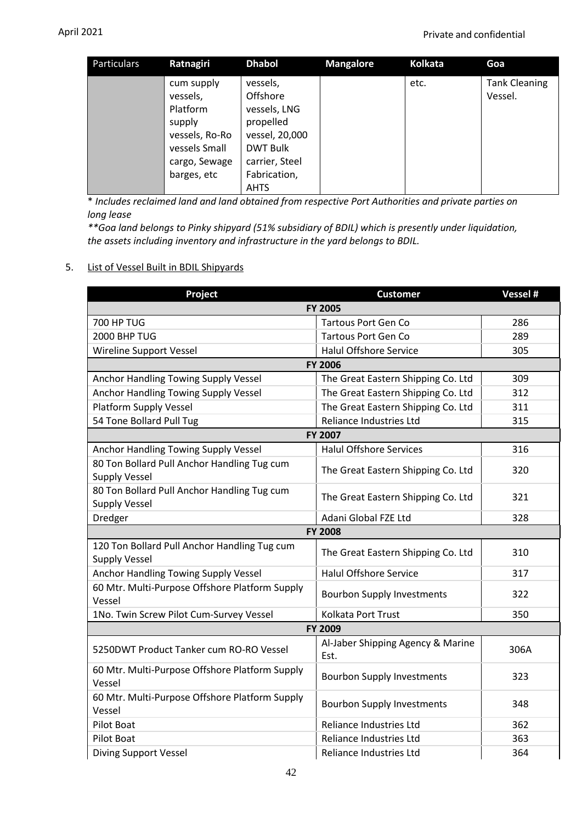| Particulars | Ratnagiri                                                                                                       | <b>Dhabol</b>                                                                                                                           | <b>Mangalore</b> | <b>Kolkata</b> | Goa                             |
|-------------|-----------------------------------------------------------------------------------------------------------------|-----------------------------------------------------------------------------------------------------------------------------------------|------------------|----------------|---------------------------------|
|             | cum supply<br>vessels,<br>Platform<br>supply<br>vessels, Ro-Ro<br>vessels Small<br>cargo, Sewage<br>barges, etc | vessels,<br>Offshore<br>vessels, LNG<br>propelled<br>vessel, 20,000<br><b>DWT Bulk</b><br>carrier, Steel<br>Fabrication,<br><b>AHTS</b> |                  | etc.           | <b>Tank Cleaning</b><br>Vessel. |

\* *Includes reclaimed land and land obtained from respective Port Authorities and private parties on long lease* 

*\*\*Goa land belongs to Pinky shipyard (51% subsidiary of BDIL) which is presently under liquidation, the assets including inventory and infrastructure in the yard belongs to BDIL.*

## 5. List of Vessel Built in BDIL Shipyards

| Project                                                              | <b>Customer</b>                           | Vessel # |  |  |
|----------------------------------------------------------------------|-------------------------------------------|----------|--|--|
|                                                                      | <b>FY 2005</b>                            |          |  |  |
| <b>700 HP TUG</b>                                                    | <b>Tartous Port Gen Co</b>                | 286      |  |  |
| 2000 BHP TUG                                                         | <b>Tartous Port Gen Co</b>                | 289      |  |  |
| Wireline Support Vessel                                              | <b>Halul Offshore Service</b>             | 305      |  |  |
| <b>FY 2006</b>                                                       |                                           |          |  |  |
| Anchor Handling Towing Supply Vessel                                 | The Great Eastern Shipping Co. Ltd        | 309      |  |  |
| Anchor Handling Towing Supply Vessel                                 | The Great Eastern Shipping Co. Ltd        | 312      |  |  |
| Platform Supply Vessel                                               | The Great Eastern Shipping Co. Ltd        | 311      |  |  |
| 54 Tone Bollard Pull Tug                                             | Reliance Industries Ltd                   | 315      |  |  |
|                                                                      | FY 2007                                   |          |  |  |
| Anchor Handling Towing Supply Vessel                                 | <b>Halul Offshore Services</b>            | 316      |  |  |
| 80 Ton Bollard Pull Anchor Handling Tug cum<br><b>Supply Vessel</b>  | The Great Eastern Shipping Co. Ltd        | 320      |  |  |
| 80 Ton Bollard Pull Anchor Handling Tug cum<br><b>Supply Vessel</b>  | The Great Eastern Shipping Co. Ltd        | 321      |  |  |
| Dredger                                                              | Adani Global FZE Ltd                      | 328      |  |  |
|                                                                      | <b>FY 2008</b>                            |          |  |  |
| 120 Ton Bollard Pull Anchor Handling Tug cum<br><b>Supply Vessel</b> | The Great Eastern Shipping Co. Ltd        | 310      |  |  |
| Anchor Handling Towing Supply Vessel                                 | <b>Halul Offshore Service</b>             | 317      |  |  |
| 60 Mtr. Multi-Purpose Offshore Platform Supply<br>Vessel             | <b>Bourbon Supply Investments</b>         | 322      |  |  |
| 1No. Twin Screw Pilot Cum-Survey Vessel                              | Kolkata Port Trust                        | 350      |  |  |
|                                                                      | FY 2009                                   |          |  |  |
| 5250DWT Product Tanker cum RO-RO Vessel                              | Al-Jaber Shipping Agency & Marine<br>Est. | 306A     |  |  |
| 60 Mtr. Multi-Purpose Offshore Platform Supply<br>Vessel             | <b>Bourbon Supply Investments</b>         | 323      |  |  |
| 60 Mtr. Multi-Purpose Offshore Platform Supply<br>Vessel             | <b>Bourbon Supply Investments</b>         | 348      |  |  |
| <b>Pilot Boat</b>                                                    | <b>Reliance Industries Ltd</b>            | 362      |  |  |
| <b>Pilot Boat</b>                                                    | <b>Reliance Industries Ltd</b>            | 363      |  |  |
| <b>Diving Support Vessel</b>                                         | Reliance Industries Ltd                   | 364      |  |  |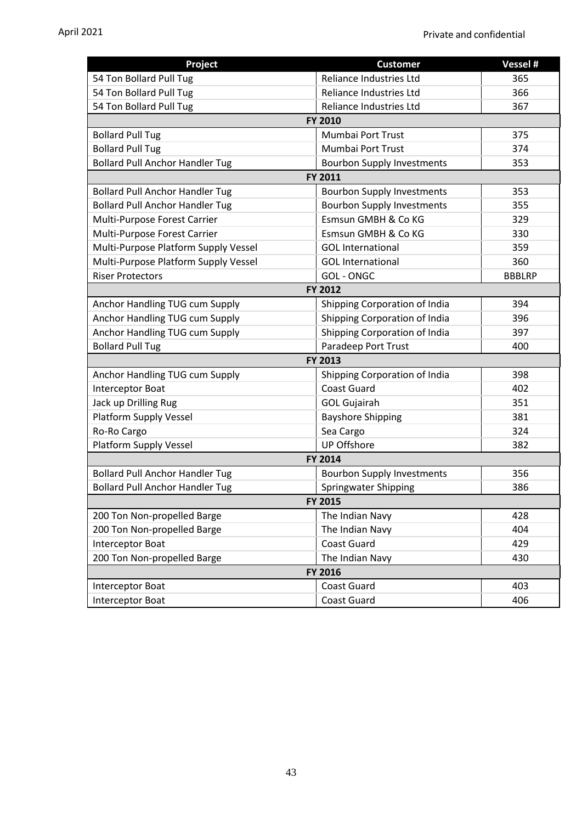| Project                                | <b>Customer</b>                   | Vessel #      |  |
|----------------------------------------|-----------------------------------|---------------|--|
| 54 Ton Bollard Pull Tug                | Reliance Industries Ltd           | 365           |  |
| 54 Ton Bollard Pull Tug                | Reliance Industries Ltd           | 366           |  |
| 54 Ton Bollard Pull Tug                | Reliance Industries Ltd           | 367           |  |
|                                        | <b>FY 2010</b>                    |               |  |
| <b>Bollard Pull Tug</b>                | Mumbai Port Trust                 | 375           |  |
| <b>Bollard Pull Tug</b>                | Mumbai Port Trust                 | 374           |  |
| <b>Bollard Pull Anchor Handler Tug</b> | <b>Bourbon Supply Investments</b> | 353           |  |
|                                        | FY 2011                           |               |  |
| <b>Bollard Pull Anchor Handler Tug</b> | <b>Bourbon Supply Investments</b> | 353           |  |
| <b>Bollard Pull Anchor Handler Tug</b> | <b>Bourbon Supply Investments</b> | 355           |  |
| Multi-Purpose Forest Carrier           | Esmsun GMBH & Co KG               | 329           |  |
| Multi-Purpose Forest Carrier           | Esmsun GMBH & Co KG               | 330           |  |
| Multi-Purpose Platform Supply Vessel   | <b>GOL</b> International          | 359           |  |
| Multi-Purpose Platform Supply Vessel   | <b>GOL</b> International          | 360           |  |
| <b>Riser Protectors</b>                | <b>GOL-ONGC</b>                   | <b>BBBLRP</b> |  |
|                                        | FY 2012                           |               |  |
| Anchor Handling TUG cum Supply         | Shipping Corporation of India     | 394           |  |
| Anchor Handling TUG cum Supply         | Shipping Corporation of India     | 396           |  |
| Anchor Handling TUG cum Supply         | Shipping Corporation of India     | 397           |  |
| <b>Bollard Pull Tug</b>                | Paradeep Port Trust               | 400           |  |
| <b>FY 2013</b>                         |                                   |               |  |
| Anchor Handling TUG cum Supply         | Shipping Corporation of India     | 398           |  |
| Interceptor Boat                       | <b>Coast Guard</b>                | 402           |  |
| Jack up Drilling Rug                   | <b>GOL Gujairah</b>               | 351           |  |
| <b>Platform Supply Vessel</b>          | <b>Bayshore Shipping</b>          | 381           |  |
| Ro-Ro Cargo                            | Sea Cargo                         | 324           |  |
| Platform Supply Vessel                 | <b>UP Offshore</b>                | 382           |  |
|                                        | FY 2014                           |               |  |
| <b>Bollard Pull Anchor Handler Tug</b> | <b>Bourbon Supply Investments</b> | 356           |  |
| <b>Bollard Pull Anchor Handler Tug</b> | Springwater Shipping              | 386           |  |
| FY 2015                                |                                   |               |  |
| 200 Ton Non-propelled Barge            | The Indian Navy                   | 428           |  |
| 200 Ton Non-propelled Barge            | The Indian Navy                   | 404           |  |
| Interceptor Boat                       | <b>Coast Guard</b>                | 429           |  |
| 200 Ton Non-propelled Barge            | The Indian Navy                   | 430           |  |
| FY 2016                                |                                   |               |  |
| Interceptor Boat                       | Coast Guard                       | 403           |  |
| <b>Interceptor Boat</b>                | Coast Guard                       | 406           |  |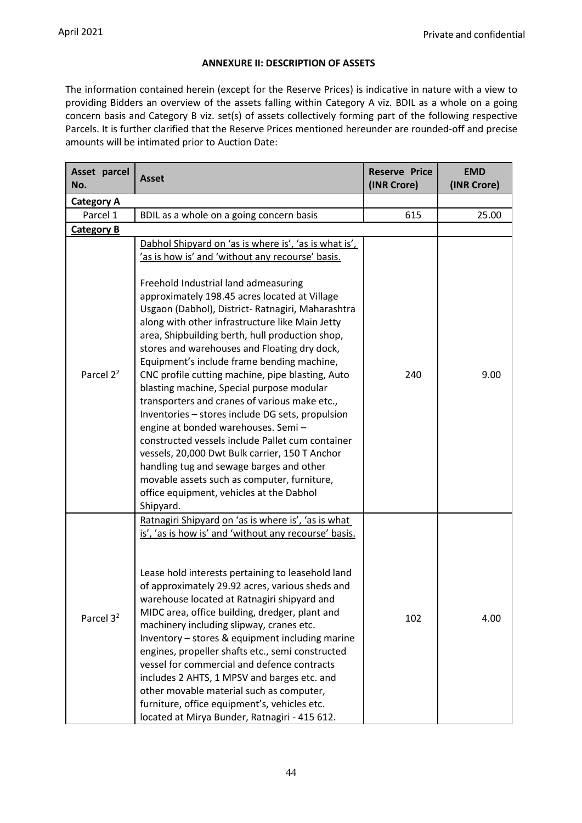## **ANNEXURE II: DESCRIPTION OF ASSETS**

The information contained herein (except for the Reserve Prices) is indicative in nature with a view to providing Bidders an overview of the assets falling within Category A viz. BDIL as a whole on a going concern basis and Category B viz. set(s) of assets collectively forming part of the following respective Parcels. It is further clarified that the Reserve Prices mentioned hereunder are rounded-off and precise amounts will be intimated prior to Auction Date:

| Asset parcel<br>No.   | <b>Asset</b>                                                                                                                                                                                                                                                                                                                                                                                                                                                                                                                                                                                                                                                                                                                                                                                                                                                                                                                                                      | <b>Reserve Price</b><br>(INR Crore) | <b>EMD</b><br>(INR Crore) |
|-----------------------|-------------------------------------------------------------------------------------------------------------------------------------------------------------------------------------------------------------------------------------------------------------------------------------------------------------------------------------------------------------------------------------------------------------------------------------------------------------------------------------------------------------------------------------------------------------------------------------------------------------------------------------------------------------------------------------------------------------------------------------------------------------------------------------------------------------------------------------------------------------------------------------------------------------------------------------------------------------------|-------------------------------------|---------------------------|
| <b>Category A</b>     |                                                                                                                                                                                                                                                                                                                                                                                                                                                                                                                                                                                                                                                                                                                                                                                                                                                                                                                                                                   |                                     |                           |
| Parcel 1              | BDIL as a whole on a going concern basis                                                                                                                                                                                                                                                                                                                                                                                                                                                                                                                                                                                                                                                                                                                                                                                                                                                                                                                          | 615                                 | 25.00                     |
| <b>Category B</b>     |                                                                                                                                                                                                                                                                                                                                                                                                                                                                                                                                                                                                                                                                                                                                                                                                                                                                                                                                                                   |                                     |                           |
| Parcel 2 <sup>2</sup> | Dabhol Shipyard on 'as is where is', 'as is what is',<br>'as is how is' and 'without any recourse' basis.<br>Freehold Industrial land admeasuring<br>approximately 198.45 acres located at Village<br>Usgaon (Dabhol), District- Ratnagiri, Maharashtra<br>along with other infrastructure like Main Jetty<br>area, Shipbuilding berth, hull production shop,<br>stores and warehouses and Floating dry dock,<br>Equipment's include frame bending machine,<br>CNC profile cutting machine, pipe blasting, Auto<br>blasting machine, Special purpose modular<br>transporters and cranes of various make etc.,<br>Inventories - stores include DG sets, propulsion<br>engine at bonded warehouses. Semi-<br>constructed vessels include Pallet cum container<br>vessels, 20,000 Dwt Bulk carrier, 150 T Anchor<br>handling tug and sewage barges and other<br>movable assets such as computer, furniture,<br>office equipment, vehicles at the Dabhol<br>Shipyard. | 240                                 | 9.00                      |
| Parcel 3 <sup>2</sup> | Ratnagiri Shipyard on 'as is where is', 'as is what<br>is', 'as is how is' and 'without any recourse' basis.<br>Lease hold interests pertaining to leasehold land<br>of approximately 29.92 acres, various sheds and<br>warehouse located at Ratnagiri shipyard and<br>MIDC area, office building, dredger, plant and<br>machinery including slipway, cranes etc.<br>Inventory - stores & equipment including marine<br>engines, propeller shafts etc., semi constructed<br>vessel for commercial and defence contracts<br>includes 2 AHTS, 1 MPSV and barges etc. and<br>other movable material such as computer,<br>furniture, office equipment's, vehicles etc.<br>located at Mirya Bunder, Ratnagiri - 415 612.                                                                                                                                                                                                                                               | 102                                 | 4.00                      |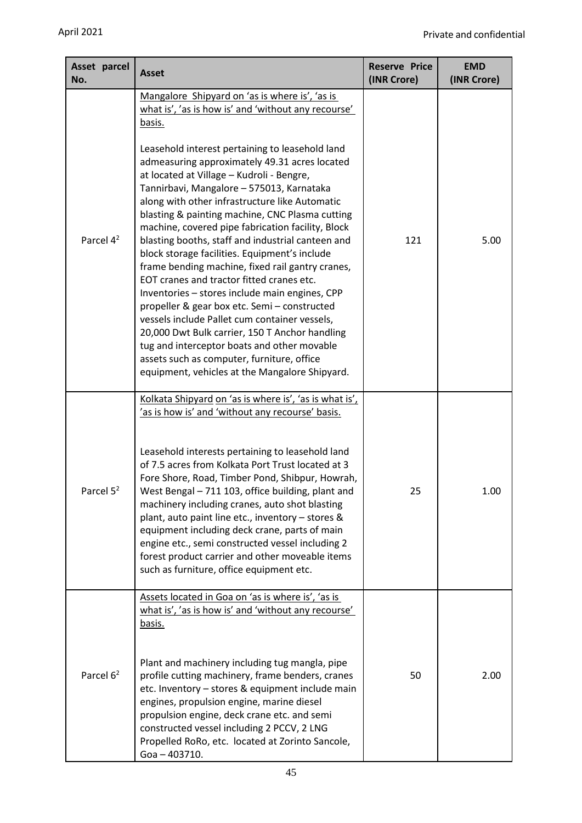| Asset parcel<br>No.   | <b>Asset</b>                                                                                                                                                                                                                                                                                                                                                                                                                                                                                                                                                                                                                                                                                                                                                                                                                                                                                                    | <b>Reserve Price</b><br>(INR Crore) | <b>EMD</b><br>(INR Crore) |
|-----------------------|-----------------------------------------------------------------------------------------------------------------------------------------------------------------------------------------------------------------------------------------------------------------------------------------------------------------------------------------------------------------------------------------------------------------------------------------------------------------------------------------------------------------------------------------------------------------------------------------------------------------------------------------------------------------------------------------------------------------------------------------------------------------------------------------------------------------------------------------------------------------------------------------------------------------|-------------------------------------|---------------------------|
|                       | Mangalore Shipyard on 'as is where is', 'as is<br>what is', 'as is how is' and 'without any recourse'<br><u>basis.</u>                                                                                                                                                                                                                                                                                                                                                                                                                                                                                                                                                                                                                                                                                                                                                                                          |                                     |                           |
| Parcel 4 <sup>2</sup> | Leasehold interest pertaining to leasehold land<br>admeasuring approximately 49.31 acres located<br>at located at Village - Kudroli - Bengre,<br>Tannirbavi, Mangalore - 575013, Karnataka<br>along with other infrastructure like Automatic<br>blasting & painting machine, CNC Plasma cutting<br>machine, covered pipe fabrication facility, Block<br>blasting booths, staff and industrial canteen and<br>block storage facilities. Equipment's include<br>frame bending machine, fixed rail gantry cranes,<br>EOT cranes and tractor fitted cranes etc.<br>Inventories - stores include main engines, CPP<br>propeller & gear box etc. Semi - constructed<br>vessels include Pallet cum container vessels,<br>20,000 Dwt Bulk carrier, 150 T Anchor handling<br>tug and interceptor boats and other movable<br>assets such as computer, furniture, office<br>equipment, vehicles at the Mangalore Shipyard. | 121                                 | 5.00                      |
|                       | Kolkata Shipyard on 'as is where is', 'as is what is',<br>'as is how is' and 'without any recourse' basis.                                                                                                                                                                                                                                                                                                                                                                                                                                                                                                                                                                                                                                                                                                                                                                                                      |                                     |                           |
| Parcel $5^2$          | Leasehold interests pertaining to leasehold land<br>of 7.5 acres from Kolkata Port Trust located at 3<br>Fore Shore, Road, Timber Pond, Shibpur, Howrah,<br>West Bengal - 711 103, office building, plant and<br>machinery including cranes, auto shot blasting<br>plant, auto paint line etc., inventory - stores &<br>equipment including deck crane, parts of main<br>engine etc., semi constructed vessel including 2<br>forest product carrier and other moveable items<br>such as furniture, office equipment etc.                                                                                                                                                                                                                                                                                                                                                                                        | 25                                  | 1.00                      |
|                       | Assets located in Goa on 'as is where is', 'as is<br>what is', 'as is how is' and 'without any recourse'<br><u>basis.</u>                                                                                                                                                                                                                                                                                                                                                                                                                                                                                                                                                                                                                                                                                                                                                                                       |                                     |                           |
| Parcel $6^2$          | Plant and machinery including tug mangla, pipe<br>profile cutting machinery, frame benders, cranes<br>etc. Inventory - stores & equipment include main<br>engines, propulsion engine, marine diesel<br>propulsion engine, deck crane etc. and semi<br>constructed vessel including 2 PCCV, 2 LNG<br>Propelled RoRo, etc. located at Zorinto Sancole,<br>Goa - 403710.                                                                                                                                                                                                                                                                                                                                                                                                                                                                                                                                           | 50                                  | 2.00                      |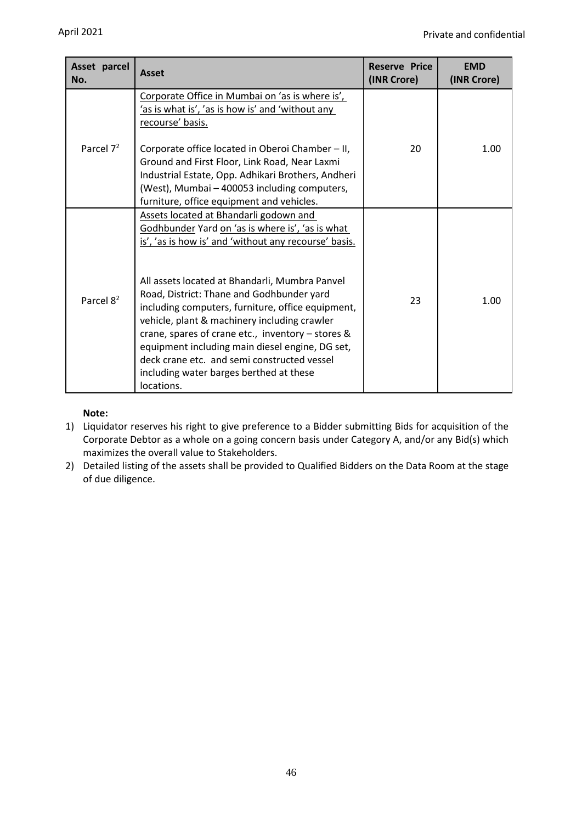| Asset parcel<br>No.   | <b>Asset</b>                                                                                                                                                                                                                                                                                                                                                                                                                                                                                                                                                                                                         | <b>Reserve Price</b><br>(INR Crore) | <b>EMD</b><br>(INR Crore) |
|-----------------------|----------------------------------------------------------------------------------------------------------------------------------------------------------------------------------------------------------------------------------------------------------------------------------------------------------------------------------------------------------------------------------------------------------------------------------------------------------------------------------------------------------------------------------------------------------------------------------------------------------------------|-------------------------------------|---------------------------|
| Parcel $7^2$          | Corporate Office in Mumbai on 'as is where is',<br><u>'as is what is', 'as is how is' and 'without any </u><br>recourse' basis.<br>Corporate office located in Oberoi Chamber - II,<br>Ground and First Floor, Link Road, Near Laxmi<br>Industrial Estate, Opp. Adhikari Brothers, Andheri<br>(West), Mumbai - 400053 including computers,                                                                                                                                                                                                                                                                           | 20                                  | 1.00                      |
| Parcel 8 <sup>2</sup> | furniture, office equipment and vehicles.<br>Assets located at Bhandarli godown and<br>Godhbunder Yard on 'as is where is', 'as is what<br>is', 'as is how is' and 'without any recourse' basis.<br>All assets located at Bhandarli, Mumbra Panvel<br>Road, District: Thane and Godhbunder yard<br>including computers, furniture, office equipment,<br>vehicle, plant & machinery including crawler<br>crane, spares of crane etc., inventory - stores &<br>equipment including main diesel engine, DG set,<br>deck crane etc. and semi constructed vessel<br>including water barges berthed at these<br>locations. | 23                                  | 1.00                      |

## **Note:**

- 1) Liquidator reserves his right to give preference to a Bidder submitting Bids for acquisition of the Corporate Debtor as a whole on a going concern basis under Category A, and/or any Bid(s) which maximizes the overall value to Stakeholders.
- 2) Detailed listing of the assets shall be provided to Qualified Bidders on the Data Room at the stage of due diligence.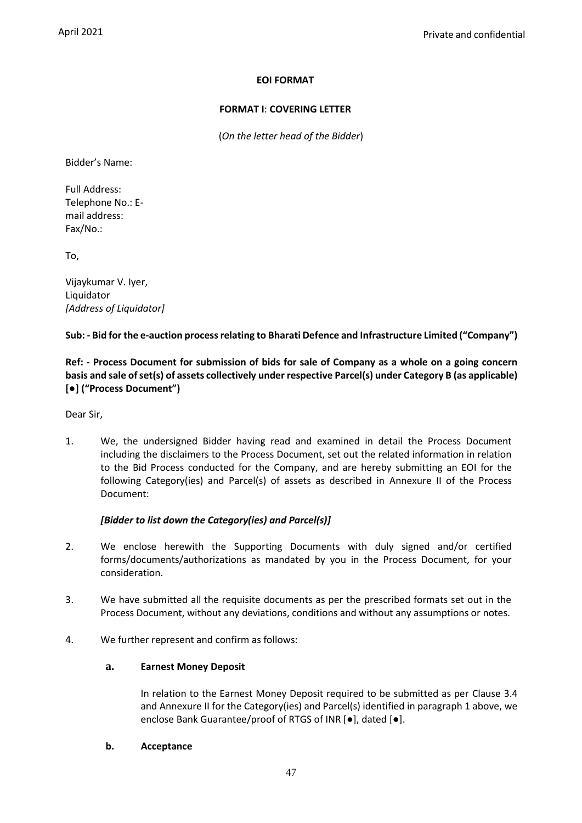## **EOI FORMAT**

## **FORMAT I**: **COVERING LETTER**

(*On the letter head of the Bidder*)

Bidder's Name:

Full Address: Telephone No.: Email address: Fax/No.:

To,

Vijaykumar V. Iyer, Liquidator *[Address of Liquidator]*

## **Sub: - Bid for the e-auction process relating to Bharati Defence and Infrastructure Limited ("Company")**

**Ref: - Process Document for submission of bids for sale of Company as a whole on a going concern basis and sale of set(s) of assets collectively under respective Parcel(s) under Category B (as applicable) [●] ("Process Document")**

Dear Sir,

1. We, the undersigned Bidder having read and examined in detail the Process Document including the disclaimers to the Process Document, set out the related information in relation to the Bid Process conducted for the Company, and are hereby submitting an EOI for the following Category(ies) and Parcel(s) of assets as described in Annexure II of the Process Document:

## *[Bidder to list down the Category(ies) and Parcel(s)]*

- 2. We enclose herewith the Supporting Documents with duly signed and/or certified forms/documents/authorizations as mandated by you in the Process Document, for your consideration.
- 3. We have submitted all the requisite documents as per the prescribed formats set out in the Process Document, without any deviations, conditions and without any assumptions or notes.
- 4. We further represent and confirm as follows:

## **a. Earnest Money Deposit**

In relation to the Earnest Money Deposit required to be submitted as per Clause 3.4 and Annexure II for the Category(ies) and Parcel(s) identified in paragraph 1 above, we enclose Bank Guarantee/proof of RTGS of INR [●], dated [●].

## **b. Acceptance**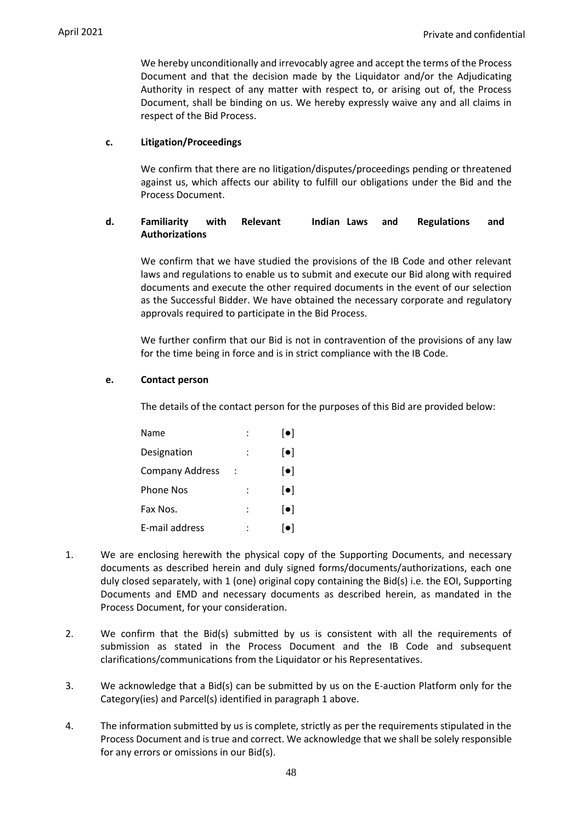We hereby unconditionally and irrevocably agree and accept the terms of the Process Document and that the decision made by the Liquidator and/or the Adjudicating Authority in respect of any matter with respect to, or arising out of, the Process Document, shall be binding on us. We hereby expressly waive any and all claims in respect of the Bid Process.

#### **c. Litigation/Proceedings**

We confirm that there are no litigation/disputes/proceedings pending or threatened against us, which affects our ability to fulfill our obligations under the Bid and the Process Document.

## **d. Familiarity with Relevant Indian Laws and Regulations and Authorizations**

We confirm that we have studied the provisions of the IB Code and other relevant laws and regulations to enable us to submit and execute our Bid along with required documents and execute the other required documents in the event of our selection as the Successful Bidder. We have obtained the necessary corporate and regulatory approvals required to participate in the Bid Process.

We further confirm that our Bid is not in contravention of the provisions of any law for the time being in force and is in strict compliance with the IB Code.

## **e. Contact person**

The details of the contact person for the purposes of this Bid are provided below:

| Name                   | $\lceil \bullet \rceil$   |
|------------------------|---------------------------|
| Designation            | $\left[ \bullet \right]$  |
| <b>Company Address</b> | $\lbrack \bullet \rbrack$ |
| <b>Phone Nos</b>       | $\left[ \bullet \right]$  |
| Fax Nos.               | $\lceil \bullet \rceil$   |
| E-mail address         | lo I                      |

- 1. We are enclosing herewith the physical copy of the Supporting Documents, and necessary documents as described herein and duly signed forms/documents/authorizations, each one duly closed separately, with 1 (one) original copy containing the Bid(s) i.e. the EOI, Supporting Documents and EMD and necessary documents as described herein, as mandated in the Process Document, for your consideration.
- 2. We confirm that the Bid(s) submitted by us is consistent with all the requirements of submission as stated in the Process Document and the IB Code and subsequent clarifications/communications from the Liquidator or his Representatives.
- 3. We acknowledge that a Bid(s) can be submitted by us on the E-auction Platform only for the Category(ies) and Parcel(s) identified in paragraph 1 above.
- 4. The information submitted by us is complete, strictly as per the requirements stipulated in the Process Document and is true and correct. We acknowledge that we shall be solely responsible for any errors or omissions in our Bid(s).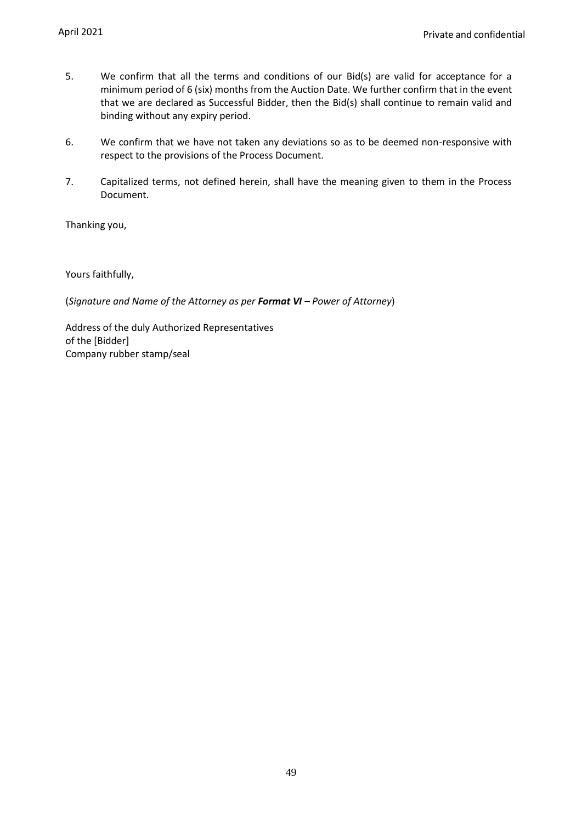- 5. We confirm that all the terms and conditions of our Bid(s) are valid for acceptance for a minimum period of 6 (six) months from the Auction Date. We further confirm that in the event that we are declared as Successful Bidder, then the Bid(s) shall continue to remain valid and binding without any expiry period.
- 6. We confirm that we have not taken any deviations so as to be deemed non-responsive with respect to the provisions of the Process Document.
- 7. Capitalized terms, not defined herein, shall have the meaning given to them in the Process Document.

Thanking you,

Yours faithfully,

(*Signature and Name of the Attorney as per Format VI – Power of Attorney*)

Address of the duly Authorized Representatives of the [Bidder] Company rubber stamp/seal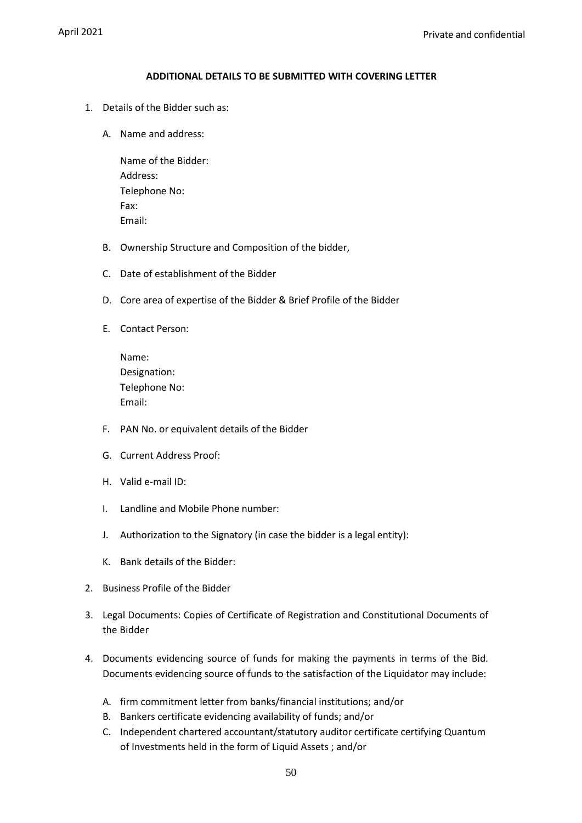#### **ADDITIONAL DETAILS TO BE SUBMITTED WITH COVERING LETTER**

- 1. Details of the Bidder such as:
	- A. Name and address:

Name of the Bidder: Address: Telephone No: Fax: Email:

- B. Ownership Structure and Composition of the bidder,
- C. Date of establishment of the Bidder
- D. Core area of expertise of the Bidder & Brief Profile of the Bidder
- E. Contact Person:

| Name:         |
|---------------|
| Designation:  |
| Telephone No: |
| Email:        |

- F. PAN No. or equivalent details of the Bidder
- G. Current Address Proof:
- H. Valid e-mail ID:
- I. Landline and Mobile Phone number:
- J. Authorization to the Signatory (in case the bidder is a legal entity):
- K. Bank details of the Bidder:
- 2. Business Profile of the Bidder
- 3. Legal Documents: Copies of Certificate of Registration and Constitutional Documents of the Bidder
- 4. Documents evidencing source of funds for making the payments in terms of the Bid. Documents evidencing source of funds to the satisfaction of the Liquidator may include:
	- A. firm commitment letter from banks/financial institutions; and/or
	- B. Bankers certificate evidencing availability of funds; and/or
	- C. Independent chartered accountant/statutory auditor certificate certifying Quantum of Investments held in the form of Liquid Assets ; and/or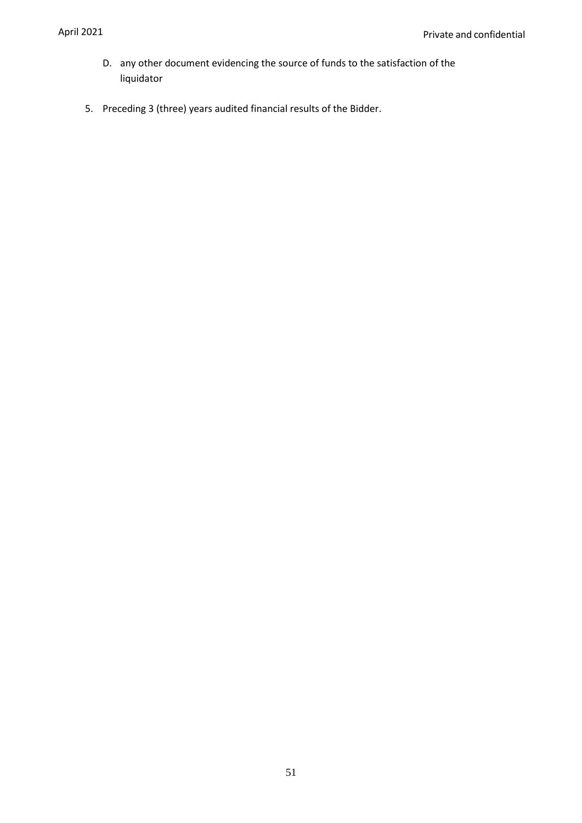- D. any other document evidencing the source of funds to the satisfaction of the liquidator
- 5. Preceding 3 (three) years audited financial results of the Bidder.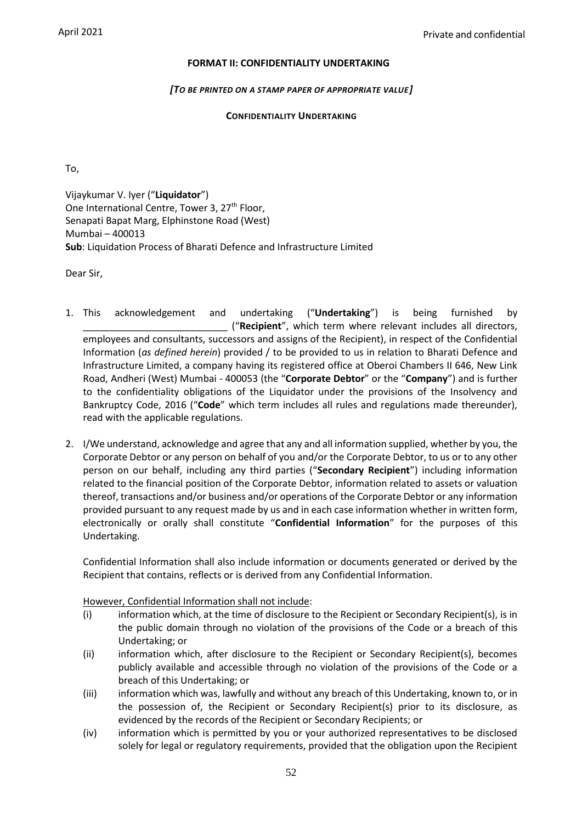## **FORMAT II: CONFIDENTIALITY UNDERTAKING**

#### *[TO BE PRINTED ON A STAMP PAPER OF APPROPRIATE VALUE]*

## **CONFIDENTIALITY UNDERTAKING**

To,

Vijaykumar V. Iyer ("**Liquidator**") One International Centre, Tower 3, 27<sup>th</sup> Floor, Senapati Bapat Marg, Elphinstone Road (West) Mumbai – 400013 **Sub**: Liquidation Process of Bharati Defence and Infrastructure Limited

Dear Sir,

- 1. This acknowledgement and undertaking ("**Undertaking**") is being furnished by \_\_\_\_\_\_\_\_\_\_\_\_\_\_\_\_\_\_\_\_\_\_\_\_\_\_\_ ("**Recipient**", which term where relevant includes all directors, employees and consultants, successors and assigns of the Recipient), in respect of the Confidential Information (*as defined herein*) provided / to be provided to us in relation to Bharati Defence and Infrastructure Limited, a company having its registered office at Oberoi Chambers II 646, New Link Road, Andheri (West) Mumbai - 400053 (the "**Corporate Debtor**" or the "**Company**") and is further to the confidentiality obligations of the Liquidator under the provisions of the Insolvency and Bankruptcy Code, 2016 ("**Code**" which term includes all rules and regulations made thereunder), read with the applicable regulations.
- 2. I/We understand, acknowledge and agree that any and all information supplied, whether by you, the Corporate Debtor or any person on behalf of you and/or the Corporate Debtor, to us or to any other person on our behalf, including any third parties ("**Secondary Recipient**") including information related to the financial position of the Corporate Debtor, information related to assets or valuation thereof, transactions and/or business and/or operations of the Corporate Debtor or any information provided pursuant to any request made by us and in each case information whether in written form, electronically or orally shall constitute "**Confidential Information**" for the purposes of this Undertaking.

Confidential Information shall also include information or documents generated or derived by the Recipient that contains, reflects or is derived from any Confidential Information.

#### However, Confidential Information shall not include:

- (i) information which, at the time of disclosure to the Recipient or Secondary Recipient(s), is in the public domain through no violation of the provisions of the Code or a breach of this Undertaking; or
- (ii) information which, after disclosure to the Recipient or Secondary Recipient(s), becomes publicly available and accessible through no violation of the provisions of the Code or a breach of this Undertaking; or
- (iii) information which was, lawfully and without any breach of this Undertaking, known to, or in the possession of, the Recipient or Secondary Recipient(s) prior to its disclosure, as evidenced by the records of the Recipient or Secondary Recipients; or
- (iv) information which is permitted by you or your authorized representatives to be disclosed solely for legal or regulatory requirements, provided that the obligation upon the Recipient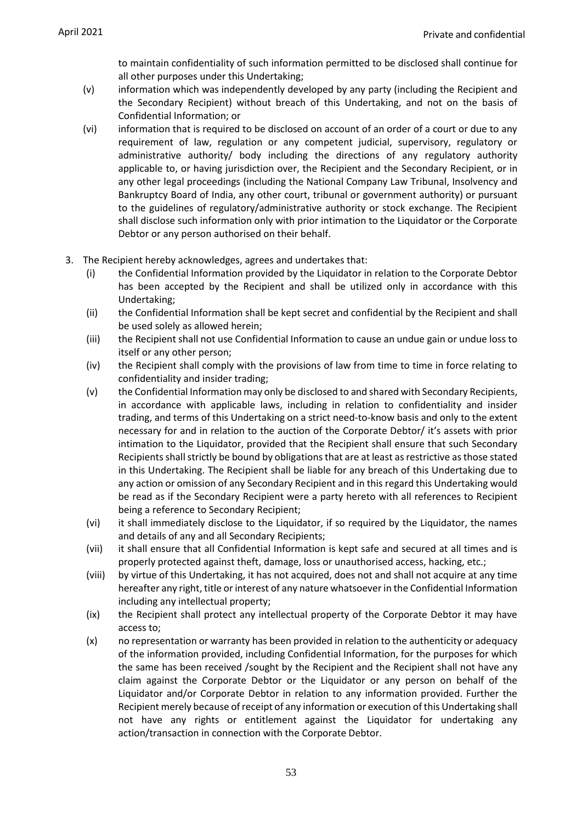to maintain confidentiality of such information permitted to be disclosed shall continue for all other purposes under this Undertaking;

- (v) information which was independently developed by any party (including the Recipient and the Secondary Recipient) without breach of this Undertaking, and not on the basis of Confidential Information; or
- (vi) information that is required to be disclosed on account of an order of a court or due to any requirement of law, regulation or any competent judicial, supervisory, regulatory or administrative authority/ body including the directions of any regulatory authority applicable to, or having jurisdiction over, the Recipient and the Secondary Recipient, or in any other legal proceedings (including the National Company Law Tribunal, Insolvency and Bankruptcy Board of India, any other court, tribunal or government authority) or pursuant to the guidelines of regulatory/administrative authority or stock exchange. The Recipient shall disclose such information only with prior intimation to the Liquidator or the Corporate Debtor or any person authorised on their behalf.
- 3. The Recipient hereby acknowledges, agrees and undertakes that:
	- (i) the Confidential Information provided by the Liquidator in relation to the Corporate Debtor has been accepted by the Recipient and shall be utilized only in accordance with this Undertaking;
	- (ii) the Confidential Information shall be kept secret and confidential by the Recipient and shall be used solely as allowed herein;
	- (iii) the Recipient shall not use Confidential Information to cause an undue gain or undue loss to itself or any other person;
	- (iv) the Recipient shall comply with the provisions of law from time to time in force relating to confidentiality and insider trading;
	- (v) the Confidential Information may only be disclosed to and shared with Secondary Recipients, in accordance with applicable laws, including in relation to confidentiality and insider trading, and terms of this Undertaking on a strict need-to-know basis and only to the extent necessary for and in relation to the auction of the Corporate Debtor/ it's assets with prior intimation to the Liquidator, provided that the Recipient shall ensure that such Secondary Recipients shall strictly be bound by obligations that are at least as restrictive as those stated in this Undertaking. The Recipient shall be liable for any breach of this Undertaking due to any action or omission of any Secondary Recipient and in this regard this Undertaking would be read as if the Secondary Recipient were a party hereto with all references to Recipient being a reference to Secondary Recipient;
	- (vi) it shall immediately disclose to the Liquidator, if so required by the Liquidator, the names and details of any and all Secondary Recipients;
	- (vii) it shall ensure that all Confidential Information is kept safe and secured at all times and is properly protected against theft, damage, loss or unauthorised access, hacking, etc.;
	- (viii) by virtue of this Undertaking, it has not acquired, does not and shall not acquire at any time hereafter any right, title or interest of any nature whatsoever in the Confidential Information including any intellectual property;
	- (ix) the Recipient shall protect any intellectual property of the Corporate Debtor it may have access to;
	- (x) no representation or warranty has been provided in relation to the authenticity or adequacy of the information provided, including Confidential Information, for the purposes for which the same has been received /sought by the Recipient and the Recipient shall not have any claim against the Corporate Debtor or the Liquidator or any person on behalf of the Liquidator and/or Corporate Debtor in relation to any information provided. Further the Recipient merely because of receipt of any information or execution of this Undertaking shall not have any rights or entitlement against the Liquidator for undertaking any action/transaction in connection with the Corporate Debtor.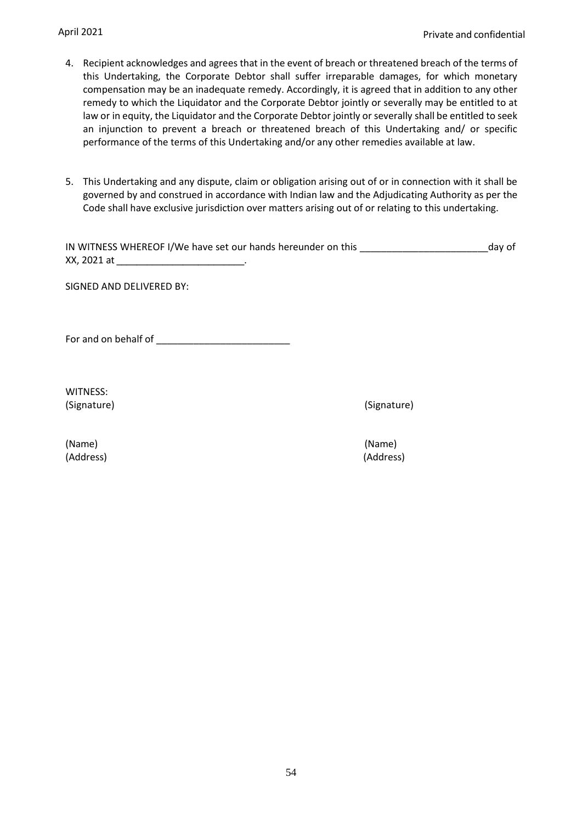- 4. Recipient acknowledges and agrees that in the event of breach or threatened breach of the terms of this Undertaking, the Corporate Debtor shall suffer irreparable damages, for which monetary compensation may be an inadequate remedy. Accordingly, it is agreed that in addition to any other remedy to which the Liquidator and the Corporate Debtor jointly or severally may be entitled to at law or in equity, the Liquidator and the Corporate Debtor jointly or severally shall be entitled to seek an injunction to prevent a breach or threatened breach of this Undertaking and/ or specific performance of the terms of this Undertaking and/or any other remedies available at law.
- 5. This Undertaking and any dispute, claim or obligation arising out of or in connection with it shall be governed by and construed in accordance with Indian law and the Adjudicating Authority as per the Code shall have exclusive jurisdiction over matters arising out of or relating to this undertaking.

|             | IN WITNESS WHEREOF I/We have set our hands hereunder on this | day of |
|-------------|--------------------------------------------------------------|--------|
| XX, 2021 at |                                                              |        |

SIGNED AND DELIVERED BY:

For and on behalf of \_\_\_\_\_\_\_\_\_\_\_\_\_\_\_\_\_\_\_\_\_\_\_\_\_

WITNESS: (Signature) (Signature)

(Name) (Name) (Address) (Address)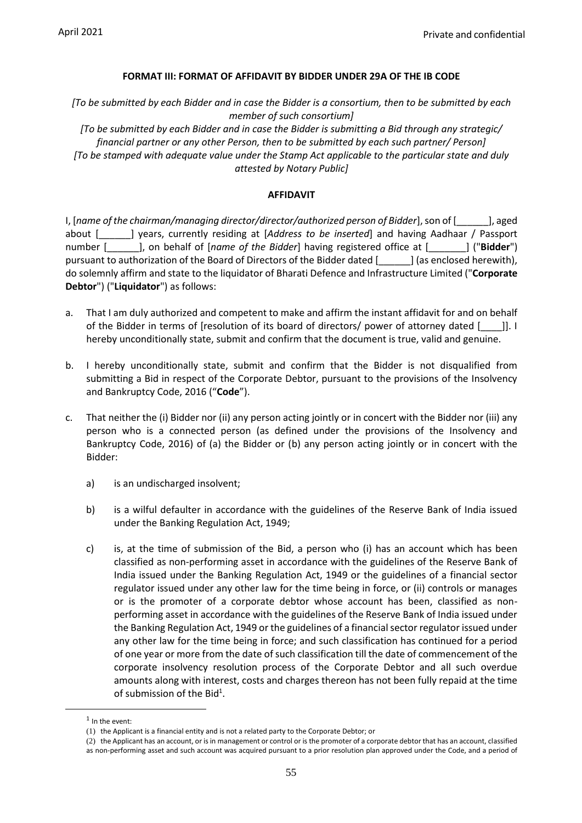#### **FORMAT III: FORMAT OF AFFIDAVIT BY BIDDER UNDER 29A OF THE IB CODE**

*[To be submitted by each Bidder and in case the Bidder is a consortium, then to be submitted by each member of such consortium]*

*[To be submitted by each Bidder and in case the Bidder is submitting a Bid through any strategic/ financial partner or any other Person, then to be submitted by each such partner/ Person] [To be stamped with adequate value under the Stamp Act applicable to the particular state and duly attested by Notary Public]*

#### **AFFIDAVIT**

I, [*name of the chairman/managing director/director/authorized person of Bidder*], son of [\_\_\_\_\_\_], aged about [\_\_\_\_\_\_] years, currently residing at [*Address to be inserted*] and having Aadhaar / Passport number [\_\_\_\_\_\_], on behalf of [*name of the Bidder*] having registered office at [\_\_\_\_\_\_\_] ("**Bidder**") pursuant to authorization of the Board of Directors of the Bidder dated [\_\_\_\_\_\_] (as enclosed herewith), do solemnly affirm and state to the liquidator of Bharati Defence and Infrastructure Limited ("**Corporate Debtor**") ("**Liquidator**") as follows:

- a. That I am duly authorized and competent to make and affirm the instant affidavit for and on behalf of the Bidder in terms of [resolution of its board of directors/ power of attorney dated [\_\_\_\_]]. I hereby unconditionally state, submit and confirm that the document is true, valid and genuine.
- b. I hereby unconditionally state, submit and confirm that the Bidder is not disqualified from submitting a Bid in respect of the Corporate Debtor, pursuant to the provisions of the Insolvency and Bankruptcy Code, 2016 ("**Code**").
- c. That neither the (i) Bidder nor (ii) any person acting jointly or in concert with the Bidder nor (iii) any person who is a connected person (as defined under the provisions of the Insolvency and Bankruptcy Code, 2016) of (a) the Bidder or (b) any person acting jointly or in concert with the Bidder:
	- a) is an undischarged insolvent;
	- b) is a wilful defaulter in accordance with the guidelines of the Reserve Bank of India issued under the Banking Regulation Act, 1949;
	- c) is, at the time of submission of the Bid, a person who (i) has an account which has been classified as non-performing asset in accordance with the guidelines of the Reserve Bank of India issued under the Banking Regulation Act, 1949 or the guidelines of a financial sector regulator issued under any other law for the time being in force, or (ii) controls or manages or is the promoter of a corporate debtor whose account has been, classified as nonperforming asset in accordance with the guidelines of the Reserve Bank of India issued under the Banking Regulation Act, 1949 or the guidelines of a financial sector regulator issued under any other law for the time being in force; and such classification has continued for a period of one year or more from the date of such classification till the date of commencement of the corporate insolvency resolution process of the Corporate Debtor and all such overdue amounts along with interest, costs and charges thereon has not been fully repaid at the time of submission of the Bid<sup>1</sup>.

 $<sup>1</sup>$  In the event:</sup>

<sup>(1)</sup> the Applicant is a financial entity and is not a related party to the Corporate Debtor; or

<sup>(2)</sup> the Applicant has an account, or is in management or control or is the promoter of a corporate debtor that has an account, classified as non-performing asset and such account was acquired pursuant to a prior resolution plan approved under the Code, and a period of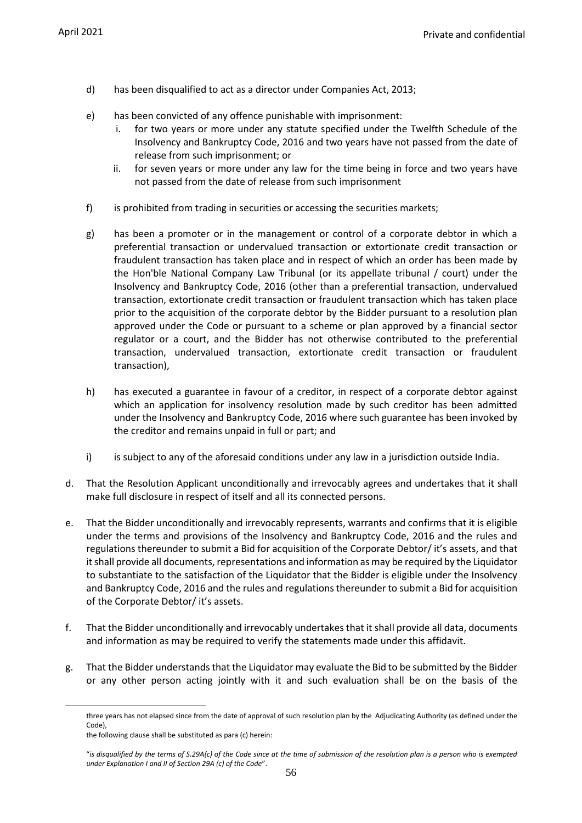- d) has been disqualified to act as a director under Companies Act, 2013;
- e) has been convicted of any offence punishable with imprisonment:
	- i. for two years or more under any statute specified under the Twelfth Schedule of the Insolvency and Bankruptcy Code, 2016 and two years have not passed from the date of release from such imprisonment; or
	- ii. for seven years or more under any law for the time being in force and two years have not passed from the date of release from such imprisonment
- f) is prohibited from trading in securities or accessing the securities markets;
- g) has been a promoter or in the management or control of a corporate debtor in which a preferential transaction or undervalued transaction or extortionate credit transaction or fraudulent transaction has taken place and in respect of which an order has been made by the Hon'ble National Company Law Tribunal (or its appellate tribunal / court) under the Insolvency and Bankruptcy Code, 2016 (other than a preferential transaction, undervalued transaction, extortionate credit transaction or fraudulent transaction which has taken place prior to the acquisition of the corporate debtor by the Bidder pursuant to a resolution plan approved under the Code or pursuant to a scheme or plan approved by a financial sector regulator or a court, and the Bidder has not otherwise contributed to the preferential transaction, undervalued transaction, extortionate credit transaction or fraudulent transaction),
- h) has executed a guarantee in favour of a creditor, in respect of a corporate debtor against which an application for insolvency resolution made by such creditor has been admitted under the Insolvency and Bankruptcy Code, 2016 where such guarantee has been invoked by the creditor and remains unpaid in full or part; and
- i) is subject to any of the aforesaid conditions under any law in a jurisdiction outside India.
- d. That the Resolution Applicant unconditionally and irrevocably agrees and undertakes that it shall make full disclosure in respect of itself and all its connected persons.
- e. That the Bidder unconditionally and irrevocably represents, warrants and confirms that it is eligible under the terms and provisions of the Insolvency and Bankruptcy Code, 2016 and the rules and regulations thereunder to submit a Bid for acquisition of the Corporate Debtor/ it's assets, and that it shall provide all documents, representations and information as may be required by the Liquidator to substantiate to the satisfaction of the Liquidator that the Bidder is eligible under the Insolvency and Bankruptcy Code, 2016 and the rules and regulations thereunder to submit a Bid for acquisition of the Corporate Debtor/ it's assets.
- f. That the Bidder unconditionally and irrevocably undertakes that it shall provide all data, documents and information as may be required to verify the statements made under this affidavit.
- g. That the Bidder understands that the Liquidator may evaluate the Bid to be submitted by the Bidder or any other person acting jointly with it and such evaluation shall be on the basis of the

three years has not elapsed since from the date of approval of such resolution plan by the Adjudicating Authority (as defined under the Code),

the following clause shall be substituted as para (c) herein:

<sup>&</sup>quot;*is disqualified by the terms of S.29A(c) of the Code since at the time of submission of the resolution plan is a person who is exempted under Explanation I and II of Section 29A (c) of the Code*".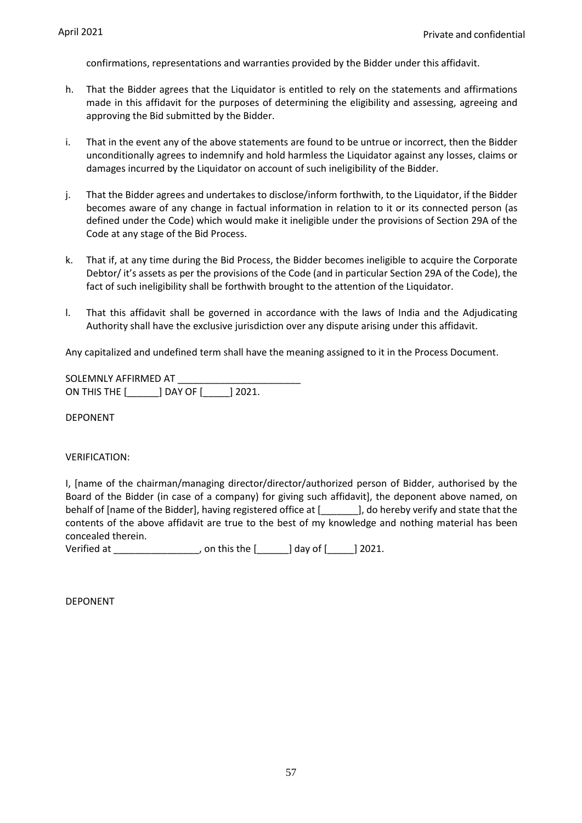confirmations, representations and warranties provided by the Bidder under this affidavit.

- h. That the Bidder agrees that the Liquidator is entitled to rely on the statements and affirmations made in this affidavit for the purposes of determining the eligibility and assessing, agreeing and approving the Bid submitted by the Bidder.
- i. That in the event any of the above statements are found to be untrue or incorrect, then the Bidder unconditionally agrees to indemnify and hold harmless the Liquidator against any losses, claims or damages incurred by the Liquidator on account of such ineligibility of the Bidder.
- j. That the Bidder agrees and undertakes to disclose/inform forthwith, to the Liquidator, if the Bidder becomes aware of any change in factual information in relation to it or its connected person (as defined under the Code) which would make it ineligible under the provisions of Section 29A of the Code at any stage of the Bid Process.
- k. That if, at any time during the Bid Process, the Bidder becomes ineligible to acquire the Corporate Debtor/ it's assets as per the provisions of the Code (and in particular Section 29A of the Code), the fact of such ineligibility shall be forthwith brought to the attention of the Liquidator.
- l. That this affidavit shall be governed in accordance with the laws of India and the Adjudicating Authority shall have the exclusive jurisdiction over any dispute arising under this affidavit.

Any capitalized and undefined term shall have the meaning assigned to it in the Process Document.

SOLEMNLY AFFIRMED AT \_\_\_\_\_\_\_\_\_\_\_\_\_\_\_\_\_\_\_\_\_\_\_ ON THIS THE [\_\_\_\_\_\_] DAY OF [\_\_\_\_\_] 2021.

DEPONENT

#### VERIFICATION:

I, [name of the chairman/managing director/director/authorized person of Bidder, authorised by the Board of the Bidder (in case of a company) for giving such affidavit], the deponent above named, on behalf of [name of the Bidder], having registered office at [1, 00 hereby verify and state that the contents of the above affidavit are true to the best of my knowledge and nothing material has been concealed therein.

Verified at \_\_\_\_\_\_\_\_\_\_\_\_\_\_\_\_, on this the [\_\_\_\_\_\_] day of [\_\_\_\_\_] 2021.

DEPONENT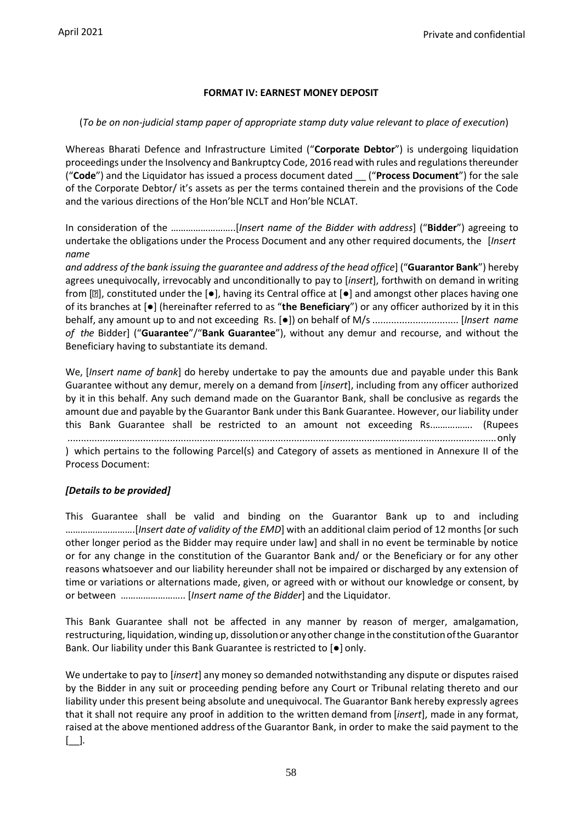## **FORMAT IV: EARNEST MONEY DEPOSIT**

## (*To be on non-judicial stamp paper of appropriate stamp duty value relevant to place of execution*)

Whereas Bharati Defence and Infrastructure Limited ("**Corporate Debtor**") is undergoing liquidation proceedings under the Insolvency and Bankruptcy Code, 2016 read with rules and regulations thereunder ("**Code**") and the Liquidator has issued a process document dated \_\_ ("**Process Document**") for the sale of the Corporate Debtor/ it's assets as per the terms contained therein and the provisions of the Code and the various directions of the Hon'ble NCLT and Hon'ble NCLAT.

In consideration of the ……………………..[*Insert name of the Bidder with address*] ("**Bidder**") agreeing to undertake the obligations under the Process Document and any other required documents, the [*Insert name*

*and address of the bank issuing the guarantee and address of the head office*] ("**Guarantor Bank**") hereby agrees unequivocally, irrevocably and unconditionally to pay to [*insert*], forthwith on demand in writing from  $[2]$ , constituted under the  $[•]$ , having its Central office at  $[•]$  and amongst other places having one of its branches at [●] (hereinafter referred to as "**the Beneficiary**") or any officer authorized by it in this behalf, any amount up to and not exceeding Rs. [●]) on behalf of M/s ................................ [*Insert name of the* Bidder] ("**Guarantee**"/"**Bank Guarantee**"), without any demur and recourse, and without the Beneficiary having to substantiate its demand.

We, [*Insert name of bank*] do hereby undertake to pay the amounts due and payable under this Bank Guarantee without any demur, merely on a demand from [*insert*], including from any officer authorized by it in this behalf. Any such demand made on the Guarantor Bank, shall be conclusive as regards the amount due and payable by the Guarantor Bank under this Bank Guarantee. However, our liability under this Bank Guarantee shall be restricted to an amount not exceeding Rs.……………. (Rupees ...............................................................................................................................................................only

) which pertains to the following Parcel(s) and Category of assets as mentioned in Annexure II of the Process Document:

## *[Details to be provided]*

This Guarantee shall be valid and binding on the Guarantor Bank up to and including ……………………….[*Insert date of validity of the EMD*] with an additional claim period of 12 months [or such other longer period as the Bidder may require under law] and shall in no event be terminable by notice or for any change in the constitution of the Guarantor Bank and/ or the Beneficiary or for any other reasons whatsoever and our liability hereunder shall not be impaired or discharged by any extension of time or variations or alternations made, given, or agreed with or without our knowledge or consent, by or between …………………….. [*Insert name of the Bidder*] and the Liquidator.

This Bank Guarantee shall not be affected in any manner by reason of merger, amalgamation, restructuring, liquidation, winding up, dissolutionor anyother change inthe constitutionofthe Guarantor Bank. Our liability under this Bank Guarantee is restricted to [●] only.

We undertake to pay to [*insert*] any money so demanded notwithstanding any dispute or disputes raised by the Bidder in any suit or proceeding pending before any Court or Tribunal relating thereto and our liability under this present being absolute and unequivocal. The Guarantor Bank hereby expressly agrees that it shall not require any proof in addition to the written demand from [*insert*], made in any format, raised at the above mentioned address ofthe Guarantor Bank, in order to make the said payment to the [\_\_]*.*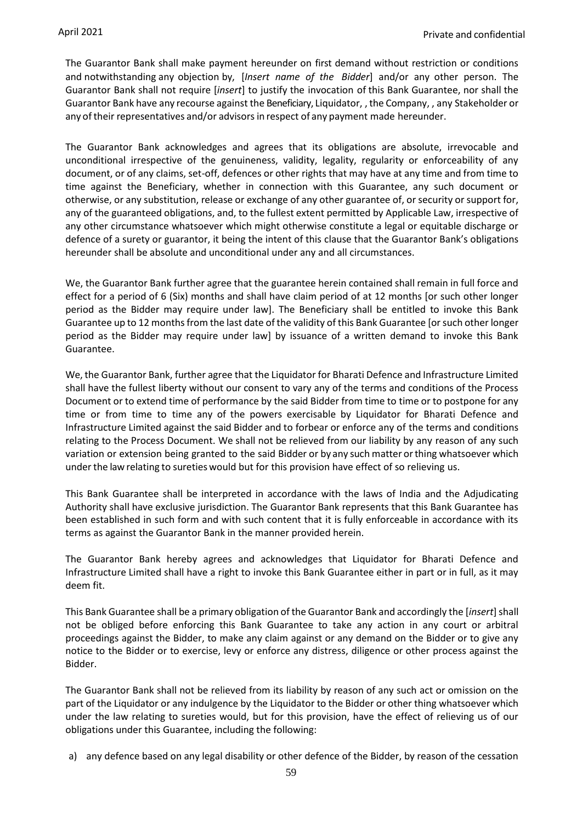The Guarantor Bank shall make payment hereunder on first demand without restriction or conditions and notwithstanding any objection by, [*Insert name of the Bidder*] and/or any other person. The Guarantor Bank shall not require [*insert*] to justify the invocation of this Bank Guarantee, nor shall the Guarantor Bank have any recourse against the Beneficiary, Liquidator, ,the Company, , any Stakeholder or any oftheir representatives and/or advisorsin respect of any payment made hereunder.

The Guarantor Bank acknowledges and agrees that its obligations are absolute, irrevocable and unconditional irrespective of the genuineness, validity, legality, regularity or enforceability of any document, or of any claims, set-off, defences or other rights that may have at any time and from time to time against the Beneficiary, whether in connection with this Guarantee, any such document or otherwise, or any substitution, release or exchange of any other guarantee of, or security or support for, any of the guaranteed obligations, and, to the fullest extent permitted by Applicable Law, irrespective of any other circumstance whatsoever which might otherwise constitute a legal or equitable discharge or defence of a surety or guarantor, it being the intent of this clause that the Guarantor Bank's obligations hereunder shall be absolute and unconditional under any and all circumstances.

We, the Guarantor Bank further agree that the guarantee herein contained shall remain in full force and effect for a period of 6 (Six) months and shall have claim period of at 12 months [or such other longer period as the Bidder may require under law]. The Beneficiary shall be entitled to invoke this Bank Guarantee up to 12 months from the last date of the validity of this Bank Guarantee [or such other longer period as the Bidder may require under law] by issuance of a written demand to invoke this Bank Guarantee.

We, the Guarantor Bank, further agree that the Liquidator for Bharati Defence and Infrastructure Limited shall have the fullest liberty without our consent to vary any of the terms and conditions of the Process Document or to extend time of performance by the said Bidder from time to time or to postpone for any time or from time to time any of the powers exercisable by Liquidator for Bharati Defence and Infrastructure Limited against the said Bidder and to forbear or enforce any of the terms and conditions relating to the Process Document. We shall not be relieved from our liability by any reason of any such variation or extension being granted to the said Bidder or by any such matter orthing whatsoever which under the law relating to sureties would but for this provision have effect of so relieving us.

This Bank Guarantee shall be interpreted in accordance with the laws of India and the Adjudicating Authority shall have exclusive jurisdiction. The Guarantor Bank represents that this Bank Guarantee has been established in such form and with such content that it is fully enforceable in accordance with its terms as against the Guarantor Bank in the manner provided herein.

The Guarantor Bank hereby agrees and acknowledges that Liquidator for Bharati Defence and Infrastructure Limited shall have a right to invoke this Bank Guarantee either in part or in full, as it may deem fit.

This Bank Guarantee shall be a primary obligation of the Guarantor Bank and accordingly the [*insert*] shall not be obliged before enforcing this Bank Guarantee to take any action in any court or arbitral proceedings against the Bidder, to make any claim against or any demand on the Bidder or to give any notice to the Bidder or to exercise, levy or enforce any distress, diligence or other process against the Bidder.

The Guarantor Bank shall not be relieved from its liability by reason of any such act or omission on the part of the Liquidator or any indulgence by the Liquidator to the Bidder or other thing whatsoever which under the law relating to sureties would, but for this provision, have the effect of relieving us of our obligations under this Guarantee, including the following:

a) any defence based on any legal disability or other defence of the Bidder, by reason of the cessation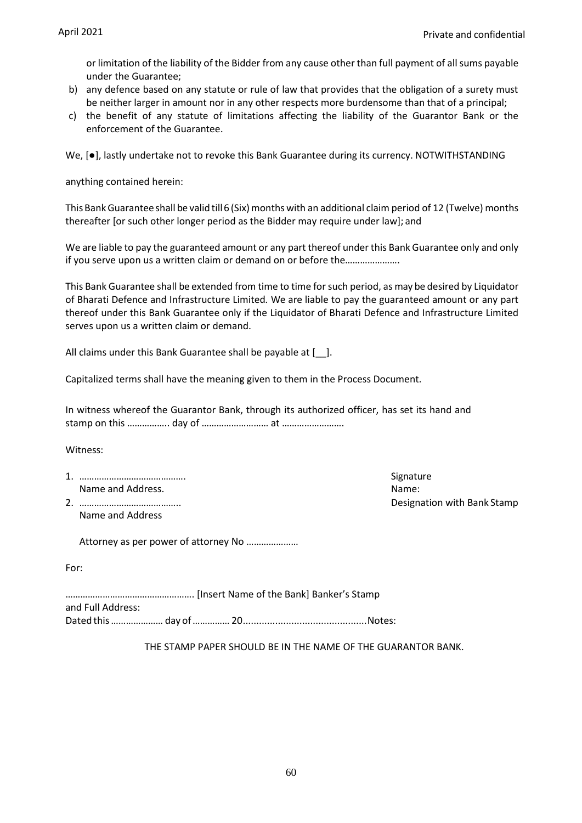or limitation of the liability of the Bidder from any cause other than full payment of all sums payable under the Guarantee;

- b) any defence based on any statute or rule of law that provides that the obligation of a surety must be neither larger in amount nor in any other respects more burdensome than that of a principal;
- c) the benefit of any statute of limitations affecting the liability of the Guarantor Bank or the enforcement of the Guarantee.

We, [●], lastly undertake not to revoke this Bank Guarantee during its currency. NOTWITHSTANDING

anything contained herein:

This BankGuarantee shall be valid till6 (Six) months with an additional claim period of 12 (Twelve) months thereafter [or such other longer period as the Bidder may require under law]; and

We are liable to pay the guaranteed amount or any part thereof under this Bank Guarantee only and only if you serve upon us a written claim or demand on or before the………………….

This Bank Guarantee shall be extended from time to time for such period, as may be desired by Liquidator of Bharati Defence and Infrastructure Limited*.* We are liable to pay the guaranteed amount or any part thereof under this Bank Guarantee only if the Liquidator of Bharati Defence and Infrastructure Limited serves upon us a written claim or demand.

All claims under this Bank Guarantee shall be payable at [2011].

Capitalized terms shall have the meaning given to them in the Process Document.

In witness whereof the Guarantor Bank, through its authorized officer, has set its hand and stamp on this …………….. day of ……………………… at …………………….

Witness:

1. ……………………………………. Signature Name and Address. Name: Name: Name: Name: Name: Name: Name: Name: Name: Name: Name: Name: Name: Name: Name: Name: Name: Name: Name: Name: Name: Name: Name: Name: Name: Name: Name: Name: Name: Name: Name: Name: Name: Name:

Name and Address

Attorney as per power of attorney No …………………

| ۰.<br>$\overline{\phantom{a}}$ |  |  | v |  |
|--------------------------------|--|--|---|--|
|--------------------------------|--|--|---|--|

……………………………………………. [Insert Name of the Bank] Banker's Stamp and Full Address: Dated this………………… day of……………20..............................................Notes:

THE STAMP PAPER SHOULD BE IN THE NAME OF THE GUARANTOR BANK.

2. ………………………………….. Designation with Bank Stamp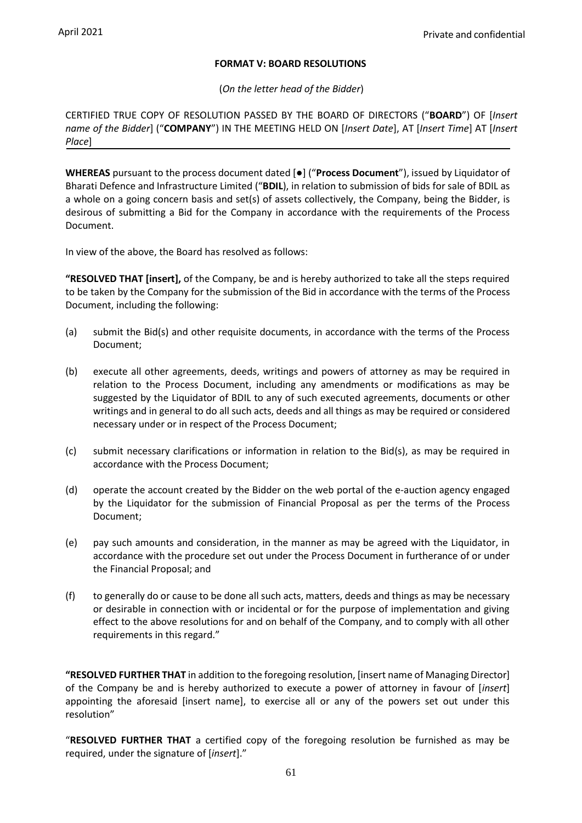## **FORMAT V: BOARD RESOLUTIONS**

(*On the letter head of the Bidder*)

CERTIFIED TRUE COPY OF RESOLUTION PASSED BY THE BOARD OF DIRECTORS ("**BOARD**") OF [*Insert name of the Bidder*] ("**COMPANY**") IN THE MEETING HELD ON [*Insert Date*], AT [*Insert Time*] AT [*Insert Place*]

**WHEREAS** pursuant to the process document dated [●] ("**Process Document**"), issued by Liquidator of Bharati Defence and Infrastructure Limited ("**BDIL**), in relation to submission of bids for sale of BDIL as a whole on a going concern basis and set(s) of assets collectively, the Company, being the Bidder, is desirous of submitting a Bid for the Company in accordance with the requirements of the Process Document.

In view of the above, the Board has resolved as follows:

**"RESOLVED THAT [insert],** of the Company, be and is hereby authorized to take all the steps required to be taken by the Company for the submission of the Bid in accordance with the terms of the Process Document, including the following:

- (a) submit the Bid(s) and other requisite documents, in accordance with the terms of the Process Document;
- (b) execute all other agreements, deeds, writings and powers of attorney as may be required in relation to the Process Document, including any amendments or modifications as may be suggested by the Liquidator of BDIL to any of such executed agreements, documents or other writings and in general to do all such acts, deeds and all things as may be required or considered necessary under or in respect of the Process Document;
- (c) submit necessary clarifications or information in relation to the Bid(s), as may be required in accordance with the Process Document;
- (d) operate the account created by the Bidder on the web portal of the e-auction agency engaged by the Liquidator for the submission of Financial Proposal as per the terms of the Process Document;
- (e) pay such amounts and consideration, in the manner as may be agreed with the Liquidator, in accordance with the procedure set out under the Process Document in furtherance of or under the Financial Proposal; and
- (f) to generally do or cause to be done all such acts, matters, deeds and things as may be necessary or desirable in connection with or incidental or for the purpose of implementation and giving effect to the above resolutions for and on behalf of the Company, and to comply with all other requirements in this regard."

**"RESOLVED FURTHER THAT** in addition to the foregoing resolution, [insert name of Managing Director] of the Company be and is hereby authorized to execute a power of attorney in favour of [*insert*] appointing the aforesaid [insert name], to exercise all or any of the powers set out under this resolution"

"**RESOLVED FURTHER THAT** a certified copy of the foregoing resolution be furnished as may be required, under the signature of [*insert*]."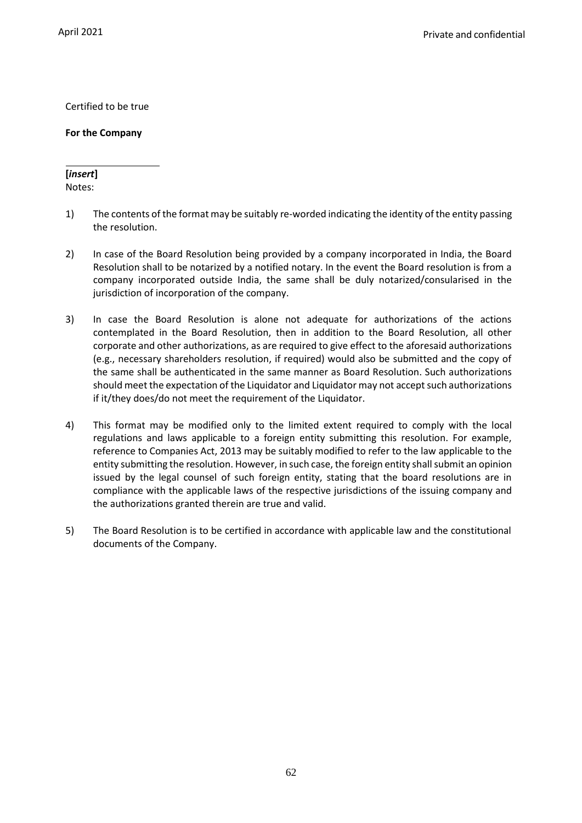Certified to be true

**For the Company**

# **[***insert***]**

Notes:

- 1) The contents of the format may be suitably re-worded indicating the identity of the entity passing the resolution.
- 2) In case of the Board Resolution being provided by a company incorporated in India, the Board Resolution shall to be notarized by a notified notary. In the event the Board resolution is from a company incorporated outside India, the same shall be duly notarized/consularised in the jurisdiction of incorporation of the company.
- 3) In case the Board Resolution is alone not adequate for authorizations of the actions contemplated in the Board Resolution, then in addition to the Board Resolution, all other corporate and other authorizations, as are required to give effect to the aforesaid authorizations (e.g., necessary shareholders resolution, if required) would also be submitted and the copy of the same shall be authenticated in the same manner as Board Resolution. Such authorizations should meet the expectation of the Liquidator and Liquidator may not accept such authorizations if it/they does/do not meet the requirement of the Liquidator.
- 4) This format may be modified only to the limited extent required to comply with the local regulations and laws applicable to a foreign entity submitting this resolution. For example, reference to Companies Act, 2013 may be suitably modified to refer to the law applicable to the entity submitting the resolution. However, in such case, the foreign entity shall submit an opinion issued by the legal counsel of such foreign entity, stating that the board resolutions are in compliance with the applicable laws of the respective jurisdictions of the issuing company and the authorizations granted therein are true and valid.
- 5) The Board Resolution is to be certified in accordance with applicable law and the constitutional documents of the Company.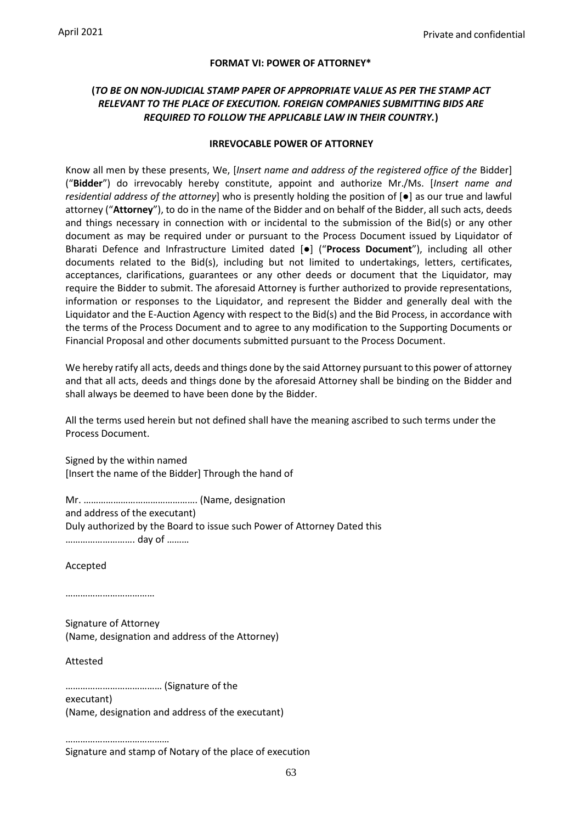#### **FORMAT VI: POWER OF ATTORNEY\***

## **(***TO BE ON NON-JUDICIAL STAMP PAPER OF APPROPRIATE VALUE AS PER THE STAMP ACT RELEVANT TO THE PLACE OF EXECUTION. FOREIGN COMPANIES SUBMITTING BIDS ARE REQUIRED TO FOLLOW THE APPLICABLE LAW IN THEIR COUNTRY.***)**

#### **IRREVOCABLE POWER OF ATTORNEY**

Know all men by these presents, We, [*Insert name and address of the registered office of the* Bidder] ("**Bidder**") do irrevocably hereby constitute, appoint and authorize Mr./Ms. [*Insert name and residential address of the attorney*] who is presently holding the position of [●] as our true and lawful attorney ("**Attorney**"), to do in the name of the Bidder and on behalf of the Bidder, all such acts, deeds and things necessary in connection with or incidental to the submission of the Bid(s) or any other document as may be required under or pursuant to the Process Document issued by Liquidator of Bharati Defence and Infrastructure Limited dated [●] ("**Process Document**"), including all other documents related to the Bid(s), including but not limited to undertakings, letters, certificates, acceptances, clarifications, guarantees or any other deeds or document that the Liquidator, may require the Bidder to submit. The aforesaid Attorney is further authorized to provide representations, information or responses to the Liquidator, and represent the Bidder and generally deal with the Liquidator and the E-Auction Agency with respect to the Bid(s) and the Bid Process, in accordance with the terms of the Process Document and to agree to any modification to the Supporting Documents or Financial Proposal and other documents submitted pursuant to the Process Document.

We hereby ratify all acts, deeds and things done by the said Attorney pursuant to this power of attorney and that all acts, deeds and things done by the aforesaid Attorney shall be binding on the Bidder and shall always be deemed to have been done by the Bidder.

All the terms used herein but not defined shall have the meaning ascribed to such terms under the Process Document.

Signed by the within named [Insert the name of the Bidder] Through the hand of

Mr. ………………………………………. (Name, designation and address of the executant) Duly authorized by the Board to issue such Power of Attorney Dated this ………………………. day of ………

Accepted

………………………………

Signature of Attorney (Name, designation and address of the Attorney)

Attested

………………………………… (Signature of the

executant) (Name, designation and address of the executant)

………………………………… Signature and stamp of Notary of the place of execution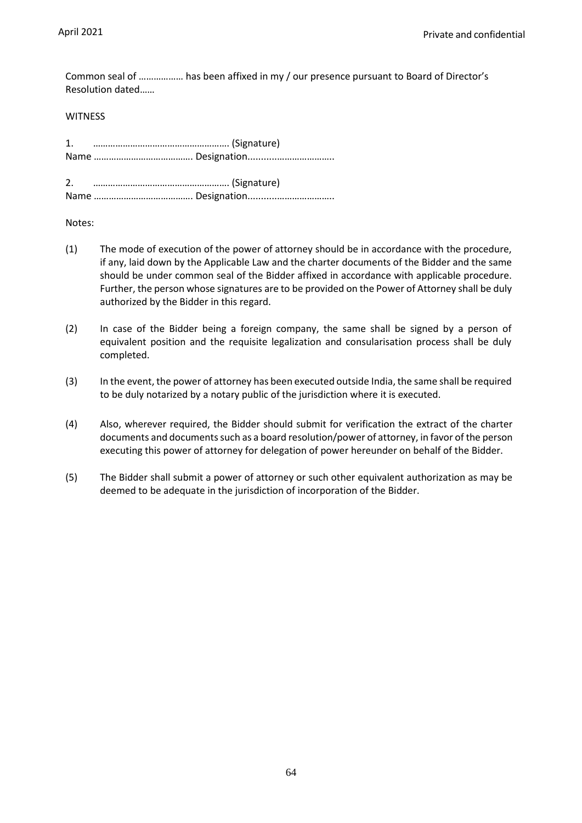Common seal of ……………… has been affixed in my / our presence pursuant to Board of Director's Resolution dated……

#### WITNESS

Notes:

- (1) The mode of execution of the power of attorney should be in accordance with the procedure, if any, laid down by the Applicable Law and the charter documents of the Bidder and the same should be under common seal of the Bidder affixed in accordance with applicable procedure. Further, the person whose signatures are to be provided on the Power of Attorney shall be duly authorized by the Bidder in this regard.
- (2) In case of the Bidder being a foreign company, the same shall be signed by a person of equivalent position and the requisite legalization and consularisation process shall be duly completed.
- (3) In the event, the power of attorney has been executed outside India, the same shall be required to be duly notarized by a notary public of the jurisdiction where it is executed.
- (4) Also, wherever required, the Bidder should submit for verification the extract of the charter documents and documents such as a board resolution/power of attorney, in favor of the person executing this power of attorney for delegation of power hereunder on behalf of the Bidder.
- (5) The Bidder shall submit a power of attorney or such other equivalent authorization as may be deemed to be adequate in the jurisdiction of incorporation of the Bidder.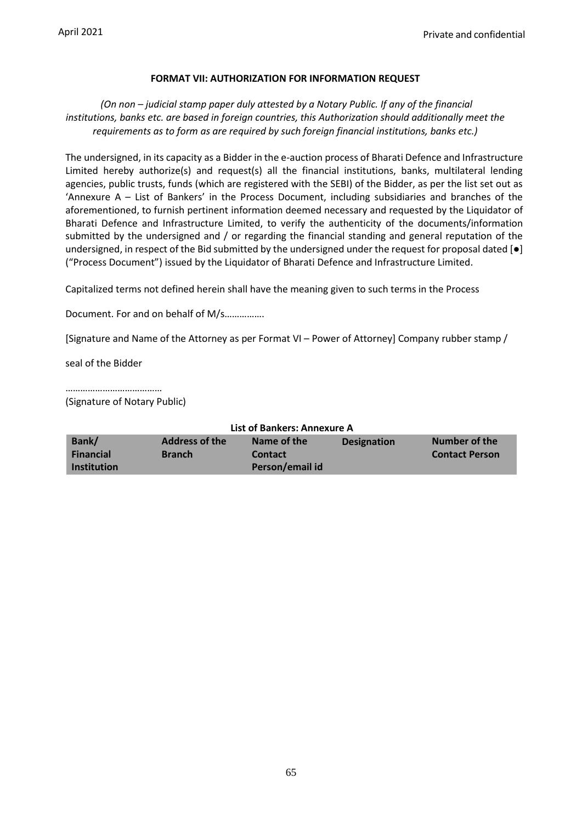#### **FORMAT VII: AUTHORIZATION FOR INFORMATION REQUEST**

## *(On non – judicial stamp paper duly attested by a Notary Public. If any of the financial institutions, banks etc. are based in foreign countries, this Authorization should additionally meet the requirements as to form as are required by such foreign financial institutions, banks etc.)*

The undersigned, in its capacity as a Bidder in the e-auction process of Bharati Defence and Infrastructure Limited hereby authorize(s) and request(s) all the financial institutions, banks, multilateral lending agencies, public trusts, funds (which are registered with the SEBI) of the Bidder, as per the list set out as 'Annexure A – List of Bankers' in the Process Document, including subsidiaries and branches of the aforementioned, to furnish pertinent information deemed necessary and requested by the Liquidator of Bharati Defence and Infrastructure Limited, to verify the authenticity of the documents/information submitted by the undersigned and / or regarding the financial standing and general reputation of the undersigned, in respect of the Bid submitted by the undersigned under the request for proposal dated  $[\bullet]$ ("Process Document") issued by the Liquidator of Bharati Defence and Infrastructure Limited.

Capitalized terms not defined herein shall have the meaning given to such terms in the Process

Document. For and on behalf of M/s…………….

[Signature and Name of the Attorney as per Format VI – Power of Attorney] Company rubber stamp /

seal of the Bidder

…………………………………

(Signature of Notary Public)

| List of Bankers: Annexure A |                       |                 |                    |                       |  |
|-----------------------------|-----------------------|-----------------|--------------------|-----------------------|--|
| Bank/                       | <b>Address of the</b> | Name of the     | <b>Designation</b> | Number of the         |  |
| <b>Financial</b>            | <b>Branch</b>         | <b>Contact</b>  |                    | <b>Contact Person</b> |  |
| <b>Institution</b>          |                       | Person/email id |                    |                       |  |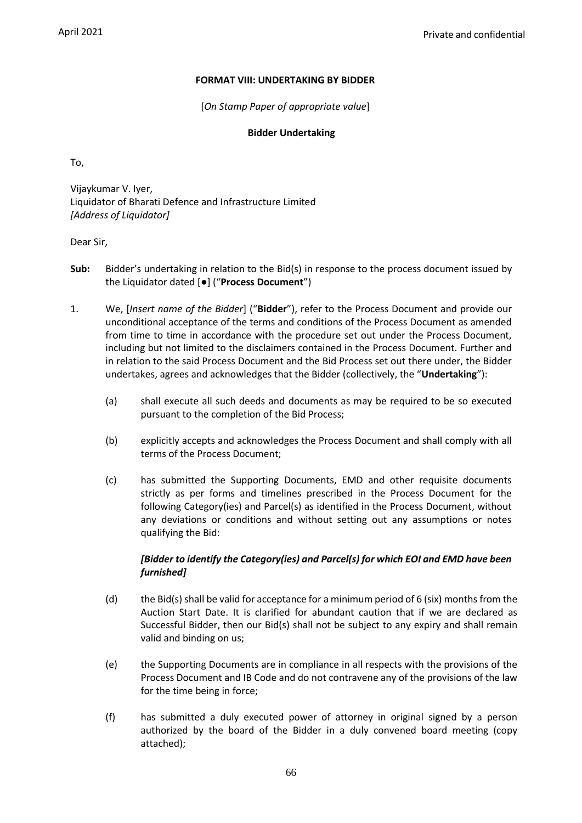## **FORMAT VIII: UNDERTAKING BY BIDDER**

[*On Stamp Paper of appropriate value*]

#### **Bidder Undertaking**

To,

Vijaykumar V. Iyer, Liquidator of Bharati Defence and Infrastructure Limited *[Address of Liquidator]*

Dear Sir,

- **Sub:** Bidder's undertaking in relation to the Bid(s) in response to the process document issued by the Liquidator dated [●] ("**Process Document**")
- 1. We, [*Insert name of the Bidder*] ("**Bidder**"), refer to the Process Document and provide our unconditional acceptance of the terms and conditions of the Process Document as amended from time to time in accordance with the procedure set out under the Process Document, including but not limited to the disclaimers contained in the Process Document. Further and in relation to the said Process Document and the Bid Process set out there under, the Bidder undertakes, agrees and acknowledges that the Bidder (collectively, the "**Undertaking**"):
	- (a) shall execute all such deeds and documents as may be required to be so executed pursuant to the completion of the Bid Process;
	- (b) explicitly accepts and acknowledges the Process Document and shall comply with all terms of the Process Document;
	- (c) has submitted the Supporting Documents, EMD and other requisite documents strictly as per forms and timelines prescribed in the Process Document for the following Category(ies) and Parcel(s) as identified in the Process Document, without any deviations or conditions and without setting out any assumptions or notes qualifying the Bid:

## *[Bidder to identify the Category(ies) and Parcel(s) for which EOI and EMD have been furnished]*

- (d) the Bid(s) shall be valid for acceptance for a minimum period of 6 (six) months from the Auction Start Date. It is clarified for abundant caution that if we are declared as Successful Bidder, then our Bid(s) shall not be subject to any expiry and shall remain valid and binding on us;
- (e) the Supporting Documents are in compliance in all respects with the provisions of the Process Document and IB Code and do not contravene any of the provisions of the law for the time being in force;
- (f) has submitted a duly executed power of attorney in original signed by a person authorized by the board of the Bidder in a duly convened board meeting (copy attached);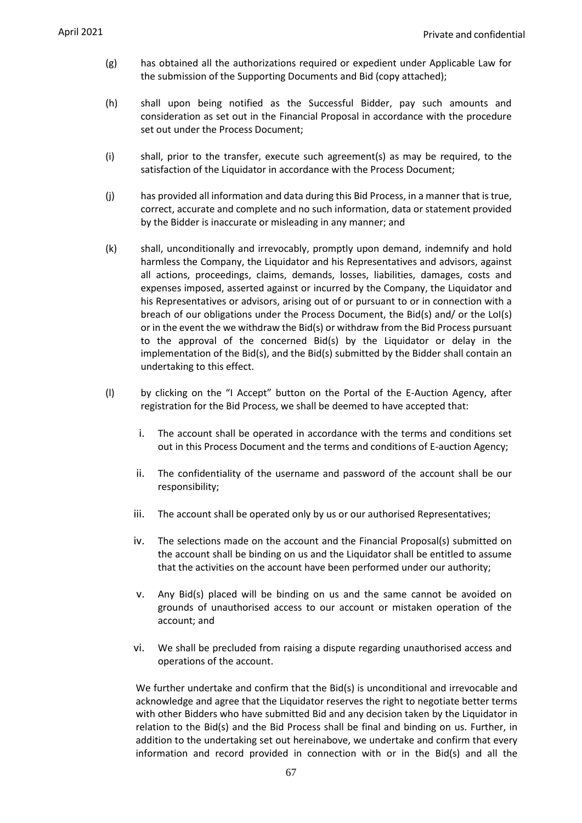- (g) has obtained all the authorizations required or expedient under Applicable Law for the submission of the Supporting Documents and Bid (copy attached);
- (h) shall upon being notified as the Successful Bidder, pay such amounts and consideration as set out in the Financial Proposal in accordance with the procedure set out under the Process Document;
- (i) shall, prior to the transfer, execute such agreement(s) as may be required, to the satisfaction of the Liquidator in accordance with the Process Document;
- (j) has provided all information and data during this Bid Process, in a manner that is true, correct, accurate and complete and no such information, data or statement provided by the Bidder is inaccurate or misleading in any manner; and
- (k) shall, unconditionally and irrevocably, promptly upon demand, indemnify and hold harmless the Company, the Liquidator and his Representatives and advisors, against all actions, proceedings, claims, demands, losses, liabilities, damages, costs and expenses imposed, asserted against or incurred by the Company, the Liquidator and his Representatives or advisors, arising out of or pursuant to or in connection with a breach of our obligations under the Process Document, the Bid(s) and/ or the LoI(s) or in the event the we withdraw the Bid(s) or withdraw from the Bid Process pursuant to the approval of the concerned Bid(s) by the Liquidator or delay in the implementation of the Bid(s), and the Bid(s) submitted by the Bidder shall contain an undertaking to this effect.
- (l) by clicking on the "I Accept" button on the Portal of the E-Auction Agency, after registration for the Bid Process, we shall be deemed to have accepted that:
	- i. The account shall be operated in accordance with the terms and conditions set out in this Process Document and the terms and conditions of E-auction Agency;
	- ii. The confidentiality of the username and password of the account shall be our responsibility;
	- iii. The account shall be operated only by us or our authorised Representatives;
	- iv. The selections made on the account and the Financial Proposal(s) submitted on the account shall be binding on us and the Liquidator shall be entitled to assume that the activities on the account have been performed under our authority;
	- v. Any Bid(s) placed will be binding on us and the same cannot be avoided on grounds of unauthorised access to our account or mistaken operation of the account; and
	- vi. We shall be precluded from raising a dispute regarding unauthorised access and operations of the account.

We further undertake and confirm that the Bid(s) is unconditional and irrevocable and acknowledge and agree that the Liquidator reserves the right to negotiate better terms with other Bidders who have submitted Bid and any decision taken by the Liquidator in relation to the Bid(s) and the Bid Process shall be final and binding on us. Further, in addition to the undertaking set out hereinabove, we undertake and confirm that every information and record provided in connection with or in the Bid(s) and all the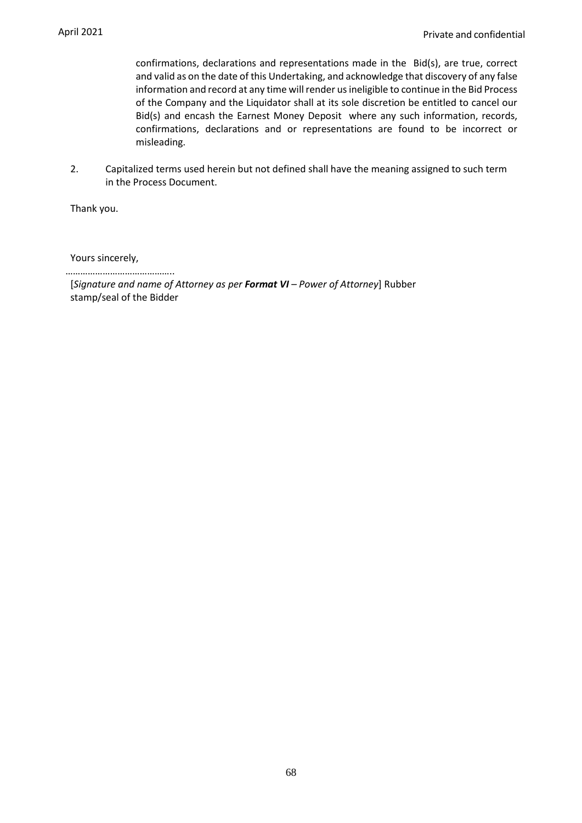confirmations, declarations and representations made in the Bid(s), are true, correct and valid as on the date of this Undertaking, and acknowledge that discovery of any false information and record at any time will render us ineligible to continue in the Bid Process of the Company and the Liquidator shall at its sole discretion be entitled to cancel our Bid(s) and encash the Earnest Money Deposit where any such information, records, confirmations, declarations and or representations are found to be incorrect or misleading.

2. Capitalized terms used herein but not defined shall have the meaning assigned to such term in the Process Document.

Thank you.

Yours sincerely,

……………………………………..

[*Signature and name of Attorney as per Format VI – Power of Attorney*] Rubber stamp/seal of the Bidder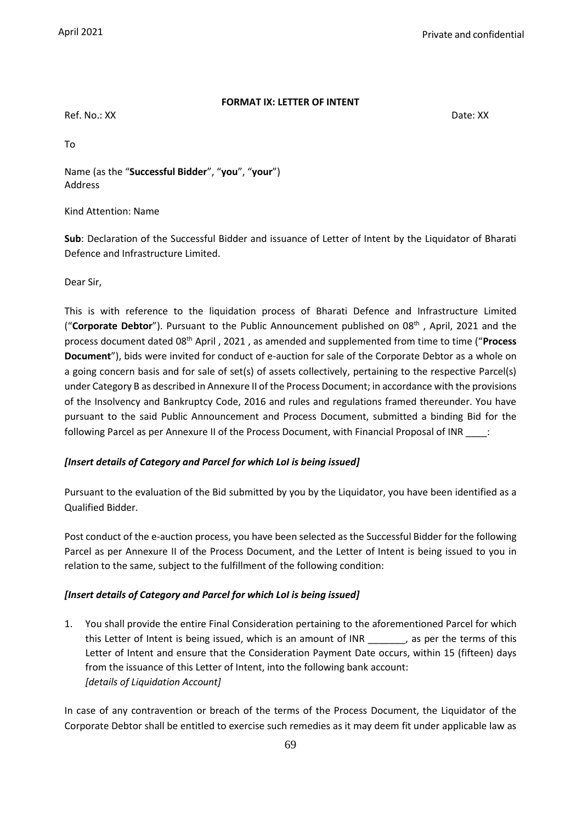#### **FORMAT IX: LETTER OF INTENT**

Ref. No.: XX Date: XX

To

Name (as the "**Successful Bidder**", "**you**", "**your**") Address

#### Kind Attention: Name

**Sub**: Declaration of the Successful Bidder and issuance of Letter of Intent by the Liquidator of Bharati Defence and Infrastructure Limited.

Dear Sir,

This is with reference to the liquidation process of Bharati Defence and Infrastructure Limited ("**Corporate Debtor**"). Pursuant to the Public Announcement published on 08<sup>th</sup>, April, 2021 and the process document dated 08th April , 2021 , as amended and supplemented from time to time ("**Process Document**"), bids were invited for conduct of e-auction for sale of the Corporate Debtor as a whole on a going concern basis and for sale of set(s) of assets collectively, pertaining to the respective Parcel(s) under Category B as described in Annexure II of the Process Document; in accordance with the provisions of the Insolvency and Bankruptcy Code, 2016 and rules and regulations framed thereunder. You have pursuant to the said Public Announcement and Process Document, submitted a binding Bid for the following Parcel as per Annexure II of the Process Document, with Financial Proposal of INR \_\_\_\_:

## *[Insert details of Category and Parcel for which LoI is being issued]*

Pursuant to the evaluation of the Bid submitted by you by the Liquidator, you have been identified as a Qualified Bidder.

Post conduct of the e-auction process, you have been selected as the Successful Bidder for the following Parcel as per Annexure II of the Process Document, and the Letter of Intent is being issued to you in relation to the same, subject to the fulfillment of the following condition:

## *[Insert details of Category and Parcel for which LoI is being issued]*

1. You shall provide the entire Final Consideration pertaining to the aforementioned Parcel for which this Letter of Intent is being issued, which is an amount of INR \_\_\_\_\_\_\_, as per the terms of this Letter of Intent and ensure that the Consideration Payment Date occurs, within 15 (fifteen) days from the issuance of this Letter of Intent, into the following bank account: *[details of Liquidation Account]*

In case of any contravention or breach of the terms of the Process Document, the Liquidator of the Corporate Debtor shall be entitled to exercise such remedies as it may deem fit under applicable law as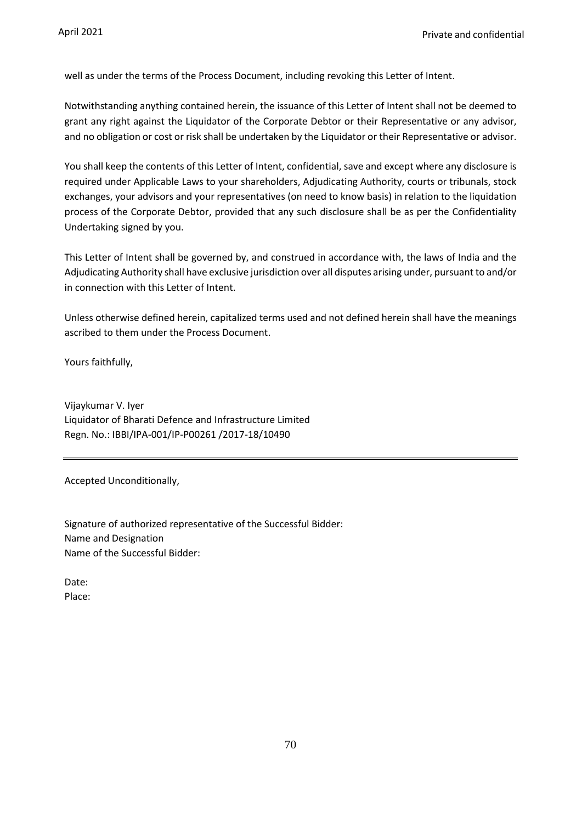well as under the terms of the Process Document, including revoking this Letter of Intent.

Notwithstanding anything contained herein, the issuance of this Letter of Intent shall not be deemed to grant any right against the Liquidator of the Corporate Debtor or their Representative or any advisor, and no obligation or cost or risk shall be undertaken by the Liquidator or their Representative or advisor.

You shall keep the contents of this Letter of Intent, confidential, save and except where any disclosure is required under Applicable Laws to your shareholders, Adjudicating Authority, courts or tribunals, stock exchanges, your advisors and your representatives (on need to know basis) in relation to the liquidation process of the Corporate Debtor, provided that any such disclosure shall be as per the Confidentiality Undertaking signed by you.

This Letter of Intent shall be governed by, and construed in accordance with, the laws of India and the Adjudicating Authority shall have exclusive jurisdiction over all disputes arising under, pursuant to and/or in connection with this Letter of Intent.

Unless otherwise defined herein, capitalized terms used and not defined herein shall have the meanings ascribed to them under the Process Document.

Yours faithfully,

Vijaykumar V. Iyer Liquidator of Bharati Defence and Infrastructure Limited Regn. No.: IBBI/IPA-001/IP-P00261 /2017-18/10490

Accepted Unconditionally,

Signature of authorized representative of the Successful Bidder: Name and Designation Name of the Successful Bidder:

Date: Place: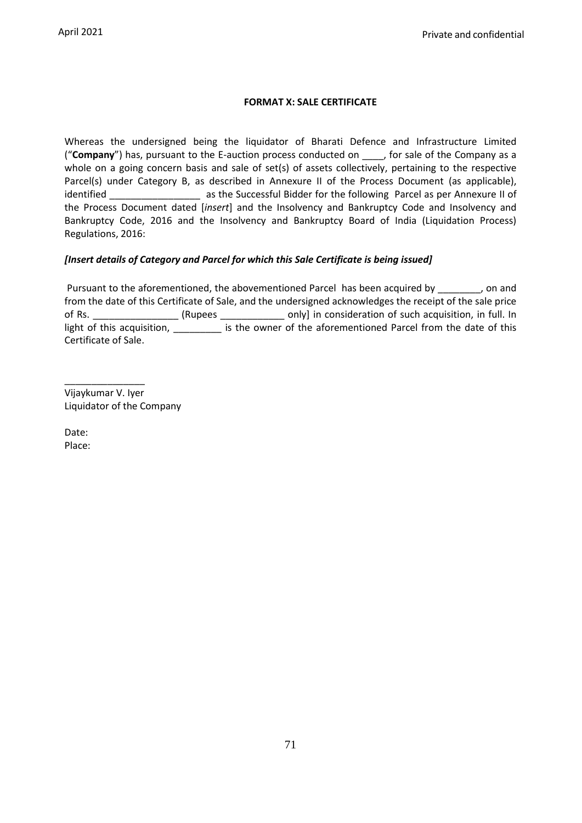## **FORMAT X: SALE CERTIFICATE**

Whereas the undersigned being the liquidator of Bharati Defence and Infrastructure Limited ("**Company**") has, pursuant to the E-auction process conducted on \_\_\_\_, for sale of the Company as a whole on a going concern basis and sale of set(s) of assets collectively, pertaining to the respective Parcel(s) under Category B, as described in Annexure II of the Process Document (as applicable), identified \_\_\_\_\_\_\_\_\_\_\_\_\_\_\_\_\_ as the Successful Bidder for the following Parcel as per Annexure II of the Process Document dated [*insert*] and the Insolvency and Bankruptcy Code and Insolvency and Bankruptcy Code, 2016 and the Insolvency and Bankruptcy Board of India (Liquidation Process) Regulations, 2016:

## *[Insert details of Category and Parcel for which this Sale Certificate is being issued]*

Pursuant to the aforementioned, the abovementioned Parcel has been acquired by \_\_\_\_\_\_\_, on and from the date of this Certificate of Sale, and the undersigned acknowledges the receipt of the sale price of Rs. \_\_\_\_\_\_\_\_\_\_\_\_\_\_\_\_\_\_ (Rupees \_\_\_\_\_\_\_\_\_\_\_\_\_\_\_ only] in consideration of such acquisition, in full. In light of this acquisition, \_\_\_\_\_\_\_\_\_\_ is the owner of the aforementioned Parcel from the date of this Certificate of Sale.

\_\_\_\_\_\_\_\_\_\_\_\_\_\_\_ Vijaykumar V. Iyer Liquidator of the Company

Date: Place: